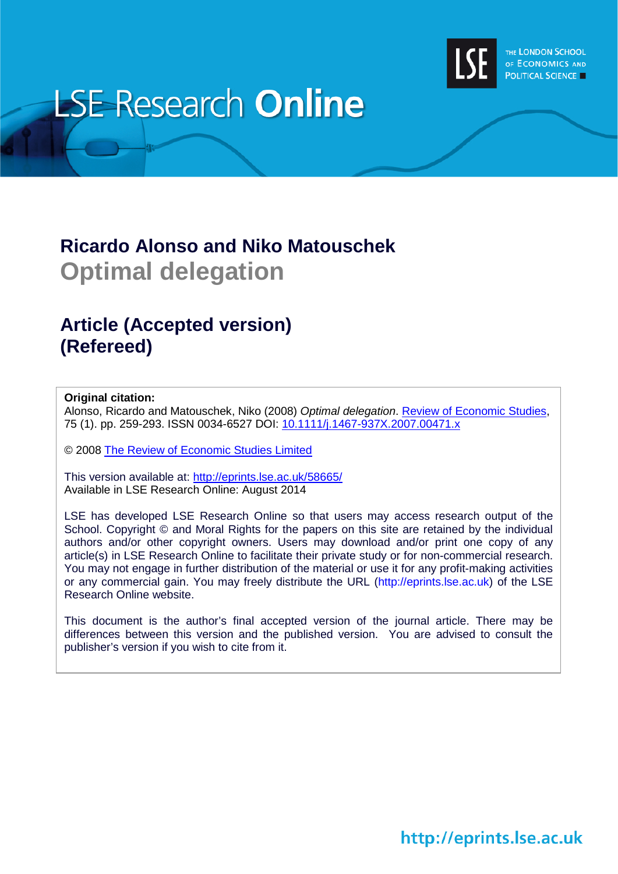

# **LSE Research Online**

# **Ricardo Alonso and Niko Matouschek Optimal delegation**

# **Article (Accepted version) (Refereed)**

## **Original citation:**

Alonso, Ricardo and Matouschek, Niko (2008) *Optimal delegation*. [Review of Economic Studies,](http://restud.oxfordjournals.org/) 75 (1). pp. 259-293. ISSN 0034-6527 DOI: [10.1111/j.1467-937X.2007.00471.x](http://dx.doi.org/10.1111/j.1467-937X.2007.00471.x)

© 2008 [The Review of Economic Studies Limited](http://www.restud.com/)

This version available at:<http://eprints.lse.ac.uk/58665/> Available in LSE Research Online: August 2014

LSE has developed LSE Research Online so that users may access research output of the School. Copyright © and Moral Rights for the papers on this site are retained by the individual authors and/or other copyright owners. Users may download and/or print one copy of any article(s) in LSE Research Online to facilitate their private study or for non-commercial research. You may not engage in further distribution of the material or use it for any profit-making activities or any commercial gain. You may freely distribute the URL (http://eprints.lse.ac.uk) of the LSE Research Online website.

This document is the author's final accepted version of the journal article. There may be differences between this version and the published version. You are advised to consult the publisher's version if you wish to cite from it.

# http://eprints.lse.ac.uk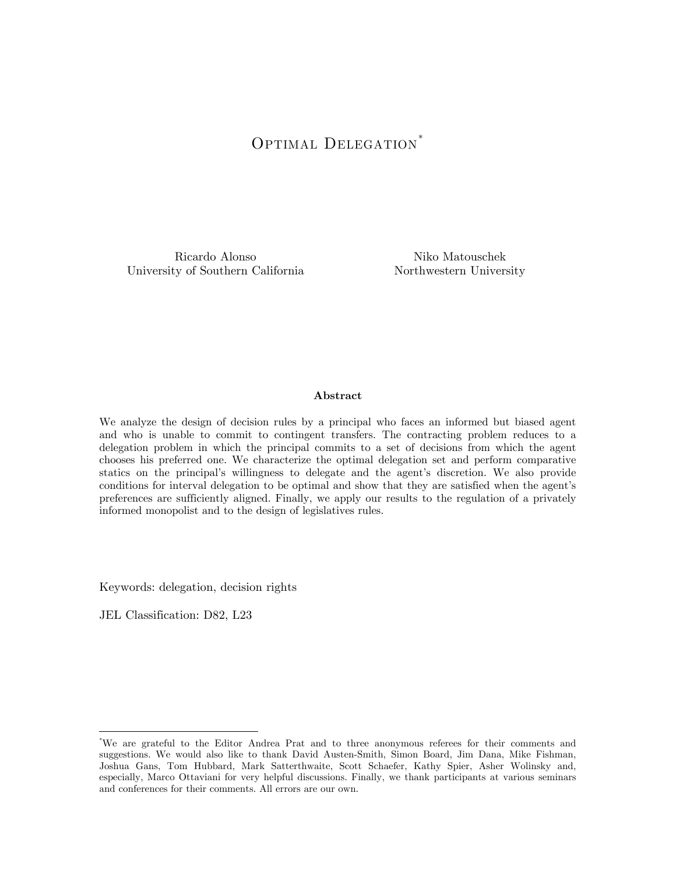# OPTIMAL DELEGATION<sup>[\\*](#page-1-0)</sup>

Ricardo Alonso University of Southern California

Niko Matouschek Northwestern University

#### Abstract

We analyze the design of decision rules by a principal who faces an informed but biased agent and who is unable to commit to contingent transfers. The contracting problem reduces to a delegation problem in which the principal commits to a set of decisions from which the agent chooses his preferred one. We characterize the optimal delegation set and perform comparative statics on the principal's willingness to delegate and the agent's discretion. We also provide conditions for interval delegation to be optimal and show that they are satisfied when the agent's preferences are sufficiently aligned. Finally, we apply our results to the regulation of a privately informed monopolist and to the design of legislatives rules.

Keywords: delegation, decision rights

JEL Classification: D82, L23

 $\overline{a}$ 

<span id="page-1-0"></span><sup>\*</sup> We are grateful to the Editor Andrea Prat and to three anonymous referees for their comments and suggestions. We would also like to thank David Austen-Smith, Simon Board, Jim Dana, Mike Fishman, Joshua Gans, Tom Hubbard, Mark Satterthwaite, Scott Schaefer, Kathy Spier, Asher Wolinsky and, especially, Marco Ottaviani for very helpful discussions. Finally, we thank participants at various seminars and conferences for their comments. All errors are our own.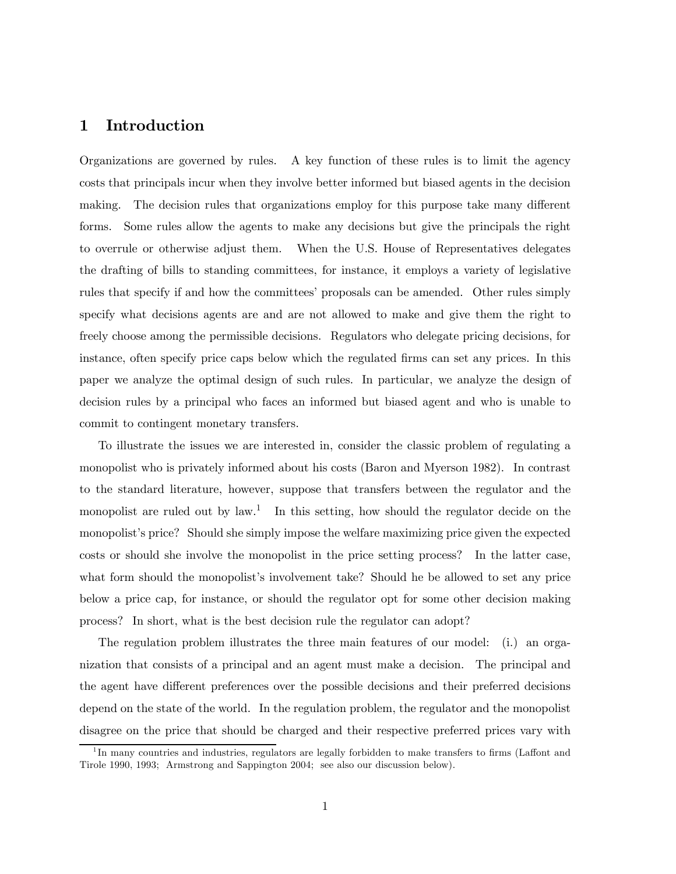# 1 Introduction

Organizations are governed by rules. A key function of these rules is to limit the agency costs that principals incur when they involve better informed but biased agents in the decision making. The decision rules that organizations employ for this purpose take many different forms. Some rules allow the agents to make any decisions but give the principals the right to overrule or otherwise adjust them. When the U.S. House of Representatives delegates the drafting of bills to standing committees, for instance, it employs a variety of legislative rules that specify if and how the committees' proposals can be amended. Other rules simply specify what decisions agents are and are not allowed to make and give them the right to freely choose among the permissible decisions. Regulators who delegate pricing decisions, for instance, often specify price caps below which the regulated firms can set any prices. In this paper we analyze the optimal design of such rules. In particular, we analyze the design of decision rules by a principal who faces an informed but biased agent and who is unable to commit to contingent monetary transfers.

To illustrate the issues we are interested in, consider the classic problem of regulating a monopolist who is privately informed about his costs (Baron and Myerson 1982). In contrast to the standard literature, however, suppose that transfers between the regulator and the monopolist are ruled out by  $law^{1}$ . In this setting, how should the regulator decide on the monopolist's price? Should she simply impose the welfare maximizing price given the expected costs or should she involve the monopolist in the price setting process? In the latter case, what form should the monopolist's involvement take? Should he be allowed to set any price below a price cap, for instance, or should the regulator opt for some other decision making process? In short, what is the best decision rule the regulator can adopt?

The regulation problem illustrates the three main features of our model: (i.) an organization that consists of a principal and an agent must make a decision. The principal and the agent have different preferences over the possible decisions and their preferred decisions depend on the state of the world. In the regulation problem, the regulator and the monopolist disagree on the price that should be charged and their respective preferred prices vary with

<sup>&</sup>lt;sup>1</sup>In many countries and industries, regulators are legally forbidden to make transfers to firms (Laffont and Tirole 1990, 1993; Armstrong and Sappington 2004; see also our discussion below).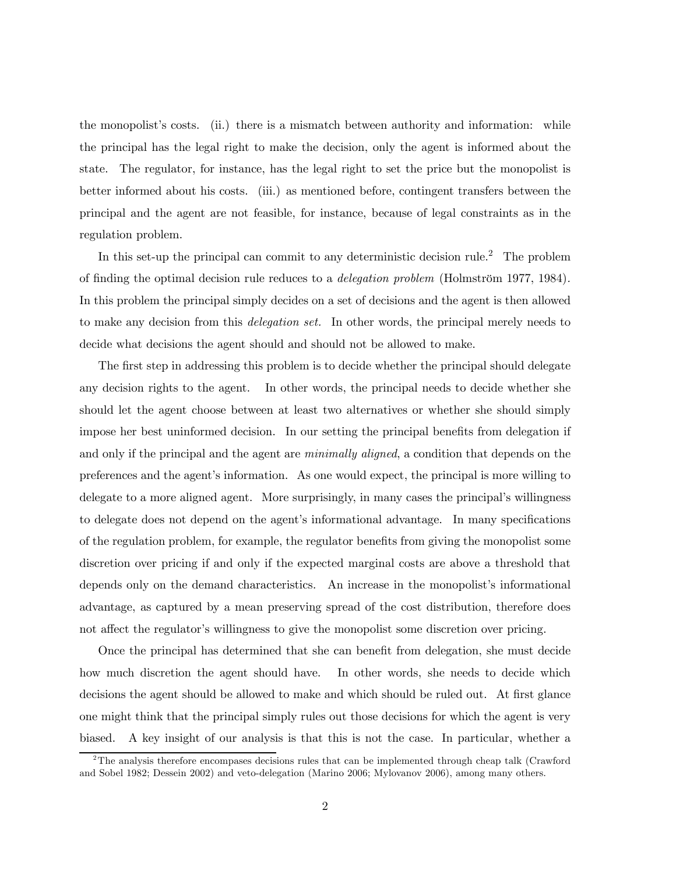the monopolist's costs. (ii.) there is a mismatch between authority and information: while the principal has the legal right to make the decision, only the agent is informed about the state. The regulator, for instance, has the legal right to set the price but the monopolist is better informed about his costs. (iii.) as mentioned before, contingent transfers between the principal and the agent are not feasible, for instance, because of legal constraints as in the regulation problem.

In this set-up the principal can commit to any deterministic decision rule.<sup>2</sup> The problem of finding the optimal decision rule reduces to a delegation problem (Holmström 1977, 1984). In this problem the principal simply decides on a set of decisions and the agent is then allowed to make any decision from this *delegation set*. In other words, the principal merely needs to decide what decisions the agent should and should not be allowed to make.

The first step in addressing this problem is to decide whether the principal should delegate any decision rights to the agent. In other words, the principal needs to decide whether she should let the agent choose between at least two alternatives or whether she should simply impose her best uninformed decision. In our setting the principal benefits from delegation if and only if the principal and the agent are *minimally aligned*, a condition that depends on the preferences and the agent's information. As one would expect, the principal is more willing to delegate to a more aligned agent. More surprisingly, in many cases the principal's willingness to delegate does not depend on the agent's informational advantage. In many specifications of the regulation problem, for example, the regulator benefits from giving the monopolist some discretion over pricing if and only if the expected marginal costs are above a threshold that depends only on the demand characteristics. An increase in the monopolist's informational advantage, as captured by a mean preserving spread of the cost distribution, therefore does not affect the regulator's willingness to give the monopolist some discretion over pricing.

Once the principal has determined that she can benefit from delegation, she must decide how much discretion the agent should have. In other words, she needs to decide which decisions the agent should be allowed to make and which should be ruled out. At first glance one might think that the principal simply rules out those decisions for which the agent is very biased. A key insight of our analysis is that this is not the case. In particular, whether a

<sup>2</sup>The analysis therefore encompases decisions rules that can be implemented through cheap talk (Crawford and Sobel 1982; Dessein 2002) and veto-delegation (Marino 2006; Mylovanov 2006), among many others.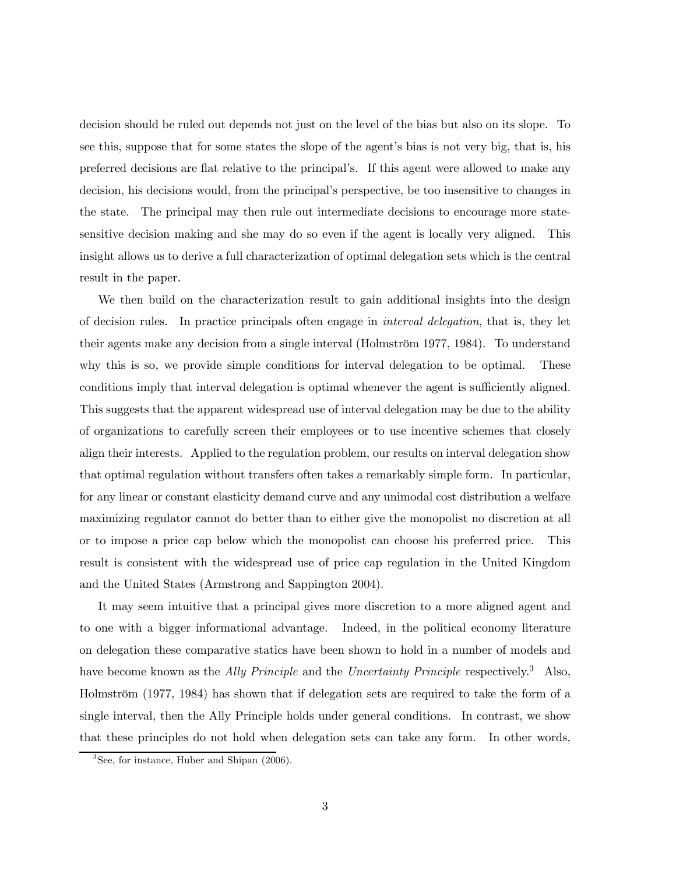decision should be ruled out depends not just on the level of the bias but also on its slope. To see this, suppose that for some states the slope of the agent's bias is not very big, that is, his preferred decisions are flat relative to the principal's. If this agent were allowed to make any decision, his decisions would, from the principal's perspective, be too insensitive to changes in the state. The principal may then rule out intermediate decisions to encourage more statesensitive decision making and she may do so even if the agent is locally very aligned. This insight allows us to derive a full characterization of optimal delegation sets which is the central result in the paper.

We then build on the characterization result to gain additional insights into the design of decision rules. In practice principals often engage in interval delegation, that is, they let their agents make any decision from a single interval (Holmström 1977, 1984). To understand why this is so, we provide simple conditions for interval delegation to be optimal. These conditions imply that interval delegation is optimal whenever the agent is sufficiently aligned. This suggests that the apparent widespread use of interval delegation may be due to the ability of organizations to carefully screen their employees or to use incentive schemes that closely align their interests. Applied to the regulation problem, our results on interval delegation show that optimal regulation without transfers often takes a remarkably simple form. In particular, for any linear or constant elasticity demand curve and any unimodal cost distribution a welfare maximizing regulator cannot do better than to either give the monopolist no discretion at all or to impose a price cap below which the monopolist can choose his preferred price. This result is consistent with the widespread use of price cap regulation in the United Kingdom and the United States (Armstrong and Sappington 2004).

It may seem intuitive that a principal gives more discretion to a more aligned agent and to one with a bigger informational advantage. Indeed, in the political economy literature on delegation these comparative statics have been shown to hold in a number of models and have become known as the *Ally Principle* and the *Uncertainty Principle* respectively.<sup>3</sup> Also, Holmström (1977, 1984) has shown that if delegation sets are required to take the form of a single interval, then the Ally Principle holds under general conditions. In contrast, we show that these principles do not hold when delegation sets can take any form. In other words,

<sup>3</sup>See, for instance, Huber and Shipan (2006).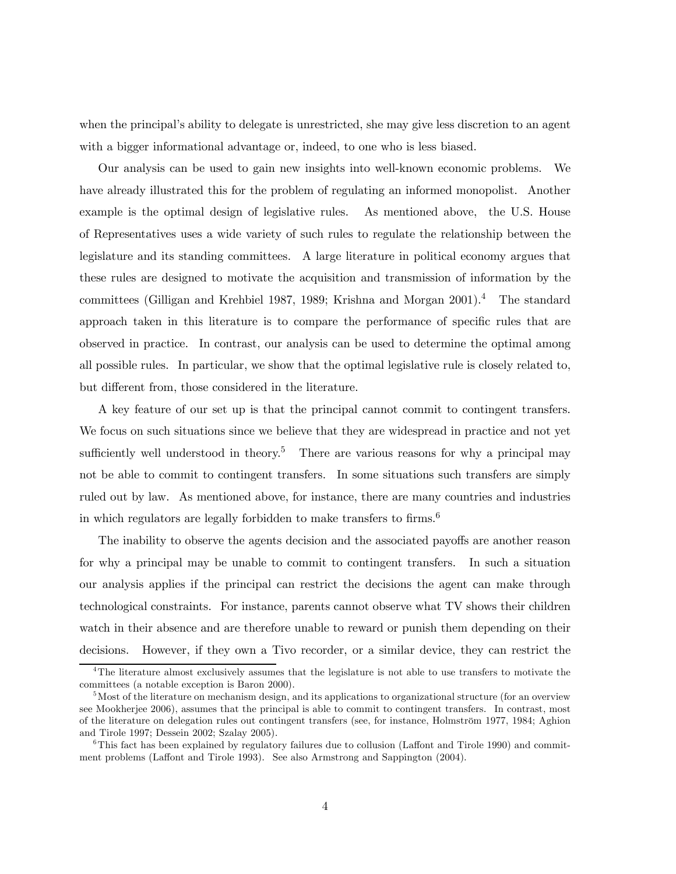when the principal's ability to delegate is unrestricted, she may give less discretion to an agent with a bigger informational advantage or, indeed, to one who is less biased.

Our analysis can be used to gain new insights into well-known economic problems. We have already illustrated this for the problem of regulating an informed monopolist. Another example is the optimal design of legislative rules. As mentioned above, the U.S. House of Representatives uses a wide variety of such rules to regulate the relationship between the legislature and its standing committees. A large literature in political economy argues that these rules are designed to motivate the acquisition and transmission of information by the committees (Gilligan and Krehbiel 1987, 1989; Krishna and Morgan 2001).4 The standard approach taken in this literature is to compare the performance of specific rules that are observed in practice. In contrast, our analysis can be used to determine the optimal among all possible rules. In particular, we show that the optimal legislative rule is closely related to, but different from, those considered in the literature.

A key feature of our set up is that the principal cannot commit to contingent transfers. We focus on such situations since we believe that they are widespread in practice and not yet sufficiently well understood in theory.<sup>5</sup> There are various reasons for why a principal may not be able to commit to contingent transfers. In some situations such transfers are simply ruled out by law. As mentioned above, for instance, there are many countries and industries in which regulators are legally forbidden to make transfers to firms.<sup>6</sup>

The inability to observe the agents decision and the associated payoffs are another reason for why a principal may be unable to commit to contingent transfers. In such a situation our analysis applies if the principal can restrict the decisions the agent can make through technological constraints. For instance, parents cannot observe what TV shows their children watch in their absence and are therefore unable to reward or punish them depending on their decisions. However, if they own a Tivo recorder, or a similar device, they can restrict the

<sup>4</sup>The literature almost exclusively assumes that the legislature is not able to use transfers to motivate the committees (a notable exception is Baron 2000).

<sup>&</sup>lt;sup>5</sup>Most of the literature on mechanism design, and its applications to organizational structure (for an overview see Mookherjee 2006), assumes that the principal is able to commit to contingent transfers. In contrast, most of the literature on delegation rules out contingent transfers (see, for instance, Holmström 1977, 1984; Aghion and Tirole 1997; Dessein 2002; Szalay 2005).

<sup>&</sup>lt;sup>6</sup>This fact has been explained by regulatory failures due to collusion (Laffont and Tirole 1990) and commitment problems (Laffont and Tirole 1993). See also Armstrong and Sappington (2004).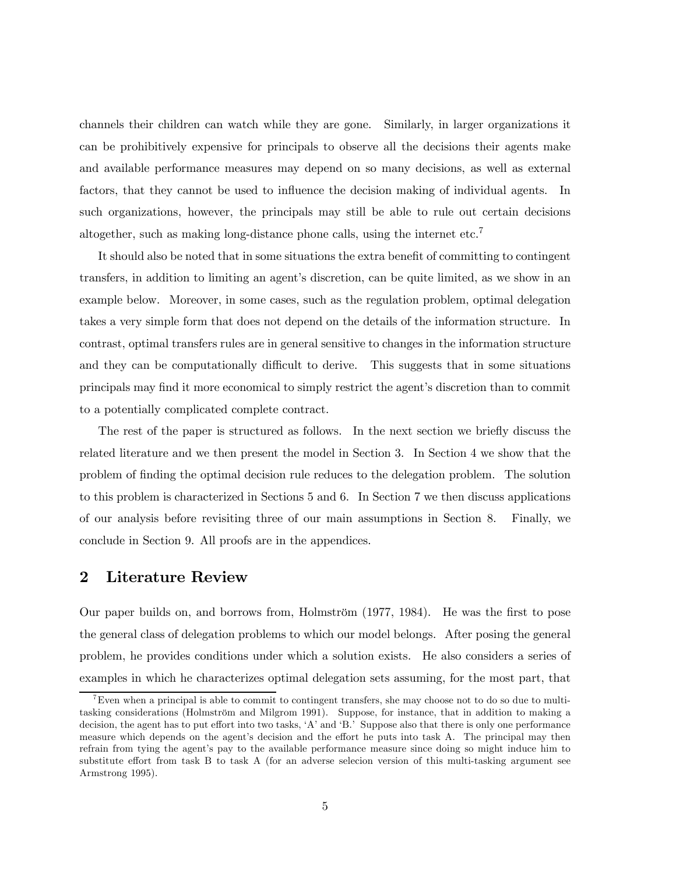channels their children can watch while they are gone. Similarly, in larger organizations it can be prohibitively expensive for principals to observe all the decisions their agents make and available performance measures may depend on so many decisions, as well as external factors, that they cannot be used to influence the decision making of individual agents. In such organizations, however, the principals may still be able to rule out certain decisions altogether, such as making long-distance phone calls, using the internet etc.<sup>7</sup>

It should also be noted that in some situations the extra benefit of committing to contingent transfers, in addition to limiting an agent's discretion, can be quite limited, as we show in an example below. Moreover, in some cases, such as the regulation problem, optimal delegation takes a very simple form that does not depend on the details of the information structure. In contrast, optimal transfers rules are in general sensitive to changes in the information structure and they can be computationally difficult to derive. This suggests that in some situations principals may find it more economical to simply restrict the agent's discretion than to commit to a potentially complicated complete contract.

The rest of the paper is structured as follows. In the next section we briefly discuss the related literature and we then present the model in Section 3. In Section 4 we show that the problem of finding the optimal decision rule reduces to the delegation problem. The solution to this problem is characterized in Sections 5 and 6. In Section 7 we then discuss applications of our analysis before revisiting three of our main assumptions in Section 8. Finally, we conclude in Section 9. All proofs are in the appendices.

# 2 Literature Review

Our paper builds on, and borrows from, Holmström (1977, 1984). He was the first to pose the general class of delegation problems to which our model belongs. After posing the general problem, he provides conditions under which a solution exists. He also considers a series of examples in which he characterizes optimal delegation sets assuming, for the most part, that

<sup>&</sup>lt;sup>7</sup>Even when a principal is able to commit to contingent transfers, she may choose not to do so due to multitasking considerations (Holmström and Milgrom 1991). Suppose, for instance, that in addition to making a decision, the agent has to put effort into two tasks, 'A' and 'B.' Suppose also that there is only one performance measure which depends on the agent's decision and the effort he puts into task A. The principal may then refrain from tying the agent's pay to the available performance measure since doing so might induce him to substitute effort from task B to task A (for an adverse selecion version of this multi-tasking argument see Armstrong 1995).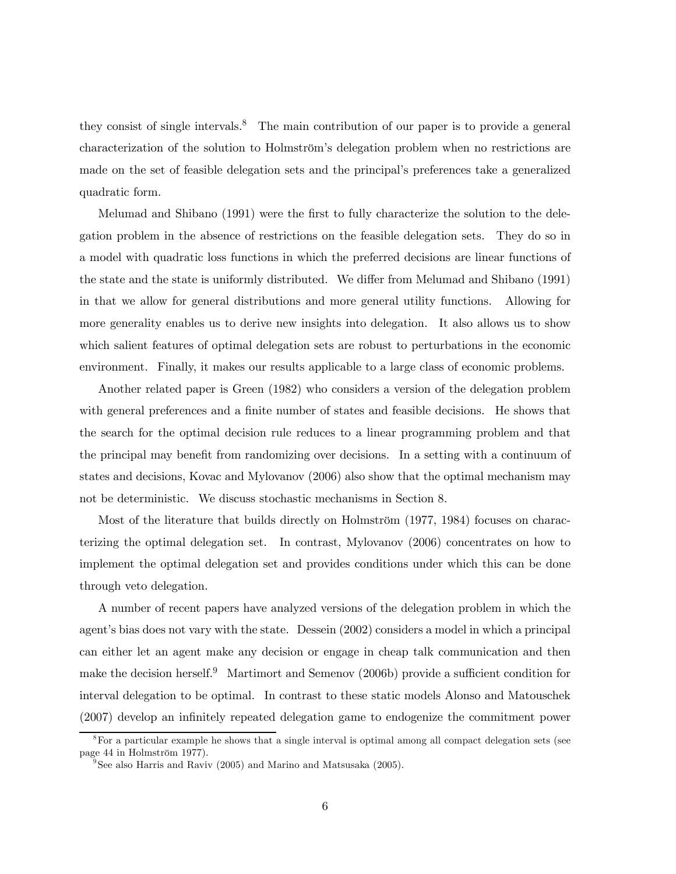they consist of single intervals.<sup>8</sup> The main contribution of our paper is to provide a general characterization of the solution to Holmström's delegation problem when no restrictions are made on the set of feasible delegation sets and the principal's preferences take a generalized quadratic form.

Melumad and Shibano (1991) were the first to fully characterize the solution to the delegation problem in the absence of restrictions on the feasible delegation sets. They do so in a model with quadratic loss functions in which the preferred decisions are linear functions of the state and the state is uniformly distributed. We differ from Melumad and Shibano (1991) in that we allow for general distributions and more general utility functions. Allowing for more generality enables us to derive new insights into delegation. It also allows us to show which salient features of optimal delegation sets are robust to perturbations in the economic environment. Finally, it makes our results applicable to a large class of economic problems.

Another related paper is Green (1982) who considers a version of the delegation problem with general preferences and a finite number of states and feasible decisions. He shows that the search for the optimal decision rule reduces to a linear programming problem and that the principal may benefit from randomizing over decisions. In a setting with a continuum of states and decisions, Kovac and Mylovanov (2006) also show that the optimal mechanism may not be deterministic. We discuss stochastic mechanisms in Section 8.

Most of the literature that builds directly on Holmström (1977, 1984) focuses on characterizing the optimal delegation set. In contrast, Mylovanov (2006) concentrates on how to implement the optimal delegation set and provides conditions under which this can be done through veto delegation.

A number of recent papers have analyzed versions of the delegation problem in which the agent's bias does not vary with the state. Dessein (2002) considers a model in which a principal can either let an agent make any decision or engage in cheap talk communication and then make the decision herself.<sup>9</sup> Martimort and Semenov (2006b) provide a sufficient condition for interval delegation to be optimal. In contrast to these static models Alonso and Matouschek (2007) develop an infinitely repeated delegation game to endogenize the commitment power

<sup>&</sup>lt;sup>8</sup>For a particular example he shows that a single interval is optimal among all compact delegation sets (see page 44 in Holmström 1977).

 $9^9$ See also Harris and Raviv (2005) and Marino and Matsusaka (2005).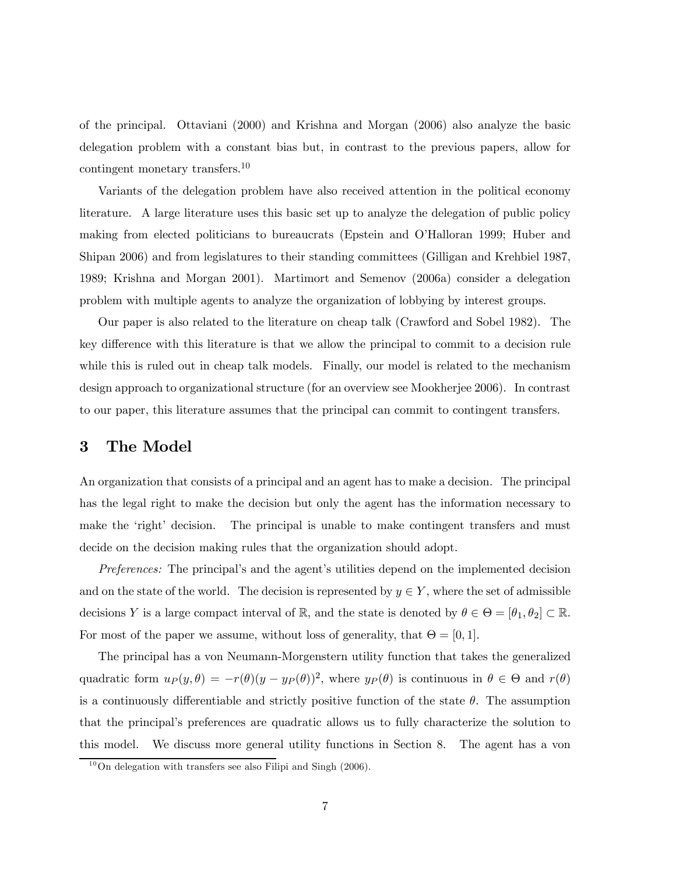of the principal. Ottaviani (2000) and Krishna and Morgan (2006) also analyze the basic delegation problem with a constant bias but, in contrast to the previous papers, allow for contingent monetary transfers.<sup>10</sup>

Variants of the delegation problem have also received attention in the political economy literature. A large literature uses this basic set up to analyze the delegation of public policy making from elected politicians to bureaucrats (Epstein and O'Halloran 1999; Huber and Shipan 2006) and from legislatures to their standing committees (Gilligan and Krehbiel 1987, 1989; Krishna and Morgan 2001). Martimort and Semenov (2006a) consider a delegation problem with multiple agents to analyze the organization of lobbying by interest groups.

Our paper is also related to the literature on cheap talk (Crawford and Sobel 1982). The key difference with this literature is that we allow the principal to commit to a decision rule while this is ruled out in cheap talk models. Finally, our model is related to the mechanism design approach to organizational structure (for an overview see Mookherjee 2006). In contrast to our paper, this literature assumes that the principal can commit to contingent transfers.

### 3 The Model

An organization that consists of a principal and an agent has to make a decision. The principal has the legal right to make the decision but only the agent has the information necessary to make the 'right' decision. The principal is unable to make contingent transfers and must decide on the decision making rules that the organization should adopt.

Preferences: The principal's and the agent's utilities depend on the implemented decision and on the state of the world. The decision is represented by  $y \in Y$ , where the set of admissible decisions Y is a large compact interval of  $\mathbb{R}$ , and the state is denoted by  $\theta \in \Theta = [\theta_1, \theta_2] \subset \mathbb{R}$ . For most of the paper we assume, without loss of generality, that  $\Theta = [0, 1]$ .

The principal has a von Neumann-Morgenstern utility function that takes the generalized quadratic form  $u_P(y, \theta) = -r(\theta)(y - y_P(\theta))^2$ , where  $y_P(\theta)$  is continuous in  $\theta \in \Theta$  and  $r(\theta)$ is a continuously differentiable and strictly positive function of the state  $\theta$ . The assumption that the principal's preferences are quadratic allows us to fully characterize the solution to this model. We discuss more general utility functions in Section 8. The agent has a von

 $10$ On delegation with transfers see also Filipi and Singh (2006).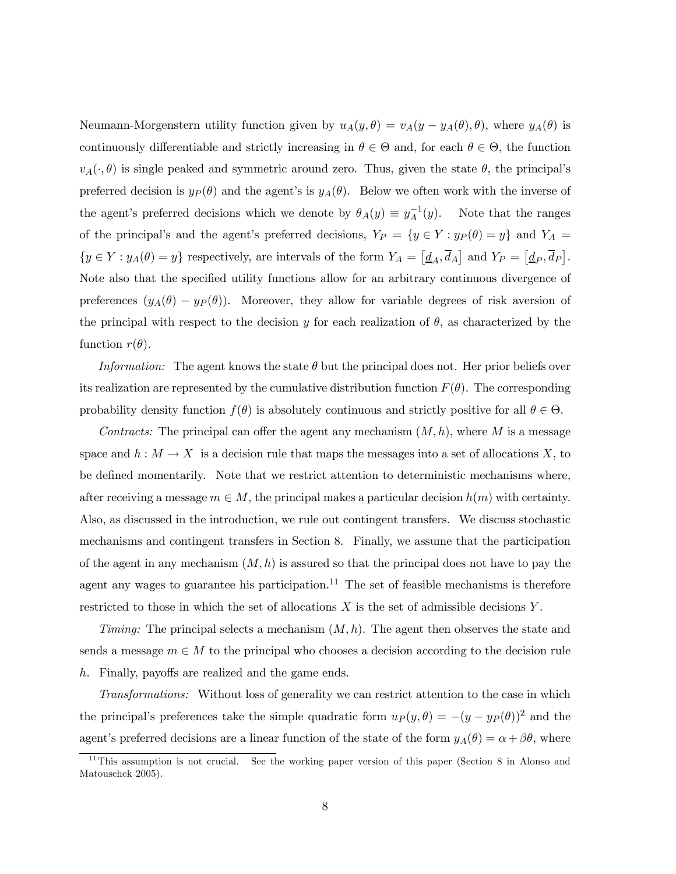Neumann-Morgenstern utility function given by  $u_A(y, \theta) = v_A(y - y_A(\theta), \theta)$ , where  $y_A(\theta)$  is continuously differentiable and strictly increasing in  $\theta \in \Theta$  and, for each  $\theta \in \Theta$ , the function  $v_A(\cdot, \theta)$  is single peaked and symmetric around zero. Thus, given the state  $\theta$ , the principal's preferred decision is  $y_P(\theta)$  and the agent's is  $y_A(\theta)$ . Below we often work with the inverse of the agent's preferred decisions which we denote by  $\theta_A(y) \equiv y_A^{-1}(y)$ . Note that the ranges of the principal's and the agent's preferred decisions,  $Y_P = \{y \in Y : y_P(\theta) = y\}$  and  $Y_A =$  $\{y \in Y : y_A(\theta) = y\}$  respectively, are intervals of the form  $Y_A = \left[\underline{d}_A, \overline{d}_A\right]$  and  $Y_P = \left[\underline{d}_P, \overline{d}_P\right]$ . Note also that the specified utility functions allow for an arbitrary continuous divergence of preferences  $(y_A(\theta) - y_P(\theta))$ . Moreover, they allow for variable degrees of risk aversion of the principal with respect to the decision y for each realization of  $\theta$ , as characterized by the function  $r(\theta)$ .

Information: The agent knows the state  $\theta$  but the principal does not. Her prior beliefs over its realization are represented by the cumulative distribution function  $F(\theta)$ . The corresponding probability density function  $f(\theta)$  is absolutely continuous and strictly positive for all  $\theta \in \Theta$ .

Contracts: The principal can offer the agent any mechanism  $(M, h)$ , where M is a message space and  $h : M \to X$  is a decision rule that maps the messages into a set of allocations X, to be defined momentarily. Note that we restrict attention to deterministic mechanisms where, after receiving a message  $m \in M$ , the principal makes a particular decision  $h(m)$  with certainty. Also, as discussed in the introduction, we rule out contingent transfers. We discuss stochastic mechanisms and contingent transfers in Section 8. Finally, we assume that the participation of the agent in any mechanism  $(M, h)$  is assured so that the principal does not have to pay the agent any wages to guarantee his participation.<sup>11</sup> The set of feasible mechanisms is therefore restricted to those in which the set of allocations  $X$  is the set of admissible decisions  $Y$ .

Timing: The principal selects a mechanism  $(M, h)$ . The agent then observes the state and sends a message  $m \in M$  to the principal who chooses a decision according to the decision rule h. Finally, payoffs are realized and the game ends.

Transformations: Without loss of generality we can restrict attention to the case in which the principal's preferences take the simple quadratic form  $u_P(y, \theta) = -(y - y_P(\theta))^2$  and the agent's preferred decisions are a linear function of the state of the form  $y_A(\theta) = \alpha + \beta\theta$ , where

<sup>&</sup>lt;sup>11</sup>This assumption is not crucial. See the working paper version of this paper (Section 8 in Alonso and Matouschek 2005).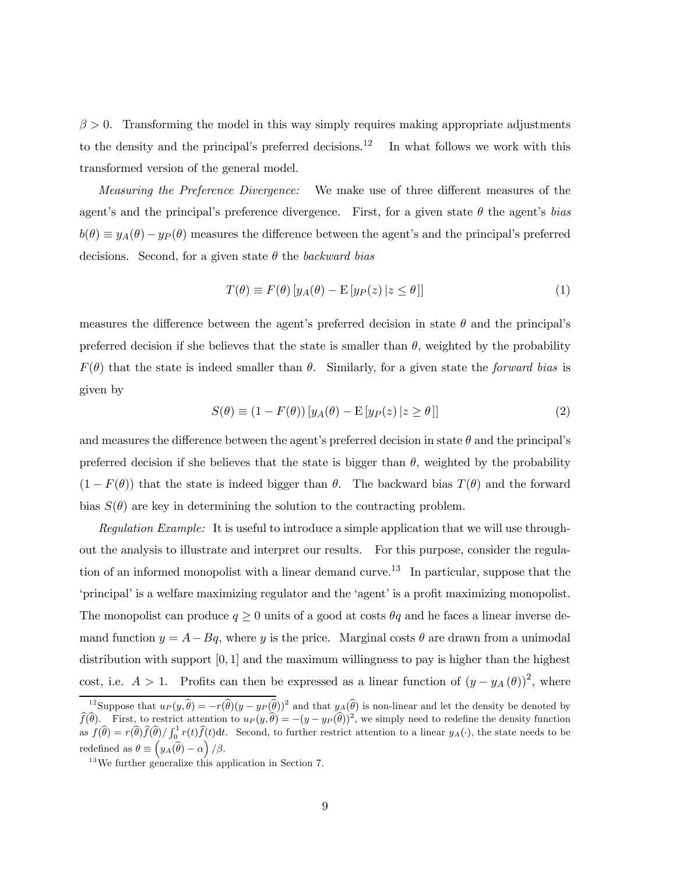$\beta > 0$ . Transforming the model in this way simply requires making appropriate adjustments to the density and the principal's preferred decisions.<sup>12</sup> In what follows we work with this transformed version of the general model.

Measuring the Preference Divergence: We make use of three different measures of the agent's and the principal's preference divergence. First, for a given state  $\theta$  the agent's bias  $b(\theta) \equiv y_A(\theta) - y_P(\theta)$  measures the difference between the agent's and the principal's preferred decisions. Second, for a given state  $\theta$  the backward bias

$$
T(\theta) \equiv F(\theta) \left[ y_A(\theta) - \mathcal{E} \left[ y_P(z) \, | z \le \theta \right] \right] \tag{1}
$$

measures the difference between the agent's preferred decision in state  $\theta$  and the principal's preferred decision if she believes that the state is smaller than  $\theta$ , weighted by the probability  $F(\theta)$  that the state is indeed smaller than  $\theta$ . Similarly, for a given state the forward bias is given by

$$
S(\theta) \equiv (1 - F(\theta)) \left[ y_A(\theta) - \mathcal{E} \left[ y_P(z) \middle| z \ge \theta \right] \right] \tag{2}
$$

and measures the difference between the agent's preferred decision in state  $\theta$  and the principal's preferred decision if she believes that the state is bigger than  $\theta$ , weighted by the probability  $(1 - F(\theta))$  that the state is indeed bigger than  $\theta$ . The backward bias  $T(\theta)$  and the forward bias  $S(\theta)$  are key in determining the solution to the contracting problem.

Regulation Example: It is useful to introduce a simple application that we will use throughout the analysis to illustrate and interpret our results. For this purpose, consider the regulation of an informed monopolist with a linear demand curve.<sup>13</sup> In particular, suppose that the 'principal' is a welfare maximizing regulator and the 'agent' is a profit maximizing monopolist. The monopolist can produce  $q \geq 0$  units of a good at costs  $\theta q$  and he faces a linear inverse demand function  $y = A - Bq$ , where y is the price. Marginal costs  $\theta$  are drawn from a unimodal distribution with support  $[0, 1]$  and the maximum willingness to pay is higher than the highest cost, i.e.  $A > 1$ . Profits can then be expressed as a linear function of  $(y - y_A(\theta))^2$ , where

<sup>&</sup>lt;sup>12</sup>Suppose that  $u_P(y,\hat{\theta}) = -r(\hat{\theta})(y - y_P(\hat{\theta}))^2$  and that  $y_A(\hat{\theta})$  is non-linear and let the density be denoted by  $\widehat{f}(\widehat{\theta})$ . First, to restrict attention to  $u_P(y,\widehat{\theta}) = -(y - y_P(\widehat{\theta}))^2$ , we simply need to redefine the density function as  $f(\widehat{\theta}) = r(\widehat{\theta}) \widehat{f}(\widehat{\theta}) / \int_0^1 r(t) \widehat{f}(t) dt$ . Second, to further restrict attention to a linear  $y_A(\cdot)$ , the state needs to be redefined as  $\theta \equiv \left(y_A(\widehat{\theta}) - \alpha\right)/\beta$ .

 $13\,\text{We further generalize this application in Section 7.}$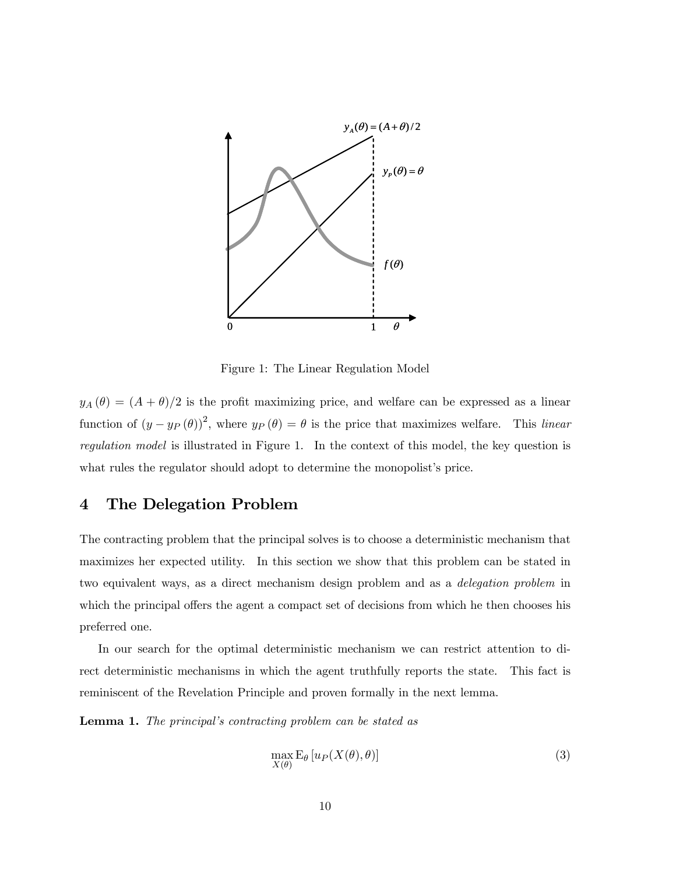

Figure 1: The Linear Regulation Model

 $y_A(\theta)=(A+\theta)/2$  is the profit maximizing price, and welfare can be expressed as a linear function of  $(y - y_P(\theta))^2$ , where  $y_P(\theta) = \theta$  is the price that maximizes welfare. This linear regulation model is illustrated in Figure 1. In the context of this model, the key question is what rules the regulator should adopt to determine the monopolist's price.

# 4 The Delegation Problem

The contracting problem that the principal solves is to choose a deterministic mechanism that maximizes her expected utility. In this section we show that this problem can be stated in two equivalent ways, as a direct mechanism design problem and as a delegation problem in which the principal offers the agent a compact set of decisions from which he then chooses his preferred one.

In our search for the optimal deterministic mechanism we can restrict attention to direct deterministic mechanisms in which the agent truthfully reports the state. This fact is reminiscent of the Revelation Principle and proven formally in the next lemma.

Lemma 1. The principal's contracting problem can be stated as

$$
\max_{X(\theta)} \mathcal{E}_{\theta} \left[ u_P(X(\theta), \theta) \right] \tag{3}
$$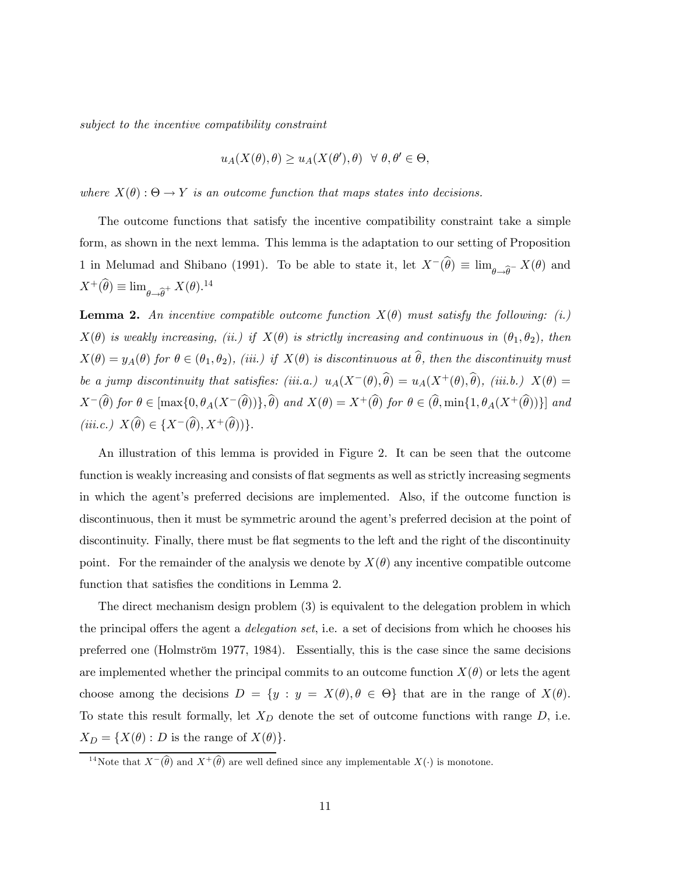subject to the incentive compatibility constraint

$$
u_A(X(\theta), \theta) \ge u_A(X(\theta'), \theta) \ \ \forall \ \theta, \theta' \in \Theta,
$$

where  $X(\theta): \Theta \to Y$  is an outcome function that maps states into decisions.

The outcome functions that satisfy the incentive compatibility constraint take a simple form, as shown in the next lemma. This lemma is the adaptation to our setting of Proposition 1 in Melumad and Shibano (1991). To be able to state it, let  $X^{-}(\theta) \equiv \lim_{\theta \to \widehat{\theta}} X(\theta)$  and  $X^+(\widehat{\theta}) \equiv \lim_{\theta \to \widehat{\theta}^+} X(\theta).^{14}$ 

**Lemma 2.** An incentive compatible outcome function  $X(\theta)$  must satisfy the following: (i.)  $X(\theta)$  is weakly increasing, (ii.) if  $X(\theta)$  is strictly increasing and continuous in  $(\theta_1, \theta_2)$ , then  $X(\theta) = y_A(\theta)$  for  $\theta \in (\theta_1, \theta_2)$ , (iii.) if  $X(\theta)$  is discontinuous at  $\hat{\theta}$ , then the discontinuity must be a jump discontinuity that satisfies: (iii.a.)  $u_A(X^-(\theta),\hat{\theta}) = u_A(X^+(\theta),\hat{\theta})$ , (iii.b.)  $X(\theta) =$  $X^-(\widehat{\theta})$  for  $\theta \in [\max\{0, \theta_A(X^-(\widehat{\theta}))\}, \widehat{\theta})$  and  $X(\theta) = X^+(\widehat{\theta})$  for  $\theta \in (\widehat{\theta}, \min\{1, \theta_A(X^+(\widehat{\theta}))\}]$  and  $(iii.c.) X(\widehat{\theta}) \in \{X^-(\widehat{\theta}), X^+(\widehat{\theta})\}.$ 

An illustration of this lemma is provided in Figure 2. It can be seen that the outcome function is weakly increasing and consists of flat segments as well as strictly increasing segments in which the agent's preferred decisions are implemented. Also, if the outcome function is discontinuous, then it must be symmetric around the agent's preferred decision at the point of discontinuity. Finally, there must be flat segments to the left and the right of the discontinuity point. For the remainder of the analysis we denote by  $X(\theta)$  any incentive compatible outcome function that satisfies the conditions in Lemma 2.

The direct mechanism design problem (3) is equivalent to the delegation problem in which the principal offers the agent a delegation set, i.e. a set of decisions from which he chooses his preferred one (Holmström 1977, 1984). Essentially, this is the case since the same decisions are implemented whether the principal commits to an outcome function  $X(\theta)$  or lets the agent choose among the decisions  $D = \{y : y = X(\theta), \theta \in \Theta\}$  that are in the range of  $X(\theta)$ . To state this result formally, let  $X_D$  denote the set of outcome functions with range  $D$ , i.e.  $X_D = \{X(\theta): D \text{ is the range of } X(\theta)\}.$ 

<sup>&</sup>lt;sup>14</sup>Note that  $X^{-}(\widehat{\theta})$  and  $X^{+}(\widehat{\theta})$  are well defined since any implementable  $X(\cdot)$  is monotone.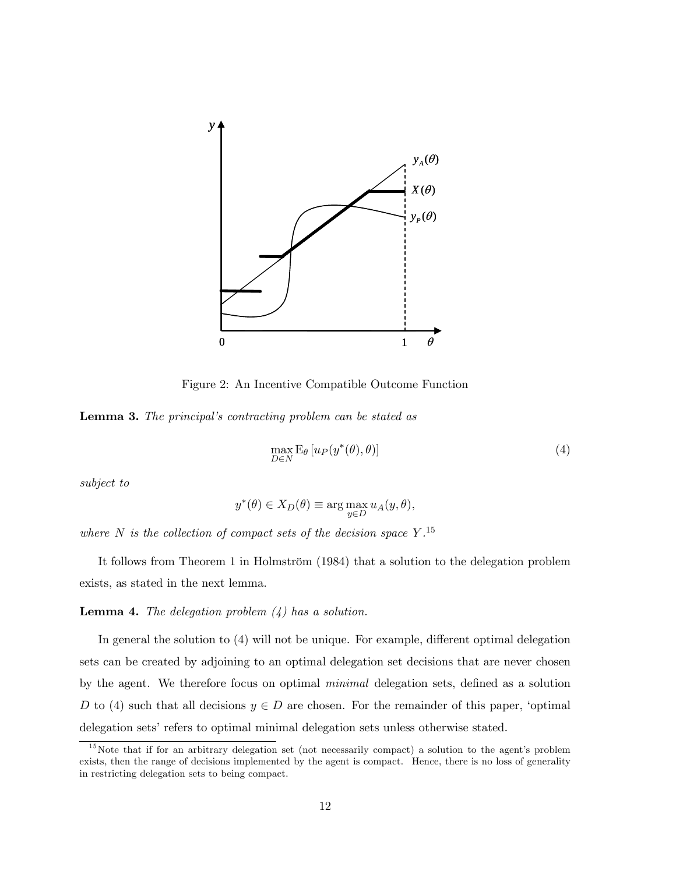

Figure 2: An Incentive Compatible Outcome Function

Lemma 3. The principal's contracting problem can be stated as

$$
\max_{D \in N} \mathcal{E}_{\theta} \left[ u_P(y^*(\theta), \theta) \right] \tag{4}
$$

subject to

$$
y^*(\theta) \in X_D(\theta) \equiv \arg \max_{y \in D} u_A(y, \theta),
$$

where N is the collection of compact sets of the decision space  $Y$ .<sup>15</sup>

It follows from Theorem 1 in Holmström (1984) that a solution to the delegation problem exists, as stated in the next lemma.

**Lemma 4.** The delegation problem  $(4)$  has a solution.

In general the solution to (4) will not be unique. For example, different optimal delegation sets can be created by adjoining to an optimal delegation set decisions that are never chosen by the agent. We therefore focus on optimal minimal delegation sets, defined as a solution D to (4) such that all decisions  $y \in D$  are chosen. For the remainder of this paper, 'optimal delegation sets' refers to optimal minimal delegation sets unless otherwise stated.

 $15$ Note that if for an arbitrary delegation set (not necessarily compact) a solution to the agent's problem exists, then the range of decisions implemented by the agent is compact. Hence, there is no loss of generality in restricting delegation sets to being compact.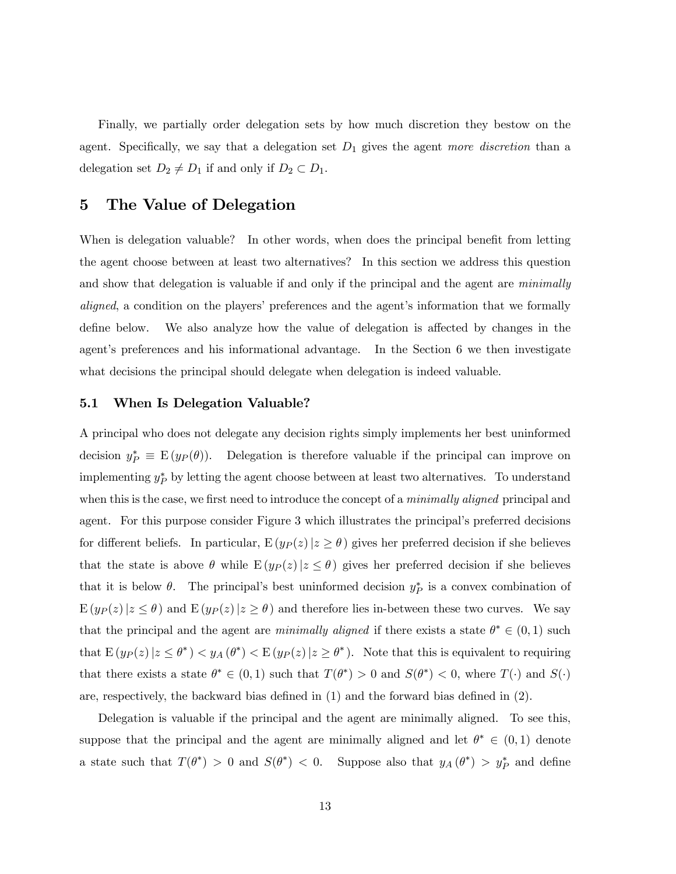Finally, we partially order delegation sets by how much discretion they bestow on the agent. Specifically, we say that a delegation set  $D_1$  gives the agent more discretion than a delegation set  $D_2 \neq D_1$  if and only if  $D_2 \subset D_1$ .

# 5 The Value of Delegation

When is delegation valuable? In other words, when does the principal benefit from letting the agent choose between at least two alternatives? In this section we address this question and show that delegation is valuable if and only if the principal and the agent are *minimally* aligned, a condition on the players' preferences and the agent's information that we formally define below. We also analyze how the value of delegation is affected by changes in the agent's preferences and his informational advantage. In the Section 6 we then investigate what decisions the principal should delegate when delegation is indeed valuable.

#### 5.1 When Is Delegation Valuable?

A principal who does not delegate any decision rights simply implements her best uninformed decision  $y_P^* \equiv E(y_P(\theta))$ . Delegation is therefore valuable if the principal can improve on implementing  $y_P^*$  by letting the agent choose between at least two alternatives. To understand when this is the case, we first need to introduce the concept of a minimally aligned principal and agent. For this purpose consider Figure 3 which illustrates the principal's preferred decisions for different beliefs. In particular,  $E(y_P(z)|z \ge \theta)$  gives her preferred decision if she believes that the state is above  $\theta$  while  $E(y_P(z)|z \leq \theta)$  gives her preferred decision if she believes that it is below  $\theta$ . The principal's best uninformed decision  $y_P^*$  is a convex combination of  $E(y_P(z)|z \leq \theta)$  and  $E(y_P(z)|z \geq \theta)$  and therefore lies in-between these two curves. We say that the principal and the agent are minimally aligned if there exists a state  $\theta^* \in (0,1)$  such that  $E(y_P(z)|z \leq \theta^*) < y_A(\theta^*) < E(y_P(z)|z \geq \theta^*)$ . Note that this is equivalent to requiring that there exists a state  $\theta^* \in (0,1)$  such that  $T(\theta^*) > 0$  and  $S(\theta^*) < 0$ , where  $T(\cdot)$  and  $S(\cdot)$ are, respectively, the backward bias defined in (1) and the forward bias defined in (2).

Delegation is valuable if the principal and the agent are minimally aligned. To see this, suppose that the principal and the agent are minimally aligned and let  $\theta^* \in (0,1)$  denote a state such that  $T(\theta^*) > 0$  and  $S(\theta^*) < 0$ . Suppose also that  $y_A(\theta^*) > y_P^*$  and define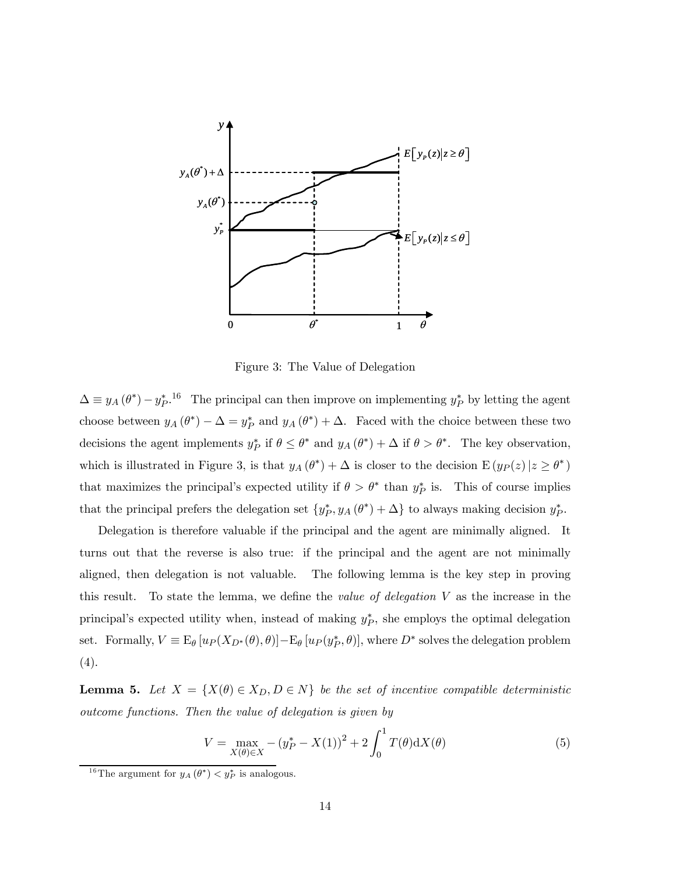

Figure 3: The Value of Delegation

 $\Delta \equiv y_A (\theta^*) - y_P^*$ <sup>16</sup> The principal can then improve on implementing  $y_P^*$  by letting the agent choose between  $y_A(\theta^*) - \Delta = y_P^*$  and  $y_A(\theta^*) + \Delta$ . Faced with the choice between these two decisions the agent implements  $y_P^*$  if  $\theta \leq \theta^*$  and  $y_A(\theta^*) + \Delta$  if  $\theta > \theta^*$ . The key observation, which is illustrated in Figure 3, is that  $y_A(\theta^*) + \Delta$  is closer to the decision  $E(y_P(z)|z \ge \theta^*)$ that maximizes the principal's expected utility if  $\theta > \theta^*$  than  $y_P^*$  is. This of course implies that the principal prefers the delegation set  $\{y_P^*, y_A(\theta^*) + \Delta\}$  to always making decision  $y_P^*$ .

Delegation is therefore valuable if the principal and the agent are minimally aligned. It turns out that the reverse is also true: if the principal and the agent are not minimally aligned, then delegation is not valuable. The following lemma is the key step in proving this result. To state the lemma, we define the value of delegation V as the increase in the principal's expected utility when, instead of making  $y_P^*$ , she employs the optimal delegation set. Formally,  $V \equiv E_{\theta} [u_P(X_{D^*}(\theta), \theta)] - E_{\theta} [u_P(y_P^*, \theta)]$ , where  $D^*$  solves the delegation problem (4).

**Lemma 5.** Let  $X = \{X(\theta) \in X_D, D \in N\}$  be the set of incentive compatible deterministic outcome functions. Then the value of delegation is given by

$$
V = \max_{X(\theta) \in X} - (y_P^* - X(1))^2 + 2 \int_0^1 T(\theta) dX(\theta)
$$
 (5)

<sup>&</sup>lt;sup>16</sup>The argument for  $y_A(\theta^*) < y_P^*$  is analogous.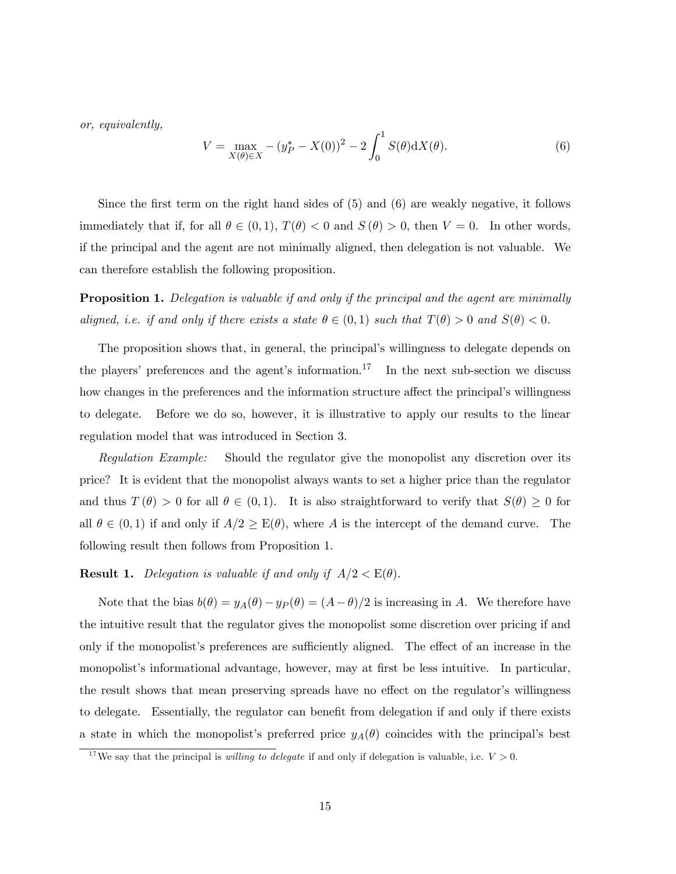or, equivalently,

$$
V = \max_{X(\theta) \in X} - (y_P^* - X(0))^2 - 2 \int_0^1 S(\theta) dX(\theta).
$$
 (6)

Since the first term on the right hand sides of (5) and (6) are weakly negative, it follows immediately that if, for all  $\theta \in (0,1)$ ,  $T(\theta) < 0$  and  $S(\theta) > 0$ , then  $V = 0$ . In other words, if the principal and the agent are not minimally aligned, then delegation is not valuable. We can therefore establish the following proposition.

**Proposition 1.** Delegation is valuable if and only if the principal and the agent are minimally aligned, i.e. if and only if there exists a state  $\theta \in (0,1)$  such that  $T(\theta) > 0$  and  $S(\theta) < 0$ .

The proposition shows that, in general, the principal's willingness to delegate depends on the players' preferences and the agent's information.<sup>17</sup> In the next sub-section we discuss how changes in the preferences and the information structure affect the principal's willingness to delegate. Before we do so, however, it is illustrative to apply our results to the linear regulation model that was introduced in Section 3.

Regulation Example: Should the regulator give the monopolist any discretion over its price? It is evident that the monopolist always wants to set a higher price than the regulator and thus  $T(\theta) > 0$  for all  $\theta \in (0,1)$ . It is also straightforward to verify that  $S(\theta) \geq 0$  for all  $\theta \in (0,1)$  if and only if  $A/2 \geq E(\theta)$ , where A is the intercept of the demand curve. The following result then follows from Proposition 1.

**Result 1.** Delegation is valuable if and only if  $A/2 < E(\theta)$ .

Note that the bias  $b(\theta) = y_A(\theta) - y_P(\theta) = (A - \theta)/2$  is increasing in A. We therefore have the intuitive result that the regulator gives the monopolist some discretion over pricing if and only if the monopolist's preferences are sufficiently aligned. The effect of an increase in the monopolist's informational advantage, however, may at first be less intuitive. In particular, the result shows that mean preserving spreads have no effect on the regulator's willingness to delegate. Essentially, the regulator can benefit from delegation if and only if there exists a state in which the monopolist's preferred price  $y_A(\theta)$  coincides with the principal's best

<sup>&</sup>lt;sup>17</sup>We say that the principal is *willing to delegate* if and only if delegation is valuable, i.e.  $V > 0$ .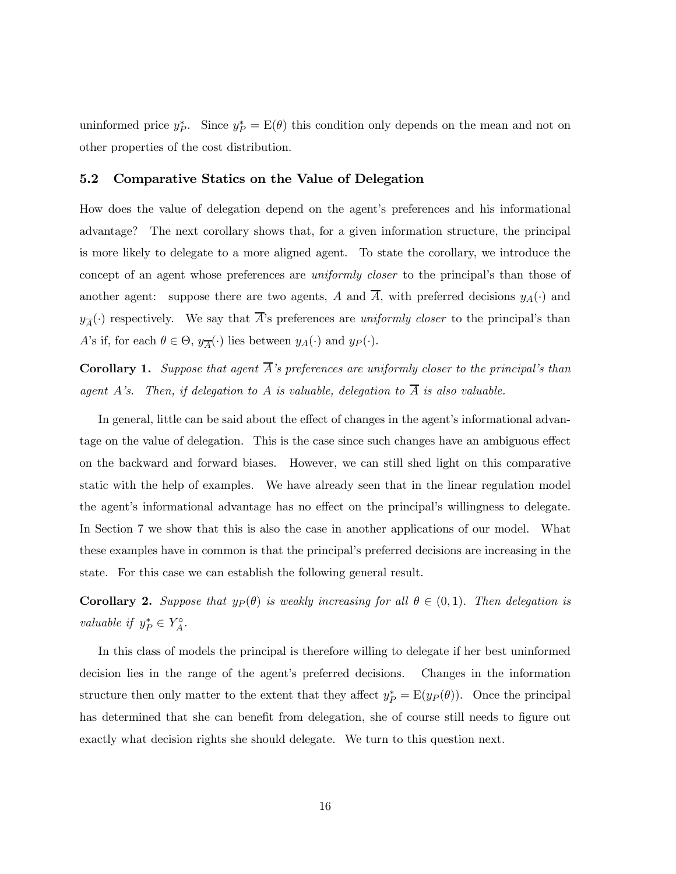uninformed price  $y_P^*$ . Since  $y_P^* = E(\theta)$  this condition only depends on the mean and not on other properties of the cost distribution.

#### 5.2 Comparative Statics on the Value of Delegation

How does the value of delegation depend on the agent's preferences and his informational advantage? The next corollary shows that, for a given information structure, the principal is more likely to delegate to a more aligned agent. To state the corollary, we introduce the concept of an agent whose preferences are uniformly closer to the principal's than those of another agent: suppose there are two agents, A and  $\overline{A}$ , with preferred decisions  $y_A(\cdot)$  and  $y_{\overline{A}}(\cdot)$  respectively. We say that  $\overline{A}$ 's preferences are uniformly closer to the principal's than A's if, for each  $\theta \in \Theta$ ,  $y_{\overline{A}}(\cdot)$  lies between  $y_A(\cdot)$  and  $y_P(\cdot)$ .

**Corollary 1.** Suppose that agent  $\overline{A}$ 's preferences are uniformly closer to the principal's than agent A's. Then, if delegation to A is valuable, delegation to  $\overline{A}$  is also valuable.

In general, little can be said about the effect of changes in the agent's informational advantage on the value of delegation. This is the case since such changes have an ambiguous effect on the backward and forward biases. However, we can still shed light on this comparative static with the help of examples. We have already seen that in the linear regulation model the agent's informational advantage has no effect on the principal's willingness to delegate. In Section 7 we show that this is also the case in another applications of our model. What these examples have in common is that the principal's preferred decisions are increasing in the state. For this case we can establish the following general result.

**Corollary 2.** Suppose that  $y_P(\theta)$  is weakly increasing for all  $\theta \in (0,1)$ . Then delegation is valuable if  $y_P^* \in Y_A^{\circ}$ .

In this class of models the principal is therefore willing to delegate if her best uninformed decision lies in the range of the agent's preferred decisions. Changes in the information structure then only matter to the extent that they affect  $y_P^* = \mathbb{E}(y_P(\theta))$ . Once the principal has determined that she can benefit from delegation, she of course still needs to figure out exactly what decision rights she should delegate. We turn to this question next.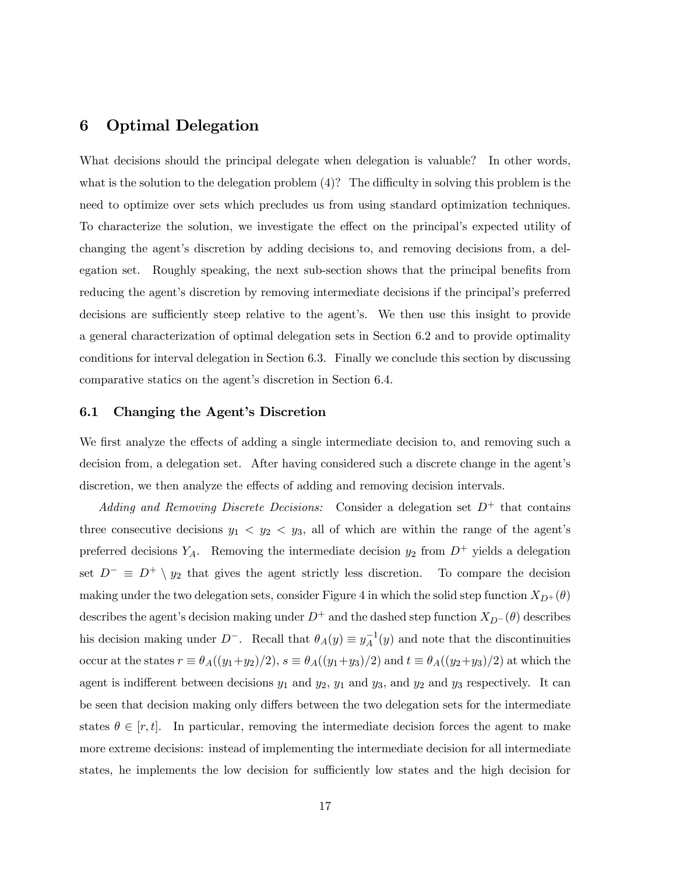# 6 Optimal Delegation

What decisions should the principal delegate when delegation is valuable? In other words, what is the solution to the delegation problem (4)? The difficulty in solving this problem is the need to optimize over sets which precludes us from using standard optimization techniques. To characterize the solution, we investigate the effect on the principal's expected utility of changing the agent's discretion by adding decisions to, and removing decisions from, a delegation set. Roughly speaking, the next sub-section shows that the principal benefits from reducing the agent's discretion by removing intermediate decisions if the principal's preferred decisions are sufficiently steep relative to the agent's. We then use this insight to provide a general characterization of optimal delegation sets in Section 6.2 and to provide optimality conditions for interval delegation in Section 6.3. Finally we conclude this section by discussing comparative statics on the agent's discretion in Section 6.4.

#### 6.1 Changing the Agent's Discretion

We first analyze the effects of adding a single intermediate decision to, and removing such a decision from, a delegation set. After having considered such a discrete change in the agent's discretion, we then analyze the effects of adding and removing decision intervals.

Adding and Removing Discrete Decisions: Consider a delegation set  $D^+$  that contains three consecutive decisions  $y_1 \langle y_2 \rangle \langle y_3 \rangle$  all of which are within the range of the agent's preferred decisions  $Y_A$ . Removing the intermediate decision  $y_2$  from  $D^+$  yields a delegation set  $D^{-} \equiv D^{+} \setminus y_2$  that gives the agent strictly less discretion. To compare the decision making under the two delegation sets, consider Figure 4 in which the solid step function  $X_{D^+}(\theta)$ describes the agent's decision making under  $D^+$  and the dashed step function  $X_{D}^-(\theta)$  describes his decision making under  $D^-$ . Recall that  $\theta_A(y) \equiv y_A^{-1}(y)$  and note that the discontinuities occur at the states  $r \equiv \theta_A((y_1+y_2)/2)$ ,  $s \equiv \theta_A((y_1+y_3)/2)$  and  $t \equiv \theta_A((y_2+y_3)/2)$  at which the agent is indifferent between decisions  $y_1$  and  $y_2$ ,  $y_1$  and  $y_3$ , and  $y_2$  and  $y_3$  respectively. It can be seen that decision making only differs between the two delegation sets for the intermediate states  $\theta \in [r, t]$ . In particular, removing the intermediate decision forces the agent to make more extreme decisions: instead of implementing the intermediate decision for all intermediate states, he implements the low decision for sufficiently low states and the high decision for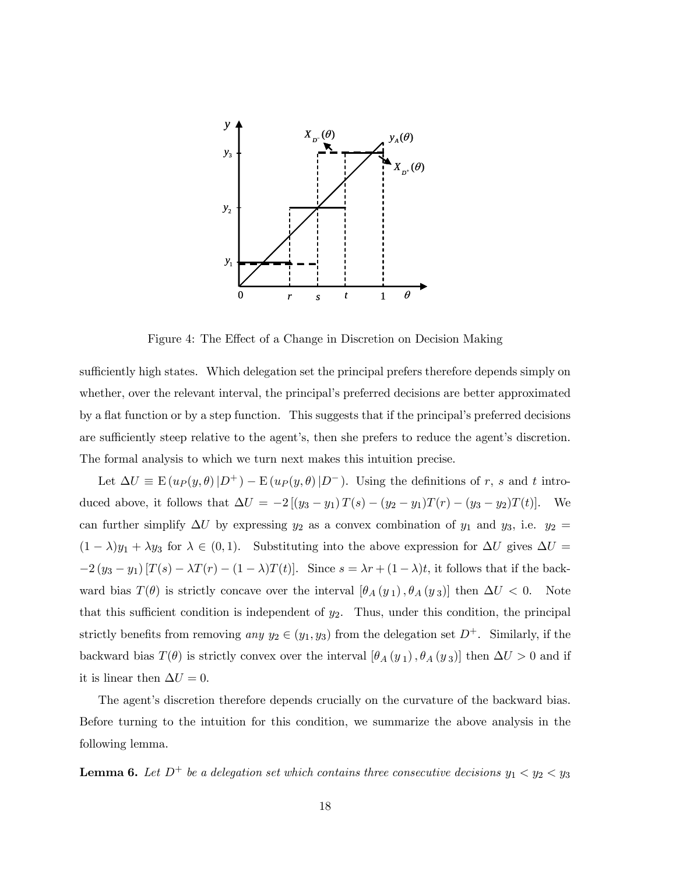

Figure 4: The Effect of a Change in Discretion on Decision Making

sufficiently high states. Which delegation set the principal prefers therefore depends simply on whether, over the relevant interval, the principal's preferred decisions are better approximated by a flat function or by a step function. This suggests that if the principal's preferred decisions are sufficiently steep relative to the agent's, then she prefers to reduce the agent's discretion. The formal analysis to which we turn next makes this intuition precise.

Let  $\Delta U \equiv E(u_P(y, \theta) | D^+) - E(u_P(y, \theta) | D^-)$ . Using the definitions of r, s and t introduced above, it follows that  $\Delta U = -2 [(y_3 - y_1) T(s) - (y_2 - y_1) T(r) - (y_3 - y_2) T(t)].$  We can further simplify  $\Delta U$  by expressing  $y_2$  as a convex combination of  $y_1$  and  $y_3$ , i.e.  $y_2$  =  $(1 - \lambda)y_1 + \lambda y_3$  for  $\lambda \in (0, 1)$ . Substituting into the above expression for  $\Delta U$  gives  $\Delta U =$  $-2(y_3 - y_1) [T(s) - \lambda T(r) - (1 - \lambda) T(t)].$  Since  $s = \lambda r + (1 - \lambda)t$ , it follows that if the backward bias  $T(\theta)$  is strictly concave over the interval  $[\theta_A(y_1), \theta_A(y_3)]$  then  $\Delta U < 0$ . Note that this sufficient condition is independent of  $y_2$ . Thus, under this condition, the principal strictly benefits from removing any  $y_2 \in (y_1, y_3)$  from the delegation set  $D^+$ . Similarly, if the backward bias  $T(\theta)$  is strictly convex over the interval  $[\theta_A(y_1), \theta_A(y_3)]$  then  $\Delta U > 0$  and if it is linear then  $\Delta U = 0$ .

The agent's discretion therefore depends crucially on the curvature of the backward bias. Before turning to the intuition for this condition, we summarize the above analysis in the following lemma.

**Lemma 6.** Let  $D^+$  be a delegation set which contains three consecutive decisions  $y_1 < y_2 < y_3$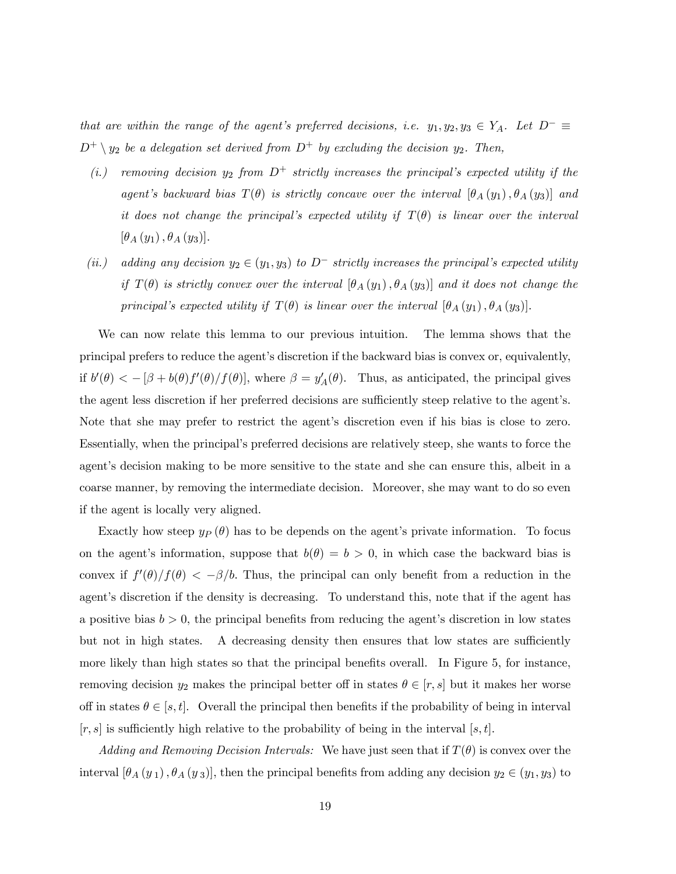that are within the range of the agent's preferred decisions, i.e.  $y_1, y_2, y_3 \in Y_A$ . Let  $D^- \equiv$  $D^+ \setminus y_2$  be a delegation set derived from  $D^+$  by excluding the decision  $y_2$ . Then,

- (i.) removing decision  $y_2$  from  $D^+$  strictly increases the principal's expected utility if the agent's backward bias  $T(\theta)$  is strictly concave over the interval  $[\theta_A(y_1), \theta_A(y_3)]$  and it does not change the principal's expected utility if  $T(\theta)$  is linear over the interval  $[\theta_{A}(y_1), \theta_{A}(y_3)].$
- (ii.) adding any decision  $y_2 \in (y_1, y_3)$  to  $D^-$  strictly increases the principal's expected utility if  $T(\theta)$  is strictly convex over the interval  $[\theta_A(y_1), \theta_A(y_3)]$  and it does not change the principal's expected utility if  $T(\theta)$  is linear over the interval  $[\theta_A(y_1), \theta_A(y_3)]$ .

We can now relate this lemma to our previous intuition. The lemma shows that the principal prefers to reduce the agent's discretion if the backward bias is convex or, equivalently, if  $b'(\theta) < -[\beta + b(\theta)f'(\theta)/f(\theta)]$ , where  $\beta = y'_A(\theta)$ . Thus, as anticipated, the principal gives the agent less discretion if her preferred decisions are sufficiently steep relative to the agent's. Note that she may prefer to restrict the agent's discretion even if his bias is close to zero. Essentially, when the principal's preferred decisions are relatively steep, she wants to force the agent's decision making to be more sensitive to the state and she can ensure this, albeit in a coarse manner, by removing the intermediate decision. Moreover, she may want to do so even if the agent is locally very aligned.

Exactly how steep  $y_P(\theta)$  has to be depends on the agent's private information. To focus on the agent's information, suppose that  $b(\theta) = b > 0$ , in which case the backward bias is convex if  $f'(\theta)/f(\theta) < -\beta/b$ . Thus, the principal can only benefit from a reduction in the agent's discretion if the density is decreasing. To understand this, note that if the agent has a positive bias  $b > 0$ , the principal benefits from reducing the agent's discretion in low states but not in high states. A decreasing density then ensures that low states are sufficiently more likely than high states so that the principal benefits overall. In Figure 5, for instance, removing decision  $y_2$  makes the principal better off in states  $\theta \in [r, s]$  but it makes her worse off in states  $\theta \in [s, t]$ . Overall the principal then benefits if the probability of being in interval  $[r, s]$  is sufficiently high relative to the probability of being in the interval  $[s, t]$ .

Adding and Removing Decision Intervals: We have just seen that if  $T(\theta)$  is convex over the interval  $[\theta_A(y_1), \theta_A(y_3)]$ , then the principal benefits from adding any decision  $y_2 \in (y_1, y_3)$  to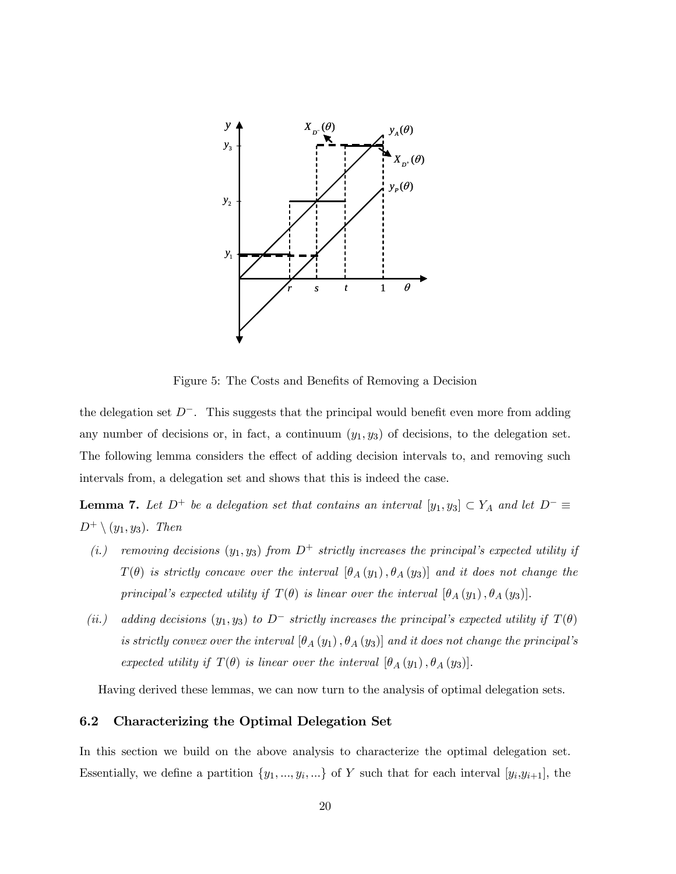

Figure 5: The Costs and Benefits of Removing a Decision

the delegation set  $D^-$ . This suggests that the principal would benefit even more from adding any number of decisions or, in fact, a continuum  $(y_1, y_3)$  of decisions, to the delegation set. The following lemma considers the effect of adding decision intervals to, and removing such intervals from, a delegation set and shows that this is indeed the case.

**Lemma 7.** Let  $D^+$  be a delegation set that contains an interval  $[y_1, y_3] \subset Y_A$  and let  $D^- \equiv$  $D^+ \setminus (y_1, y_3)$ . Then

- (i.) removing decisions  $(y_1, y_3)$  from  $D^+$  strictly increases the principal's expected utility if  $T(\theta)$  is strictly concave over the interval  $[\theta_A(y_1), \theta_A(y_3)]$  and it does not change the principal's expected utility if  $T(\theta)$  is linear over the interval  $[\theta_A(y_1), \theta_A(y_3)]$ .
- (ii.) adding decisions  $(y_1, y_3)$  to  $D^-$  strictly increases the principal's expected utility if  $T(\theta)$ is strictly convex over the interval  $[\theta_A(y_1), \theta_A(y_3)]$  and it does not change the principal's expected utility if  $T(\theta)$  is linear over the interval  $[\theta_A(y_1), \theta_A(y_3)]$ .

Having derived these lemmas, we can now turn to the analysis of optimal delegation sets.

#### 6.2 Characterizing the Optimal Delegation Set

In this section we build on the above analysis to characterize the optimal delegation set. Essentially, we define a partition  $\{y_1, ..., y_i, ...\}$  of Y such that for each interval  $[y_i,y_{i+1}]$ , the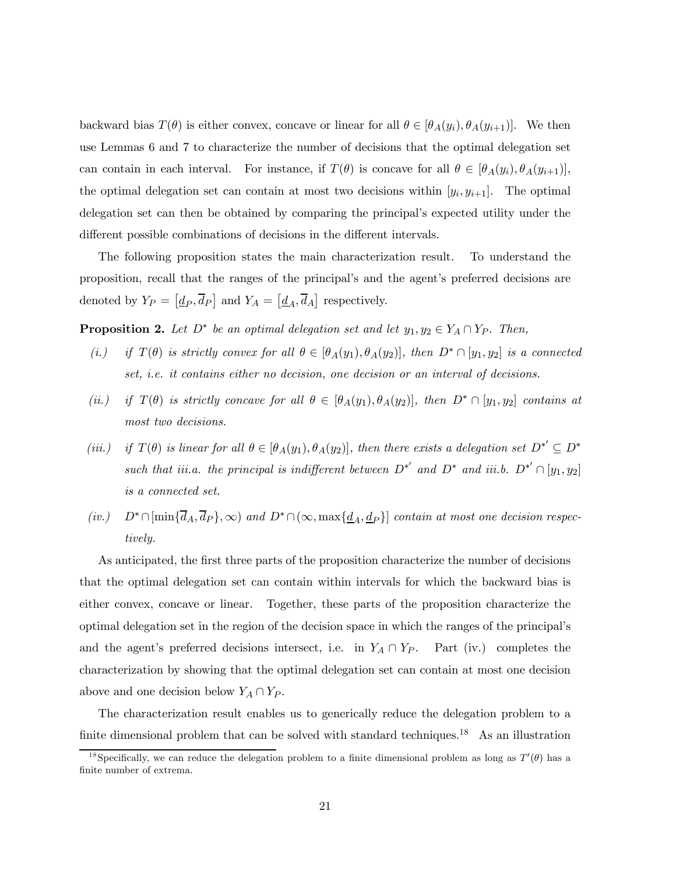backward bias  $T(\theta)$  is either convex, concave or linear for all  $\theta \in [\theta_A(y_i), \theta_A(y_{i+1})]$ . We then use Lemmas 6 and 7 to characterize the number of decisions that the optimal delegation set can contain in each interval. For instance, if  $T(\theta)$  is concave for all  $\theta \in [\theta_A(y_i), \theta_A(y_{i+1})],$ the optimal delegation set can contain at most two decisions within  $[y_i, y_{i+1}]$ . The optimal delegation set can then be obtained by comparing the principal's expected utility under the different possible combinations of decisions in the different intervals.

The following proposition states the main characterization result. To understand the proposition, recall that the ranges of the principal's and the agent's preferred decisions are denoted by  $Y_P = [\underline{d}_P, \overline{d}_P]$  and  $Y_A = [\underline{d}_A, \overline{d}_A]$  respectively.

**Proposition 2.** Let  $D^*$  be an optimal delegation set and let  $y_1, y_2 \in Y_A \cap Y_P$ . Then,

- (i.) if  $T(\theta)$  is strictly convex for all  $\theta \in [\theta_A(y_1), \theta_A(y_2)]$ , then  $D^* \cap [y_1, y_2]$  is a connected set, i.e. it contains either no decision, one decision or an interval of decisions.
- (ii.) if  $T(\theta)$  is strictly concave for all  $\theta \in [\theta_A(y_1), \theta_A(y_2)]$ , then  $D^* \cap [y_1, y_2]$  contains at most two decisions.
- (iii.) if  $T(\theta)$  is linear for all  $\theta \in [\theta_A(y_1), \theta_A(y_2)]$ , then there exists a delegation set  $D^{*'} \subseteq D^{*}$ such that iii.a. the principal is indifferent between  $D^{*'}$  and  $D^{*}$  and iii.b.  $D^{*'} \cap [y_1, y_2]$ is a connected set.
- (iv.)  $D^* \cap [\min\{\overline{d}_A, \overline{d}_P\}, \infty)$  and  $D^* \cap (\infty, \max\{\underline{d}_A, \underline{d}_P\}]$  contain at most one decision respectively.

As anticipated, the first three parts of the proposition characterize the number of decisions that the optimal delegation set can contain within intervals for which the backward bias is either convex, concave or linear. Together, these parts of the proposition characterize the optimal delegation set in the region of the decision space in which the ranges of the principal's and the agent's preferred decisions intersect, i.e. in  $Y_A \cap Y_P$ . Part (iv.) completes the characterization by showing that the optimal delegation set can contain at most one decision above and one decision below  $Y_A \cap Y_P$ .

The characterization result enables us to generically reduce the delegation problem to a finite dimensional problem that can be solved with standard techniques.<sup>18</sup> As an illustration

<sup>&</sup>lt;sup>18</sup> Specifically, we can reduce the delegation problem to a finite dimensional problem as long as  $T'(\theta)$  has a finite number of extrema.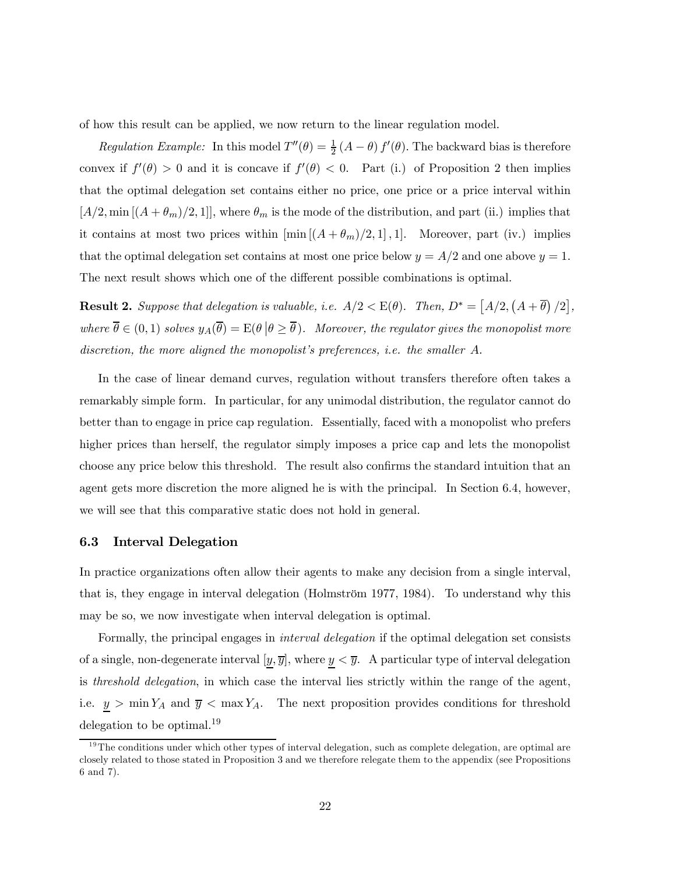of how this result can be applied, we now return to the linear regulation model.

Regulation Example: In this model  $T''(\theta) = \frac{1}{2} (A - \theta) f'(\theta)$ . The backward bias is therefore convex if  $f'(\theta) > 0$  and it is concave if  $f'(\theta) < 0$ . Part (i.) of Proposition 2 then implies that the optimal delegation set contains either no price, one price or a price interval within  $[A/2, \min[(A + \theta_m)/2, 1]]$ , where  $\theta_m$  is the mode of the distribution, and part (ii.) implies that it contains at most two prices within  $[\min[(A+\theta_m)/2,1],1]$ . Moreover, part (iv.) implies that the optimal delegation set contains at most one price below  $y = A/2$  and one above  $y = 1$ . The next result shows which one of the different possible combinations is optimal.

**Result 2.** Suppose that delegation is valuable, i.e.  $A/2 < E(\theta)$ . Then,  $D^* = [A/2, (A + \overline{\theta})/2]$ , where  $\overline{\theta} \in (0,1)$  solves  $y_A(\overline{\theta}) = E(\theta | \theta \ge \overline{\theta})$ . Moreover, the regulator gives the monopolist more discretion, the more aligned the monopolist's preferences, i.e. the smaller A.

In the case of linear demand curves, regulation without transfers therefore often takes a remarkably simple form. In particular, for any unimodal distribution, the regulator cannot do better than to engage in price cap regulation. Essentially, faced with a monopolist who prefers higher prices than herself, the regulator simply imposes a price cap and lets the monopolist choose any price below this threshold. The result also confirms the standard intuition that an agent gets more discretion the more aligned he is with the principal. In Section 6.4, however, we will see that this comparative static does not hold in general.

#### 6.3 Interval Delegation

In practice organizations often allow their agents to make any decision from a single interval, that is, they engage in interval delegation (Holmström 1977, 1984). To understand why this may be so, we now investigate when interval delegation is optimal.

Formally, the principal engages in interval delegation if the optimal delegation set consists of a single, non-degenerate interval  $[y, \overline{y}]$ , where  $y < \overline{y}$ . A particular type of interval delegation is threshold delegation, in which case the interval lies strictly within the range of the agent, i.e.  $y > \min Y_A$  and  $\overline{y} < \max Y_A$ . The next proposition provides conditions for threshold delegation to be optimal.<sup>19</sup>

 $19$ The conditions under which other types of interval delegation, such as complete delegation, are optimal are closely related to those stated in Proposition 3 and we therefore relegate them to the appendix (see Propositions 6 and 7).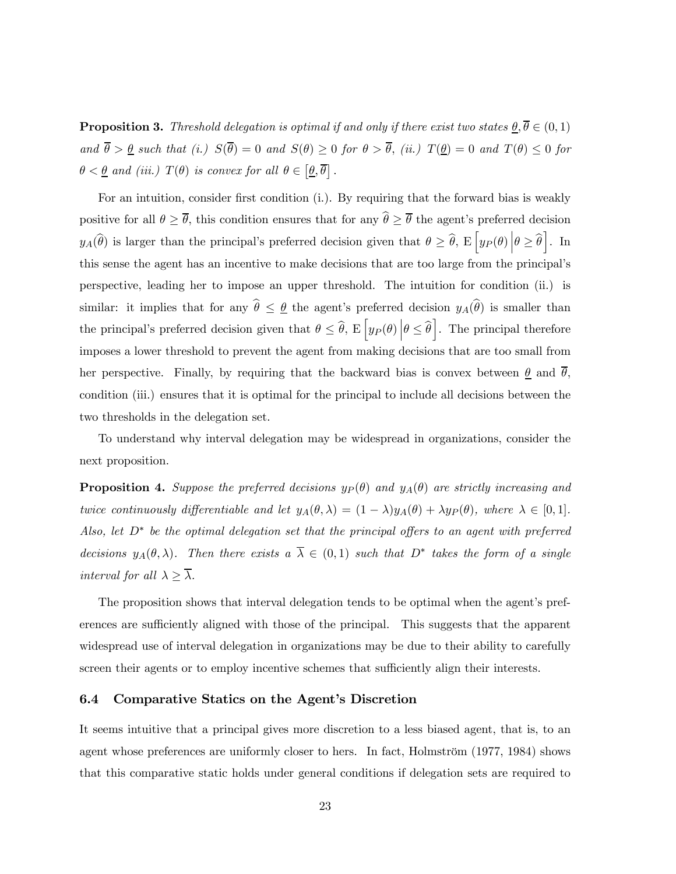**Proposition 3.** Threshold delegation is optimal if and only if there exist two states  $\theta, \overline{\theta} \in (0, 1)$ and  $\overline{\theta} > \underline{\theta}$  such that (i.)  $S(\overline{\theta}) = 0$  and  $S(\theta) \ge 0$  for  $\theta > \overline{\theta}$ , (ii.)  $T(\underline{\theta}) = 0$  and  $T(\theta) \le 0$  for  $\theta < \underline{\theta}$  and (iii.)  $T(\theta)$  is convex for all  $\theta \in [\underline{\theta}, \overline{\theta}]$ .

For an intuition, consider first condition (i.). By requiring that the forward bias is weakly positive for all  $\theta \geq \overline{\theta}$ , this condition ensures that for any  $\hat{\theta} \geq \overline{\theta}$  the agent's preferred decision  $y_A(\hat{\theta})$  is larger than the principal's preferred decision given that  $\theta \geq \hat{\theta}$ ,  $E\left[y_P(\theta) \middle| \theta \geq \hat{\theta}\right]$ . In this sense the agent has an incentive to make decisions that are too large from the principal's perspective, leading her to impose an upper threshold. The intuition for condition (ii.) is similar: it implies that for any  $\hat{\theta} \leq \theta$  the agent's preferred decision  $y_A(\hat{\theta})$  is smaller than the principal's preferred decision given that  $\theta \leq \hat{\theta}$ ,  $E\left[y_P(\theta) | \theta \leq \hat{\theta}\right]$ . The principal therefore imposes a lower threshold to prevent the agent from making decisions that are too small from her perspective. Finally, by requiring that the backward bias is convex between  $\theta$  and  $\theta$ , condition (iii.) ensures that it is optimal for the principal to include all decisions between the two thresholds in the delegation set.

To understand why interval delegation may be widespread in organizations, consider the next proposition.

**Proposition 4.** Suppose the preferred decisions  $y_P(\theta)$  and  $y_A(\theta)$  are strictly increasing and twice continuously differentiable and let  $y_A(\theta, \lambda) = (1 - \lambda)y_A(\theta) + \lambda y_P(\theta)$ , where  $\lambda \in [0, 1]$ . Also, let  $D^*$  be the optimal delegation set that the principal offers to an agent with preferred decisions  $y_A(\theta, \lambda)$ . Then there exists  $a \overline{\lambda} \in (0,1)$  such that  $D^*$  takes the form of a single interval for all  $\lambda \geq \overline{\lambda}$ .

The proposition shows that interval delegation tends to be optimal when the agent's preferences are sufficiently aligned with those of the principal. This suggests that the apparent widespread use of interval delegation in organizations may be due to their ability to carefully screen their agents or to employ incentive schemes that sufficiently align their interests.

#### 6.4 Comparative Statics on the Agent's Discretion

It seems intuitive that a principal gives more discretion to a less biased agent, that is, to an agent whose preferences are uniformly closer to hers. In fact, Holmström (1977, 1984) shows that this comparative static holds under general conditions if delegation sets are required to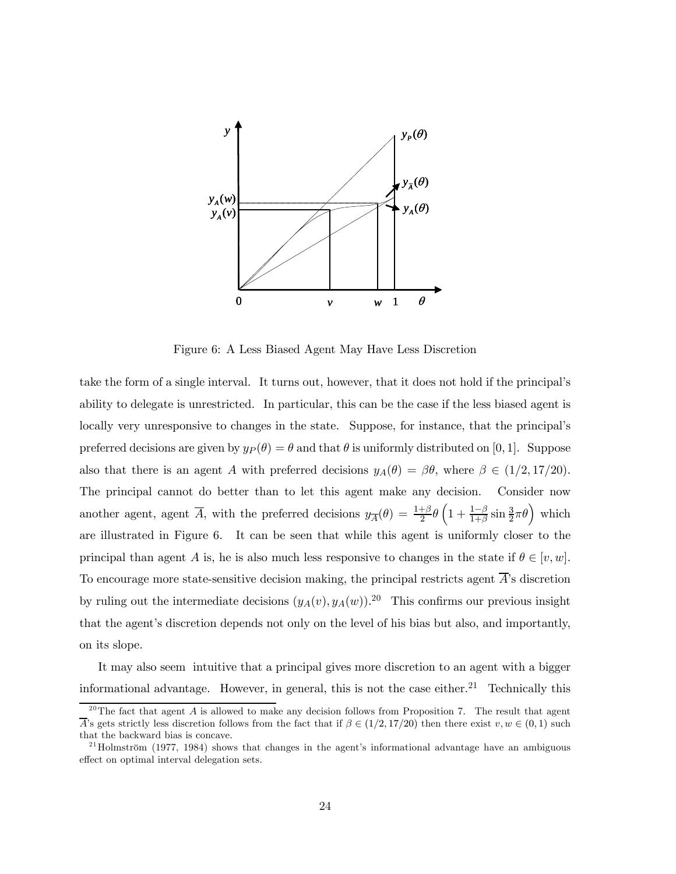

Figure 6: A Less Biased Agent May Have Less Discretion

take the form of a single interval. It turns out, however, that it does not hold if the principal's ability to delegate is unrestricted. In particular, this can be the case if the less biased agent is locally very unresponsive to changes in the state. Suppose, for instance, that the principal's preferred decisions are given by  $y_P(\theta) = \theta$  and that  $\theta$  is uniformly distributed on [0, 1]. Suppose also that there is an agent A with preferred decisions  $y_A(\theta) = \beta \theta$ , where  $\beta \in (1/2, 17/20)$ . The principal cannot do better than to let this agent make any decision. Consider now another agent, agent  $\overline{A}$ , with the preferred decisions  $y_{\overline{A}}(\theta) = \frac{1+\beta}{2}\theta \left(1 + \frac{1-\beta}{1+\beta}\sin \frac{3\beta}{2}\pi\theta\right)$  which are illustrated in Figure 6. It can be seen that while this agent is uniformly closer to the principal than agent A is, he is also much less responsive to changes in the state if  $\theta \in [v, w]$ . To encourage more state-sensitive decision making, the principal restricts agent  $\overline{A}$ 's discretion by ruling out the intermediate decisions  $(y_A(v), y_A(w))$ .<sup>20</sup> This confirms our previous insight that the agent's discretion depends not only on the level of his bias but also, and importantly, on its slope.

It may also seem intuitive that a principal gives more discretion to an agent with a bigger informational advantage. However, in general, this is not the case either.<sup>21</sup> Technically this

<sup>&</sup>lt;sup>20</sup>The fact that agent A is allowed to make any decision follows from Proposition 7. The result that agent A's gets strictly less discretion follows from the fact that if  $\beta \in (1/2, 17/20)$  then there exist  $v, w \in (0, 1)$  such that the backward bias is concave.

 $^{21}$ Holmström (1977, 1984) shows that changes in the agent's informational advantage have an ambiguous effect on optimal interval delegation sets.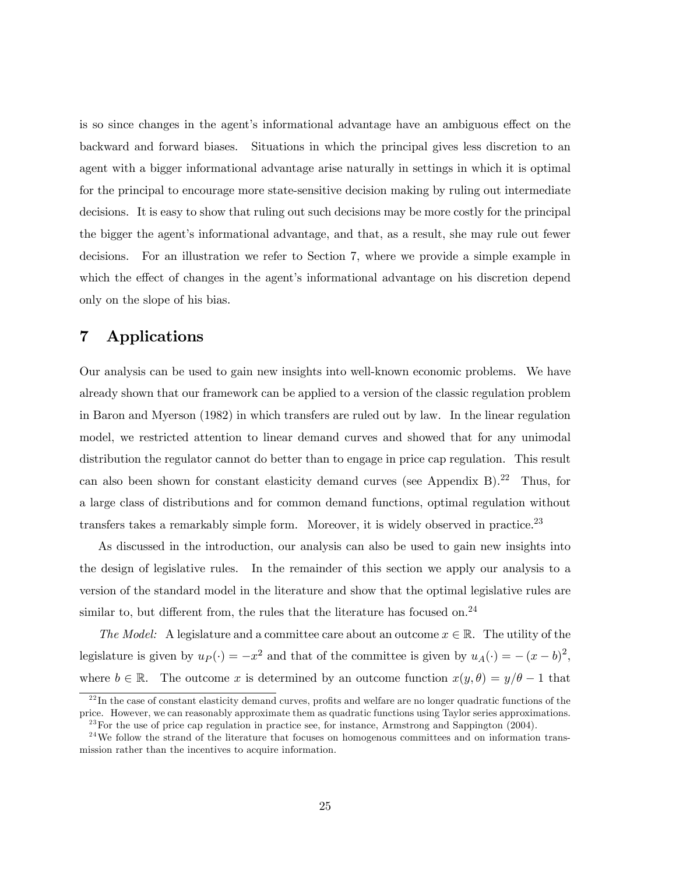is so since changes in the agent's informational advantage have an ambiguous effect on the backward and forward biases. Situations in which the principal gives less discretion to an agent with a bigger informational advantage arise naturally in settings in which it is optimal for the principal to encourage more state-sensitive decision making by ruling out intermediate decisions. It is easy to show that ruling out such decisions may be more costly for the principal the bigger the agent's informational advantage, and that, as a result, she may rule out fewer decisions. For an illustration we refer to Section 7, where we provide a simple example in which the effect of changes in the agent's informational advantage on his discretion depend only on the slope of his bias.

# 7 Applications

Our analysis can be used to gain new insights into well-known economic problems. We have already shown that our framework can be applied to a version of the classic regulation problem in Baron and Myerson (1982) in which transfers are ruled out by law. In the linear regulation model, we restricted attention to linear demand curves and showed that for any unimodal distribution the regulator cannot do better than to engage in price cap regulation. This result can also been shown for constant elasticity demand curves (see Appendix B).<sup>22</sup> Thus, for a large class of distributions and for common demand functions, optimal regulation without transfers takes a remarkably simple form. Moreover, it is widely observed in practice. $^{23}$ 

As discussed in the introduction, our analysis can also be used to gain new insights into the design of legislative rules. In the remainder of this section we apply our analysis to a version of the standard model in the literature and show that the optimal legislative rules are similar to, but different from, the rules that the literature has focused on.<sup>24</sup>

The Model: A legislature and a committee care about an outcome  $x \in \mathbb{R}$ . The utility of the legislature is given by  $u_P(\cdot) = -x^2$  and that of the committee is given by  $u_A(\cdot) = -(x - b)^2$ , where  $b \in \mathbb{R}$ . The outcome x is determined by an outcome function  $x(y, \theta) = y/\theta - 1$  that

 $^{22}$ In the case of constant elasticity demand curves, profits and welfare are no longer quadratic functions of the price. However, we can reasonably approximate them as quadratic functions using Taylor series approximations.  $^{23}$  For the use of price cap regulation in practice see, for instance, Armstrong and Sappington (2004).

 $24$ We follow the strand of the literature that focuses on homogenous committees and on information transmission rather than the incentives to acquire information.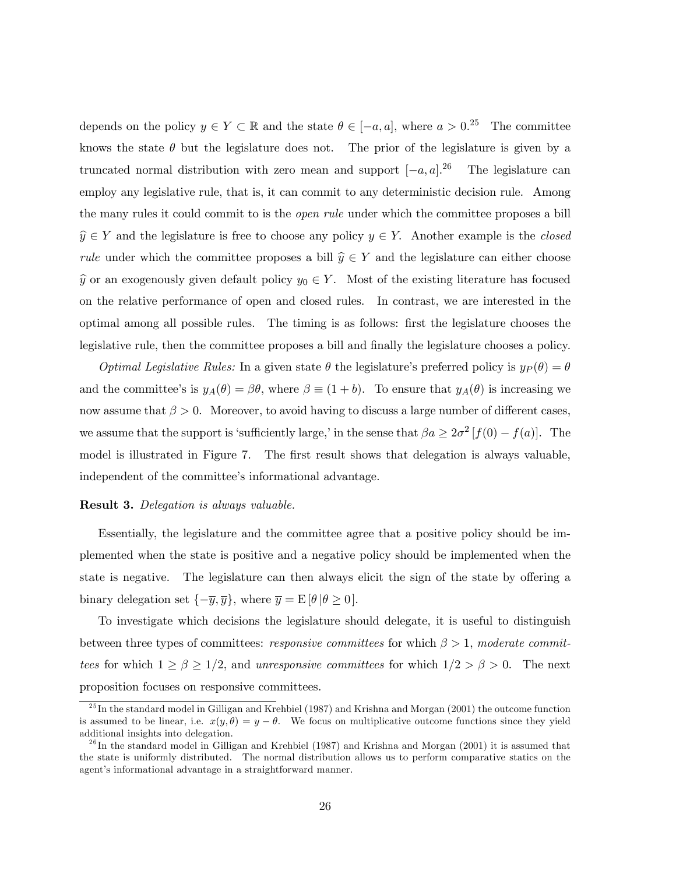depends on the policy  $y \in Y \subset \mathbb{R}$  and the state  $\theta \in [-a, a]$ , where  $a > 0$ .<sup>25</sup> The committee knows the state  $\theta$  but the legislature does not. The prior of the legislature is given by a truncated normal distribution with zero mean and support  $[-a, a]$ .<sup>26</sup> The legislature can employ any legislative rule, that is, it can commit to any deterministic decision rule. Among the many rules it could commit to is the open rule under which the committee proposes a bill  $\widehat{y} \in Y$  and the legislature is free to choose any policy  $y \in Y$ . Another example is the closed *rule* under which the committee proposes a bill  $\hat{y} \in Y$  and the legislature can either choose  $\hat{y}$  or an exogenously given default policy  $y_0 \in Y$ . Most of the existing literature has focused on the relative performance of open and closed rules. In contrast, we are interested in the optimal among all possible rules. The timing is as follows: first the legislature chooses the legislative rule, then the committee proposes a bill and finally the legislature chooses a policy.

*Optimal Legislative Rules:* In a given state  $\theta$  the legislature's preferred policy is  $y_P(\theta) = \theta$ and the committee's is  $y_A(\theta) = \beta \theta$ , where  $\beta \equiv (1 + b)$ . To ensure that  $y_A(\theta)$  is increasing we now assume that  $\beta > 0$ . Moreover, to avoid having to discuss a large number of different cases, we assume that the support is 'sufficiently large,' in the sense that  $\beta a \geq 2\sigma^2 [f(0) - f(a)]$ . The model is illustrated in Figure 7. The first result shows that delegation is always valuable, independent of the committee's informational advantage.

#### Result 3. Delegation is always valuable.

Essentially, the legislature and the committee agree that a positive policy should be implemented when the state is positive and a negative policy should be implemented when the state is negative. The legislature can then always elicit the sign of the state by offering a binary delegation set  $\{-\overline{y}, \overline{y}\}\,$ , where  $\overline{y} = E[\theta | \theta \ge 0].$ 

To investigate which decisions the legislature should delegate, it is useful to distinguish between three types of committees: *responsive committees* for which  $\beta > 1$ , moderate committees for which  $1 \ge \beta \ge 1/2$ , and unresponsive committees for which  $1/2 > \beta > 0$ . The next proposition focuses on responsive committees.

 $^{25}$ In the standard model in Gilligan and Krehbiel (1987) and Krishna and Morgan (2001) the outcome function is assumed to be linear, i.e.  $x(y, \theta) = y - \theta$ . We focus on multiplicative outcome functions since they yield additional insights into delegation.

 $^{26}$ In the standard model in Gilligan and Krehbiel (1987) and Krishna and Morgan (2001) it is assumed that the state is uniformly distributed. The normal distribution allows us to perform comparative statics on the agent's informational advantage in a straightforward manner.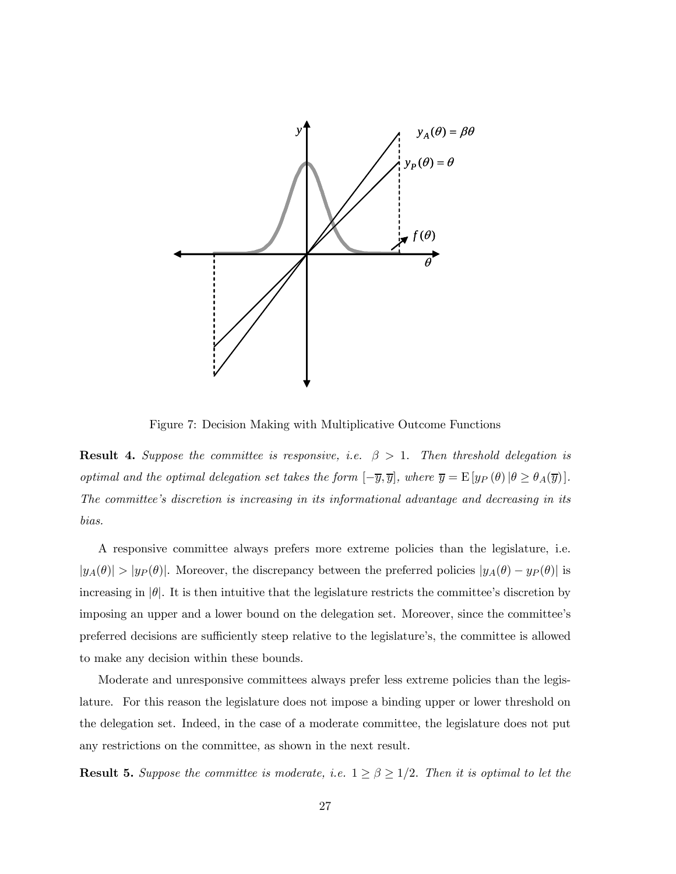

Figure 7: Decision Making with Multiplicative Outcome Functions

**Result 4.** Suppose the committee is responsive, i.e.  $\beta > 1$ . Then threshold delegation is optimal and the optimal delegation set takes the form  $[-\overline{y}, \overline{y}]$ , where  $\overline{y} = \mathbb{E}[y_P(\theta) | \theta \ge \theta_A(\overline{y})]$ . The committee's discretion is increasing in its informational advantage and decreasing in its bias.

A responsive committee always prefers more extreme policies than the legislature, i.e.  $|y_A(\theta)| > |y_P(\theta)|$ . Moreover, the discrepancy between the preferred policies  $|y_A(\theta) - y_P(\theta)|$  is increasing in  $|\theta|$ . It is then intuitive that the legislature restricts the committee's discretion by imposing an upper and a lower bound on the delegation set. Moreover, since the committee's preferred decisions are sufficiently steep relative to the legislature's, the committee is allowed to make any decision within these bounds.

Moderate and unresponsive committees always prefer less extreme policies than the legislature. For this reason the legislature does not impose a binding upper or lower threshold on the delegation set. Indeed, in the case of a moderate committee, the legislature does not put any restrictions on the committee, as shown in the next result.

**Result 5.** Suppose the committee is moderate, i.e.  $1 \ge \beta \ge 1/2$ . Then it is optimal to let the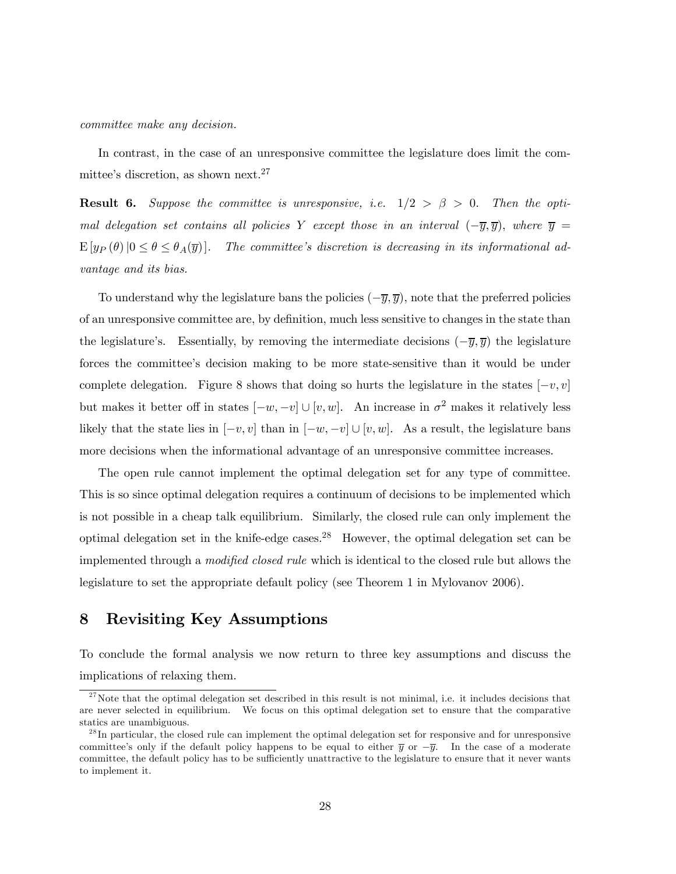committee make any decision.

In contrast, in the case of an unresponsive committee the legislature does limit the committee's discretion, as shown next.27

**Result 6.** Suppose the committee is unresponsive, i.e.  $1/2 > \beta > 0$ . Then the optimal delegation set contains all policies Y except those in an interval  $(-\overline{y}, \overline{y})$ , where  $\overline{y}$  =  $E[y_P(\theta)|0 \le \theta \le \theta_A(\overline{y})]$ . The committee's discretion is decreasing in its informational advantage and its bias.

To understand why the legislature bans the policies  $(-\overline{y}, \overline{y})$ , note that the preferred policies of an unresponsive committee are, by definition, much less sensitive to changes in the state than the legislature's. Essentially, by removing the intermediate decisions  $(-\overline{y}, \overline{y})$  the legislature forces the committee's decision making to be more state-sensitive than it would be under complete delegation. Figure 8 shows that doing so hurts the legislature in the states  $[-v, v]$ but makes it better off in states  $[-w, -v] \cup [v, w]$ . An increase in  $\sigma^2$  makes it relatively less likely that the state lies in  $[-v, v]$  than in  $[-w, -v] \cup [v, w]$ . As a result, the legislature bans more decisions when the informational advantage of an unresponsive committee increases.

The open rule cannot implement the optimal delegation set for any type of committee. This is so since optimal delegation requires a continuum of decisions to be implemented which is not possible in a cheap talk equilibrium. Similarly, the closed rule can only implement the optimal delegation set in the knife-edge cases.<sup>28</sup> However, the optimal delegation set can be implemented through a modified closed rule which is identical to the closed rule but allows the legislature to set the appropriate default policy (see Theorem 1 in Mylovanov 2006).

# 8 Revisiting Key Assumptions

To conclude the formal analysis we now return to three key assumptions and discuss the implications of relaxing them.

 $27$ Note that the optimal delegation set described in this result is not minimal, i.e. it includes decisions that are never selected in equilibrium. We focus on this optimal delegation set to ensure that the comparative statics are unambiguous.

 $^{28}$ In particular, the closed rule can implement the optimal delegation set for responsive and for unresponsive committee's only if the default policy happens to be equal to either  $\bar{y}$  or  $-\bar{y}$ . In the case of a moderate committee, the default policy has to be sufficiently unattractive to the legislature to ensure that it never wants to implement it.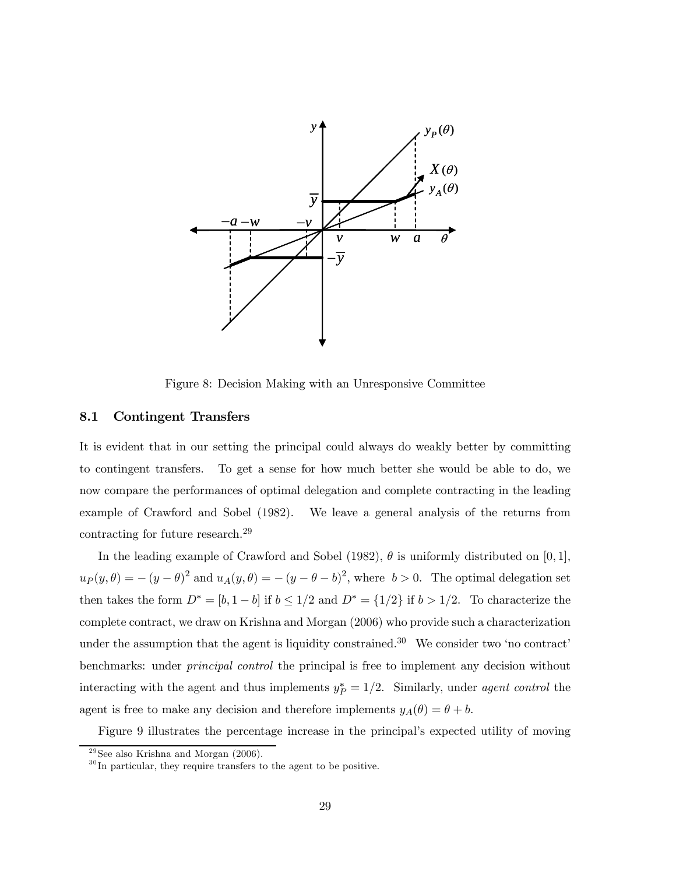

Figure 8: Decision Making with an Unresponsive Committee

#### 8.1 Contingent Transfers

It is evident that in our setting the principal could always do weakly better by committing to contingent transfers. To get a sense for how much better she would be able to do, we now compare the performances of optimal delegation and complete contracting in the leading example of Crawford and Sobel (1982). We leave a general analysis of the returns from contracting for future research.<sup>29</sup>

In the leading example of Crawford and Sobel (1982),  $\theta$  is uniformly distributed on [0, 1],  $u_P(y, \theta) = -(y - \theta)^2$  and  $u_A(y, \theta) = -(y - \theta - b)^2$ , where  $b > 0$ . The optimal delegation set then takes the form  $D^* = [b, 1 - b]$  if  $b \le 1/2$  and  $D^* = \{1/2\}$  if  $b > 1/2$ . To characterize the complete contract, we draw on Krishna and Morgan (2006) who provide such a characterization under the assumption that the agent is liquidity constrained.<sup>30</sup> We consider two 'no contract' benchmarks: under principal control the principal is free to implement any decision without interacting with the agent and thus implements  $y_P^* = 1/2$ . Similarly, under agent control the agent is free to make any decision and therefore implements  $y_A(\theta) = \theta + b$ .

Figure 9 illustrates the percentage increase in the principal's expected utility of moving

 $29$  See also Krishna and Morgan (2006).

 $30$  In particular, they require transfers to the agent to be positive.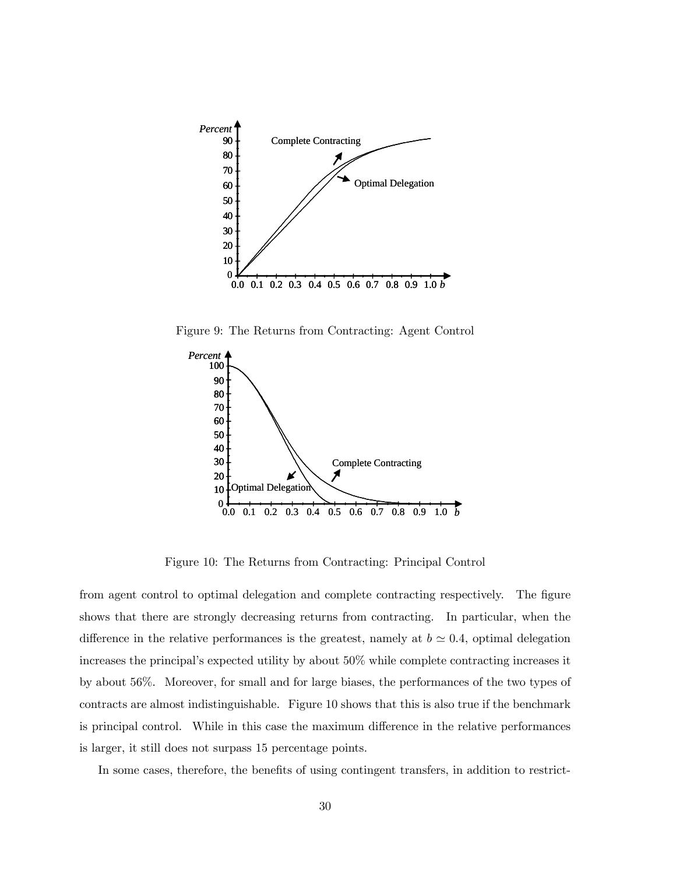

Figure 9: The Returns from Contracting: Agent Control



Figure 10: The Returns from Contracting: Principal Control

from agent control to optimal delegation and complete contracting respectively. The figure shows that there are strongly decreasing returns from contracting. In particular, when the difference in the relative performances is the greatest, namely at  $b \approx 0.4$ , optimal delegation increases the principal's expected utility by about 50% while complete contracting increases it by about 56%. Moreover, for small and for large biases, the performances of the two types of contracts are almost indistinguishable. Figure 10 shows that this is also true if the benchmark is principal control. While in this case the maximum difference in the relative performances is larger, it still does not surpass 15 percentage points.

In some cases, therefore, the benefits of using contingent transfers, in addition to restrict-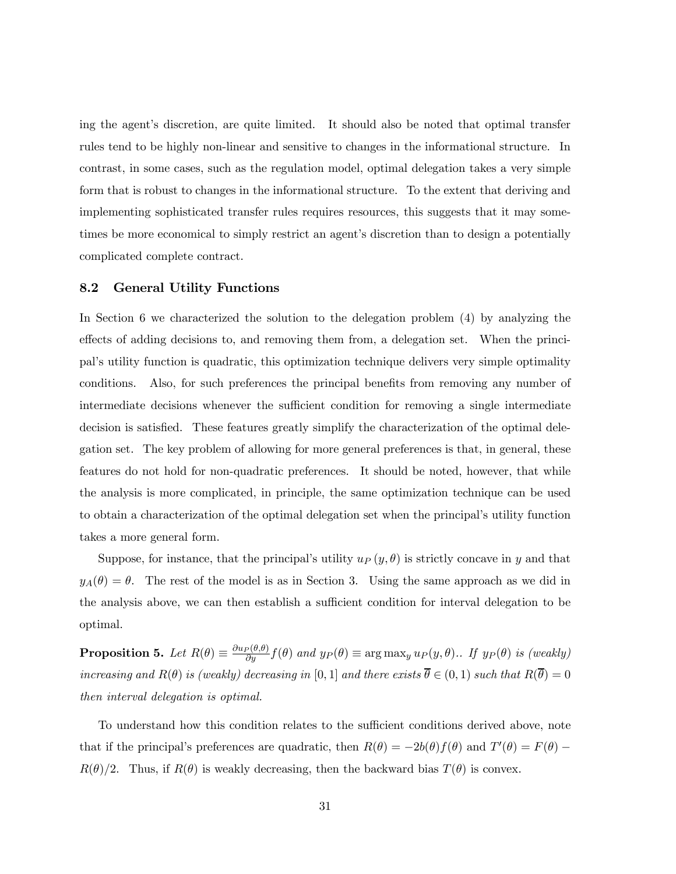ing the agent's discretion, are quite limited. It should also be noted that optimal transfer rules tend to be highly non-linear and sensitive to changes in the informational structure. In contrast, in some cases, such as the regulation model, optimal delegation takes a very simple form that is robust to changes in the informational structure. To the extent that deriving and implementing sophisticated transfer rules requires resources, this suggests that it may sometimes be more economical to simply restrict an agent's discretion than to design a potentially complicated complete contract.

#### 8.2 General Utility Functions

In Section 6 we characterized the solution to the delegation problem (4) by analyzing the effects of adding decisions to, and removing them from, a delegation set. When the principal's utility function is quadratic, this optimization technique delivers very simple optimality conditions. Also, for such preferences the principal benefits from removing any number of intermediate decisions whenever the sufficient condition for removing a single intermediate decision is satisfied. These features greatly simplify the characterization of the optimal delegation set. The key problem of allowing for more general preferences is that, in general, these features do not hold for non-quadratic preferences. It should be noted, however, that while the analysis is more complicated, in principle, the same optimization technique can be used to obtain a characterization of the optimal delegation set when the principal's utility function takes a more general form.

Suppose, for instance, that the principal's utility  $u_P(y, \theta)$  is strictly concave in y and that  $y_A(\theta) = \theta$ . The rest of the model is as in Section 3. Using the same approach as we did in the analysis above, we can then establish a sufficient condition for interval delegation to be optimal.

**Proposition 5.** Let  $R(\theta) \equiv \frac{\partial u_P(\theta, \theta)}{\partial y} f(\theta)$  and  $y_P(\theta) \equiv \arg \max_y u_P(y, \theta)$ .. If  $y_P(\theta)$  is (weakly) increasing and  $R(\theta)$  is (weakly) decreasing in [0, 1] and there exists  $\overline{\theta} \in (0,1)$  such that  $R(\overline{\theta})=0$ then interval delegation is optimal.

To understand how this condition relates to the sufficient conditions derived above, note that if the principal's preferences are quadratic, then  $R(\theta) = -2b(\theta)f(\theta)$  and  $T'(\theta) = F(\theta) R(\theta)/2$ . Thus, if  $R(\theta)$  is weakly decreasing, then the backward bias  $T(\theta)$  is convex.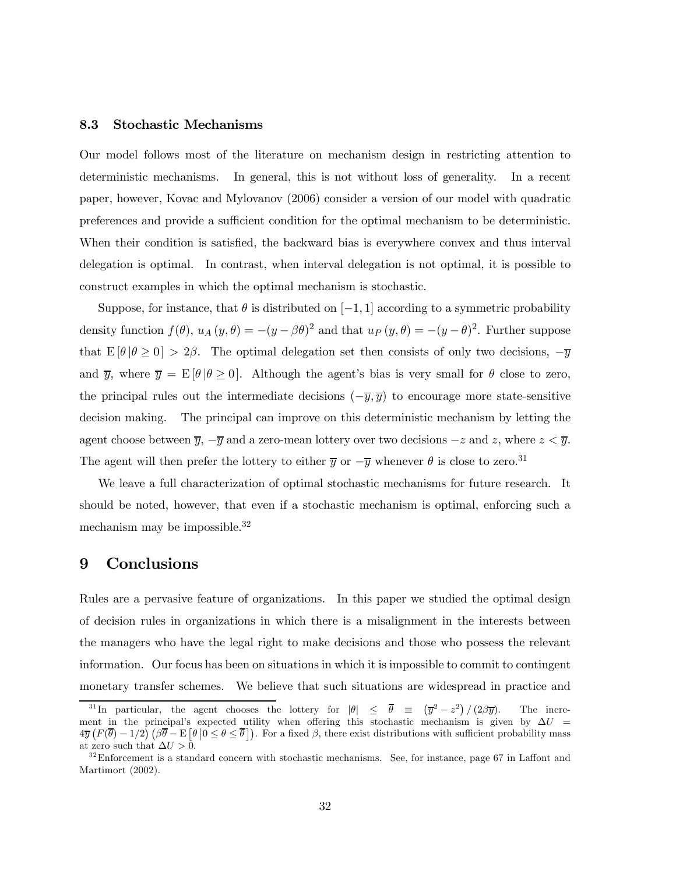#### 8.3 Stochastic Mechanisms

Our model follows most of the literature on mechanism design in restricting attention to deterministic mechanisms. In general, this is not without loss of generality. In a recent paper, however, Kovac and Mylovanov (2006) consider a version of our model with quadratic preferences and provide a sufficient condition for the optimal mechanism to be deterministic. When their condition is satisfied, the backward bias is everywhere convex and thus interval delegation is optimal. In contrast, when interval delegation is not optimal, it is possible to construct examples in which the optimal mechanism is stochastic.

Suppose, for instance, that  $\theta$  is distributed on [−1, 1] according to a symmetric probability density function  $f(\theta)$ ,  $u_A(y, \theta) = -(y - \beta \theta)^2$  and that  $u_P(y, \theta) = -(y - \theta)^2$ . Further suppose that  $E[\theta | \theta \ge 0] > 2\beta$ . The optimal delegation set then consists of only two decisions,  $-\overline{y}$ and  $\overline{y}$ , where  $\overline{y} = E[\theta | \theta \ge 0]$ . Although the agent's bias is very small for  $\theta$  close to zero, the principal rules out the intermediate decisions  $(-\overline{y}, \overline{y})$  to encourage more state-sensitive decision making. The principal can improve on this deterministic mechanism by letting the agent choose between  $\overline{y}$ ,  $-\overline{y}$  and a zero-mean lottery over two decisions  $-z$  and z, where  $z < \overline{y}$ . The agent will then prefer the lottery to either  $\overline{y}$  or  $-\overline{y}$  whenever  $\theta$  is close to zero.<sup>31</sup>

We leave a full characterization of optimal stochastic mechanisms for future research. It should be noted, however, that even if a stochastic mechanism is optimal, enforcing such a mechanism may be impossible.<sup>32</sup>

### 9 Conclusions

Rules are a pervasive feature of organizations. In this paper we studied the optimal design of decision rules in organizations in which there is a misalignment in the interests between the managers who have the legal right to make decisions and those who possess the relevant information. Our focus has been on situations in which it is impossible to commit to contingent monetary transfer schemes. We believe that such situations are widespread in practice and

<sup>&</sup>lt;sup>31</sup>In particular, the agent chooses the lottery for  $|\theta| \leq \overline{\theta} \equiv (\overline{y}^2 - z^2)$ The increment in the principal's expected utility when offering this stochastic mechanism is given by  $\Delta U$  =  $4\overline{y}\left(F(\overline{\theta})-1/2\right)(\beta\overline{\theta}-E\left[\theta\left|0\leq\theta\leq\overline{\theta}\right|\right)$ . For a fixed  $\beta$ , there exist distributions with sufficient probability mass at zero such that  $\Delta U > 0$ .

 $32$ Enforcement is a standard concern with stochastic mechanisms. See, for instance, page 67 in Laffont and Martimort (2002).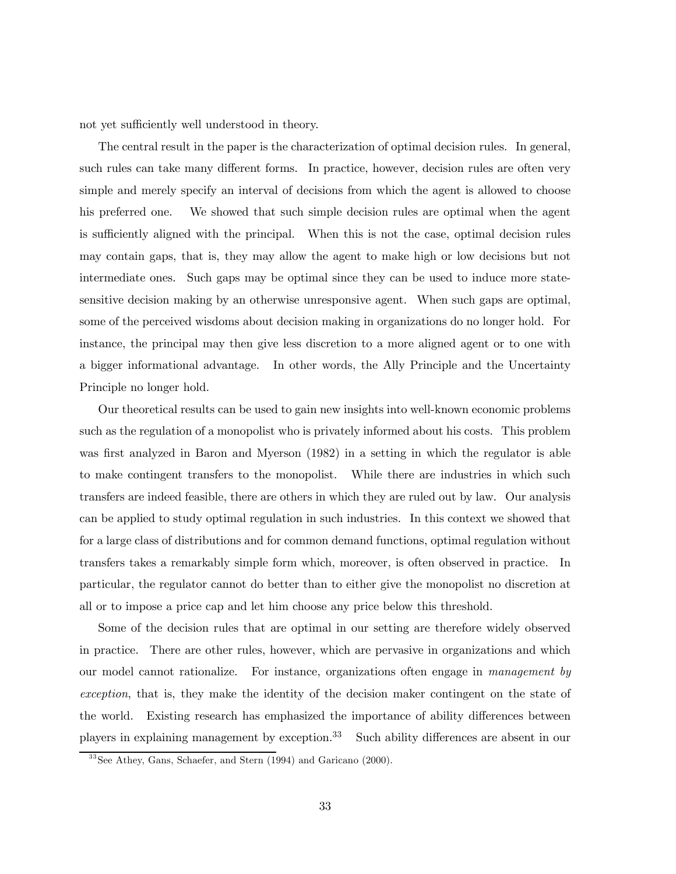not yet sufficiently well understood in theory.

The central result in the paper is the characterization of optimal decision rules. In general, such rules can take many different forms. In practice, however, decision rules are often very simple and merely specify an interval of decisions from which the agent is allowed to choose his preferred one. We showed that such simple decision rules are optimal when the agent is sufficiently aligned with the principal. When this is not the case, optimal decision rules may contain gaps, that is, they may allow the agent to make high or low decisions but not intermediate ones. Such gaps may be optimal since they can be used to induce more statesensitive decision making by an otherwise unresponsive agent. When such gaps are optimal, some of the perceived wisdoms about decision making in organizations do no longer hold. For instance, the principal may then give less discretion to a more aligned agent or to one with a bigger informational advantage. In other words, the Ally Principle and the Uncertainty Principle no longer hold.

Our theoretical results can be used to gain new insights into well-known economic problems such as the regulation of a monopolist who is privately informed about his costs. This problem was first analyzed in Baron and Myerson (1982) in a setting in which the regulator is able to make contingent transfers to the monopolist. While there are industries in which such transfers are indeed feasible, there are others in which they are ruled out by law. Our analysis can be applied to study optimal regulation in such industries. In this context we showed that for a large class of distributions and for common demand functions, optimal regulation without transfers takes a remarkably simple form which, moreover, is often observed in practice. In particular, the regulator cannot do better than to either give the monopolist no discretion at all or to impose a price cap and let him choose any price below this threshold.

Some of the decision rules that are optimal in our setting are therefore widely observed in practice. There are other rules, however, which are pervasive in organizations and which our model cannot rationalize. For instance, organizations often engage in management by exception, that is, they make the identity of the decision maker contingent on the state of the world. Existing research has emphasized the importance of ability differences between players in explaining management by exception.<sup>33</sup> Such ability differences are absent in our

<sup>3 3</sup>See Athey, Gans, Schaefer, and Stern (1994) and Garicano (2000).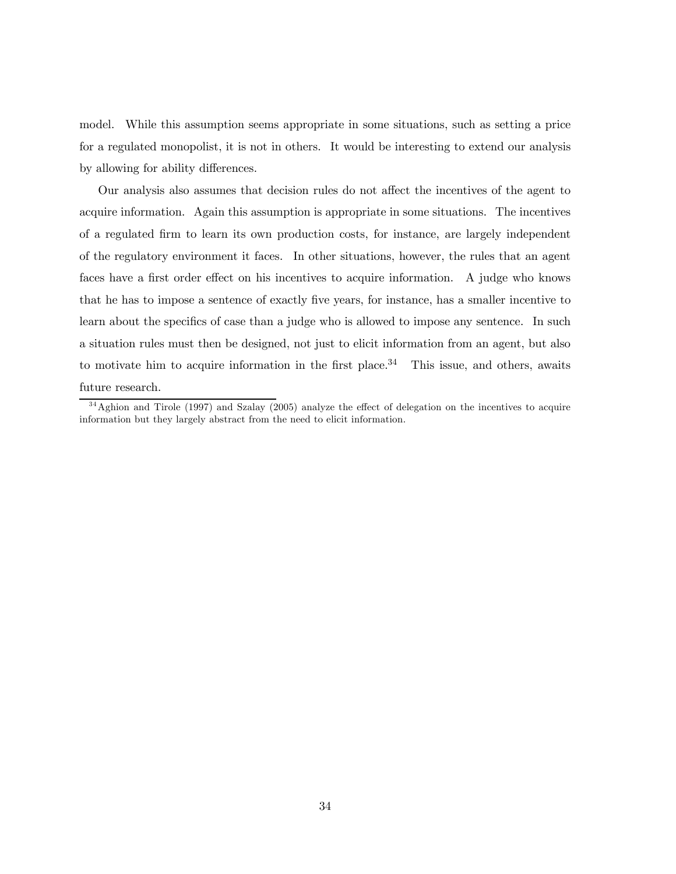model. While this assumption seems appropriate in some situations, such as setting a price for a regulated monopolist, it is not in others. It would be interesting to extend our analysis by allowing for ability differences.

Our analysis also assumes that decision rules do not affect the incentives of the agent to acquire information. Again this assumption is appropriate in some situations. The incentives of a regulated firm to learn its own production costs, for instance, are largely independent of the regulatory environment it faces. In other situations, however, the rules that an agent faces have a first order effect on his incentives to acquire information. A judge who knows that he has to impose a sentence of exactly five years, for instance, has a smaller incentive to learn about the specifics of case than a judge who is allowed to impose any sentence. In such a situation rules must then be designed, not just to elicit information from an agent, but also to motivate him to acquire information in the first place.<sup>34</sup> This issue, and others, awaits future research.

<sup>&</sup>lt;sup>34</sup> Aghion and Tirole (1997) and Szalay (2005) analyze the effect of delegation on the incentives to acquire information but they largely abstract from the need to elicit information.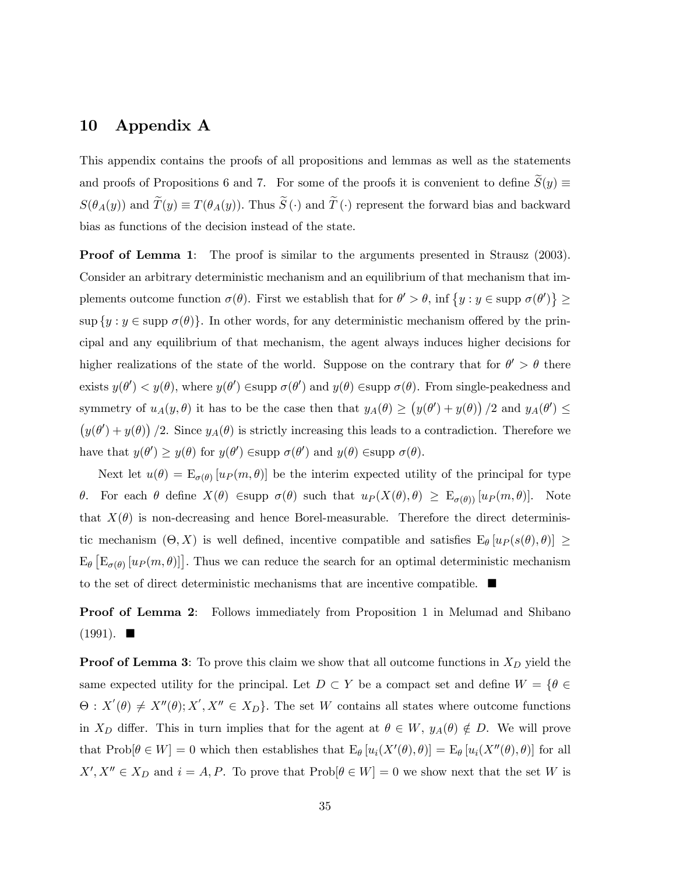# 10 Appendix A

This appendix contains the proofs of all propositions and lemmas as well as the statements and proofs of Propositions 6 and 7. For some of the proofs it is convenient to define  $\widetilde{S}(y) \equiv$  $S(\theta_A(y))$  and  $\widetilde{T}(y) \equiv T(\theta_A(y))$ . Thus  $\widetilde{S}(\cdot)$  and  $\widetilde{T}(\cdot)$  represent the forward bias and backward bias as functions of the decision instead of the state.

**Proof of Lemma 1:** The proof is similar to the arguments presented in Strausz (2003). Consider an arbitrary deterministic mechanism and an equilibrium of that mechanism that implements outcome function  $\sigma(\theta)$ . First we establish that for  $\theta' > \theta$ , inf  $\{y : y \in \text{supp }\sigma(\theta')\} \ge$  $\sup \{y : y \in \text{supp } \sigma(\theta)\}.$  In other words, for any deterministic mechanism offered by the principal and any equilibrium of that mechanism, the agent always induces higher decisions for higher realizations of the state of the world. Suppose on the contrary that for  $\theta' > \theta$  there exists  $y(\theta') < y(\theta)$ , where  $y(\theta') \in \text{supp } \sigma(\theta')$  and  $y(\theta) \in \text{supp } \sigma(\theta)$ . From single-peakedness and symmetry of  $u_A(y, \theta)$  it has to be the case then that  $y_A(\theta) \ge (y(\theta') + y(\theta)) / 2$  and  $y_A(\theta') \le$  $(y(\theta') + y(\theta))$  /2. Since  $y_A(\theta)$  is strictly increasing this leads to a contradiction. Therefore we have that  $y(\theta') \geq y(\theta)$  for  $y(\theta') \in \text{supp } \sigma(\theta')$  and  $y(\theta) \in \text{supp } \sigma(\theta)$ .

Next let  $u(\theta) = E_{\sigma(\theta)} [u_P (m, \theta)]$  be the interim expected utility of the principal for type θ. For each θ define  $X(\theta)$   $\in$ supp  $\sigma(\theta)$  such that  $u_P(X(\theta), \theta) \geq E_{\sigma(\theta)}[u_P(m, \theta)].$  Note that  $X(\theta)$  is non-decreasing and hence Borel-measurable. Therefore the direct deterministic mechanism  $(\Theta, X)$  is well defined, incentive compatible and satisfies  $E_{\theta} [u_P (s(\theta), \theta)] \ge$  $E_{\theta}$   $[E_{\sigma(\theta)}[u_P(m, \theta)]]$ . Thus we can reduce the search for an optimal deterministic mechanism to the set of direct deterministic mechanisms that are incentive compatible.  $\blacksquare$ 

Proof of Lemma 2: Follows immediately from Proposition 1 in Melumad and Shibano  $(1991)$ .

**Proof of Lemma 3:** To prove this claim we show that all outcome functions in  $X_D$  yield the same expected utility for the principal. Let  $D \subset Y$  be a compact set and define  $W = \{ \theta \in$  $\Theta: X'(\theta) \neq X''(\theta); X', X'' \in X_D$ . The set W contains all states where outcome functions in  $X_D$  differ. This in turn implies that for the agent at  $\theta \in W$ ,  $y_A(\theta) \notin D$ . We will prove that  $\text{Prob}[\theta \in W] = 0$  which then establishes that  $E_{\theta}[u_i(X'(\theta), \theta)] = E_{\theta}[u_i(X''(\theta), \theta)]$  for all  $X', X'' \in X_D$  and  $i = A, P$ . To prove that  $\text{Prob}[\theta \in W] = 0$  we show next that the set W is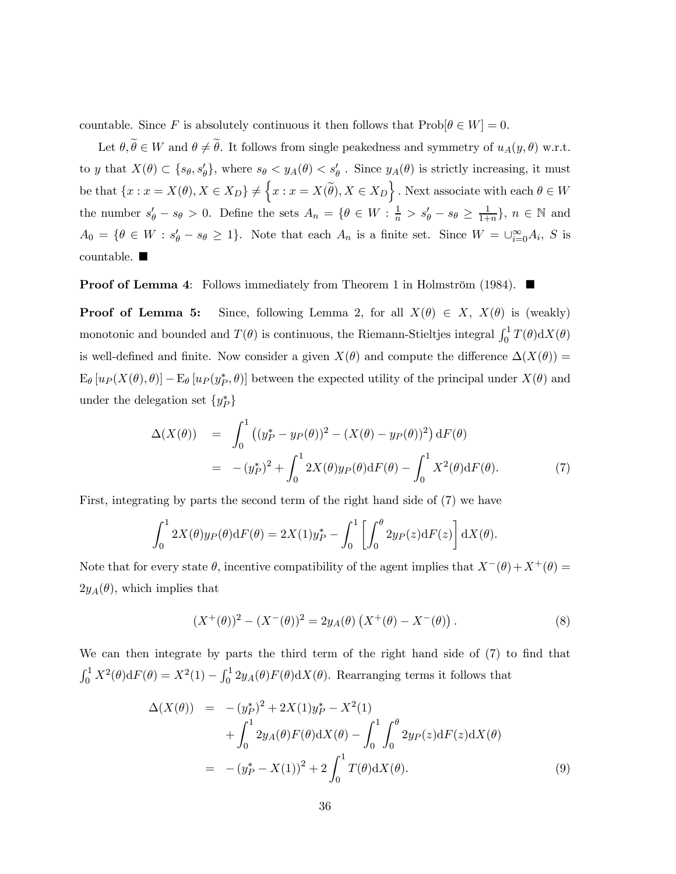countable. Since F is absolutely continuous it then follows that  $\text{Prob}[\theta \in W] = 0$ .

Let  $\theta, \tilde{\theta} \in W$  and  $\theta \neq \tilde{\theta}$ . It follows from single peakedness and symmetry of  $u_A(y, \theta)$  w.r.t. to y that  $X(\theta) \subset \{s_\theta, s'_\theta\}$ , where  $s_\theta < y_A(\theta) < s'_\theta$ . Since  $y_A(\theta)$  is strictly increasing, it must be that  $\{x : x = X(\theta), X \in X_D\} \neq \{x : x = X(\widetilde{\theta}), X \in X_D\}$ . Next associate with each  $\theta \in W$ the number  $s'_{\theta} - s_{\theta} > 0$ . Define the sets  $A_n = \{ \theta \in W : \frac{1}{n} > s'_{\theta} - s_{\theta} \geq \frac{1}{1+n} \}$ ,  $n \in \mathbb{N}$  and  $A_0 = \{ \theta \in W : s_{\theta}^{\prime} - s_{\theta} \geq 1 \}.$  Note that each  $A_n$  is a finite set. Since  $W = \bigcup_{i=0}^{\infty} A_i$ , S is countable.  $\blacksquare$ 

**Proof of Lemma 4:** Follows immediately from Theorem 1 in Holmström (1984).  $\blacksquare$ 

**Proof of Lemma 5:** Since, following Lemma 2, for all  $X(\theta) \in X$ ,  $X(\theta)$  is (weakly) monotonic and bounded and  $T(\theta)$  is continuous, the Riemann-Stieltjes integral  $\int_0^1 T(\theta) dX(\theta)$ is well-defined and finite. Now consider a given  $X(\theta)$  and compute the difference  $\Delta(X(\theta))$  =  $E_{\theta}[u_P(X(\theta),\theta)] - E_{\theta}[u_P(y_P^*,\theta)]$  between the expected utility of the principal under  $X(\theta)$  and under the delegation set  $\{y_P^*\}$ 

$$
\Delta(X(\theta)) = \int_0^1 ((y_P^* - y_P(\theta))^2 - (X(\theta) - y_P(\theta))^2) dF(\theta)
$$
  
= 
$$
-(y_P^*)^2 + \int_0^1 2X(\theta)y_P(\theta) dF(\theta) - \int_0^1 X^2(\theta) dF(\theta).
$$
 (7)

First, integrating by parts the second term of the right hand side of (7) we have

$$
\int_0^1 2X(\theta)y_P(\theta)\mathrm{d}F(\theta) = 2X(1)y_P^* - \int_0^1 \left[ \int_0^{\theta} 2y_P(z)\mathrm{d}F(z) \right] \mathrm{d}X(\theta).
$$

Note that for every state  $\theta$ , incentive compatibility of the agent implies that  $X^-(\theta)+X^+(\theta) =$  $2y_A(\theta)$ , which implies that

$$
(X^+(\theta))^2 - (X^-(\theta))^2 = 2y_A(\theta) (X^+(\theta) - X^-(\theta)).
$$
\n(8)

We can then integrate by parts the third term of the right hand side of (7) to find that  $\int_0^1 X^2(\theta) dF(\theta) = X^2(1) - \int_0^1 2y_A(\theta) F(\theta) dX(\theta)$ . Rearranging terms it follows that

$$
\Delta(X(\theta)) = -(y_P^*)^2 + 2X(1)y_P^* - X^2(1) + \int_0^1 2y_A(\theta)F(\theta) dX(\theta) - \int_0^1 \int_0^{\theta} 2y_P(z) dF(z) dX(\theta) = -(y_P^* - X(1))^2 + 2 \int_0^1 T(\theta) dX(\theta).
$$
 (9)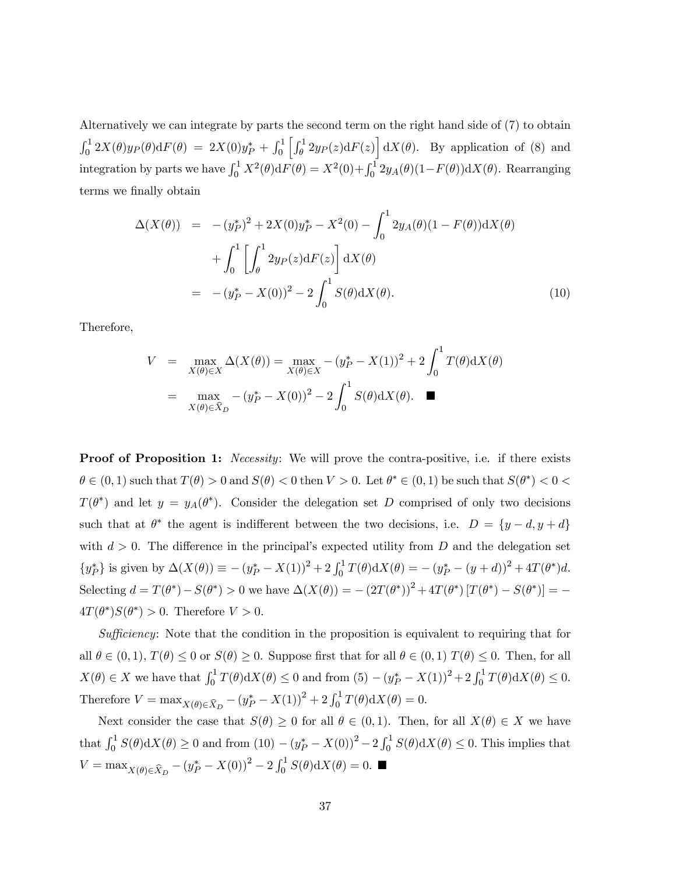Alternatively we can integrate by parts the second term on the right hand side of (7) to obtain  $\int_0^1 2X(\theta)y_P(\theta) dF(\theta) = 2X(0)y_P^* + \int_0^1 \left[ \int_\theta^1 2y_P(z) dF(z) \right] dX(\theta)$ . By application of (8) and integration by parts we have  $\int_0^1 X^2(\theta) dF(\theta) = X^2(0) + \int_0^1 2y_A(\theta) (1 - F(\theta)) dX(\theta)$ . Rearranging terms we finally obtain

$$
\Delta(X(\theta)) = -(y_P^*)^2 + 2X(0)y_P^* - X^2(0) - \int_0^1 2y_A(\theta)(1 - F(\theta))dX(\theta) \n+ \int_0^1 \left[ \int_\theta^1 2y_P(z)dF(z) \right] dX(\theta) \n= -(y_P^* - X(0))^2 - 2 \int_0^1 S(\theta)dX(\theta).
$$
\n(10)

Therefore,

$$
V = \max_{X(\theta) \in X} \Delta(X(\theta)) = \max_{X(\theta) \in X} -(y_P^* - X(1))^2 + 2 \int_0^1 T(\theta) dX(\theta)
$$
  
= 
$$
\max_{X(\theta) \in \hat{X}_D} -(y_P^* - X(0))^2 - 2 \int_0^1 S(\theta) dX(\theta).
$$

**Proof of Proposition 1:** Necessity: We will prove the contra-positive, i.e. if there exists  $\theta \in (0,1)$  such that  $T(\theta) > 0$  and  $S(\theta) < 0$  then  $V > 0$ . Let  $\theta^* \in (0,1)$  be such that  $S(\theta^*) < 0$  $T(\theta^*)$  and let  $y = y_A(\theta^*)$ . Consider the delegation set D comprised of only two decisions such that at  $\theta^*$  the agent is indifferent between the two decisions, i.e.  $D = \{y - d, y + d\}$ with  $d > 0$ . The difference in the principal's expected utility from D and the delegation set  $\{y_P^*\}\$ is given by  $\Delta(X(\theta)) \equiv -(y_P^* - X(1))^2 + 2\int_0^1 T(\theta) dX(\theta) = -(y_P^* - (y + d))^2 + 4T(\theta^*)d$ . Selecting  $d = T(\theta^*) - S(\theta^*) > 0$  we have  $\Delta(X(\theta)) = -(2T(\theta^*))^2 + 4T(\theta^*)[T(\theta^*) - S(\theta^*)] = 4T(\theta^*)S(\theta^*) > 0$ . Therefore  $V > 0$ .

Sufficiency: Note that the condition in the proposition is equivalent to requiring that for all  $\theta \in (0,1)$ ,  $T(\theta) \leq 0$  or  $S(\theta) \geq 0$ . Suppose first that for all  $\theta \in (0,1)$   $T(\theta) \leq 0$ . Then, for all  $X(\theta) \in X$  we have that  $\int_0^1 T(\theta) dX(\theta) \le 0$  and from  $(5) - (y_P^* - X(1))^2 + 2 \int_0^1 T(\theta) dX(\theta) \le 0$ . Therefore  $V = \max_{X(\theta) \in \widehat{X}_D} -(y_P^* - X(1))^2 + 2 \int_0^1 T(\theta) dX(\theta) = 0.$ 

Next consider the case that  $S(\theta) \geq 0$  for all  $\theta \in (0,1)$ . Then, for all  $X(\theta) \in X$  we have that  $\int_0^1 S(\theta) dX(\theta) \ge 0$  and from  $(10) - (y_P^* - X(0))^2 - 2 \int_0^1 S(\theta) dX(\theta) \le 0$ . This implies that  $V = \max_{X(\theta) \in \widehat{X}_D} -(y_P^* - X(0))^2 - 2 \int_0^1 S(\theta) dX(\theta) = 0.$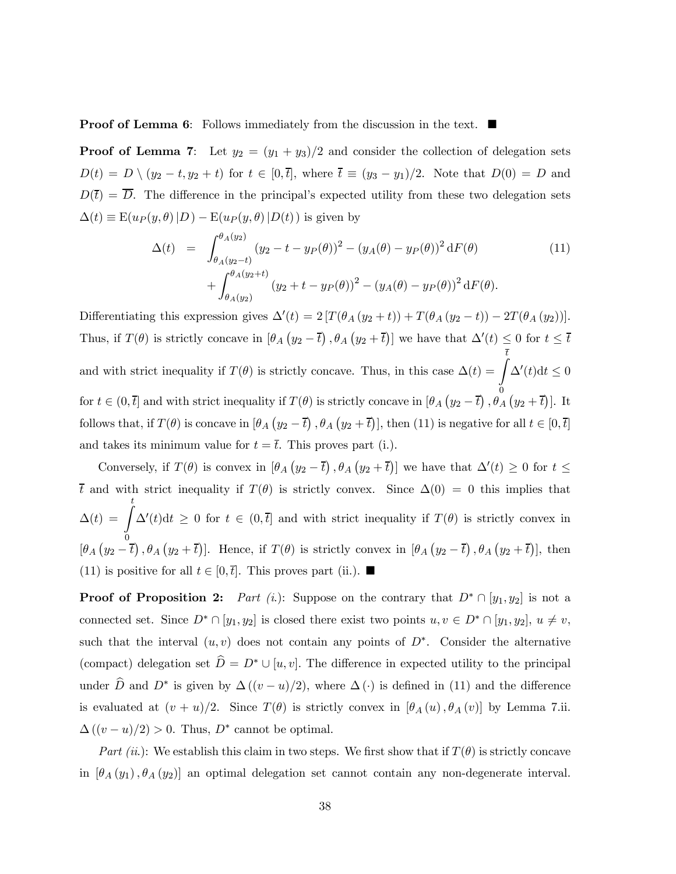**Proof of Lemma 6:** Follows immediately from the discussion in the text.  $\blacksquare$ 

**Proof of Lemma 7:** Let  $y_2 = (y_1 + y_3)/2$  and consider the collection of delegation sets  $D(t) = D \setminus (y_2 - t, y_2 + t)$  for  $t \in [0, \bar{t}],$  where  $\bar{t} \equiv (y_3 - y_1)/2$ . Note that  $D(0) = D$  and  $D(\bar{t}) = \overline{D}$ . The difference in the principal's expected utility from these two delegation sets  $\Delta(t) \equiv \mathbb{E}(u_P(y,\theta)|D) - \mathbb{E}(u_P(y,\theta)|D(t))$  is given by

$$
\Delta(t) = \int_{\theta_A(y_2-t)}^{\theta_A(y_2)} (y_2 - t - y_P(\theta))^2 - (y_A(\theta) - y_P(\theta))^2 dF(\theta) + \int_{\theta_A(y_2)}^{\theta_A(y_2+t)} (y_2 + t - y_P(\theta))^2 - (y_A(\theta) - y_P(\theta))^2 dF(\theta).
$$
(11)

Differentiating this expression gives  $\Delta'(t) = 2[T(\theta_A(y_2 + t)) + T(\theta_A(y_2 - t)) - 2T(\theta_A(y_2))].$ Thus, if  $T(\theta)$  is strictly concave in  $[\theta_A (y_2 - \overline{t}), \theta_A (y_2 + \overline{t})]$  we have that  $\Delta'(t) \leq 0$  for  $t \leq \overline{t}$ and with strict inequality if  $T(\theta)$  is strictly concave. Thus, in this case  $\Delta(t) = \int_0^{\frac{\pi}{t}}$ 0  $\Delta'(t)dt \leq 0$ for  $t \in (0, \bar{t}]$  and with strict inequality if  $T(\theta)$  is strictly concave in  $[\theta_A (y_2 - \bar{t}), \theta_A (y_2 + \bar{t})]$ . It follows that, if  $T(\theta)$  is concave in  $[\theta_A (y_2 - \overline{t}), \theta_A (y_2 + \overline{t})]$ , then (11) is negative for all  $t \in [0, \overline{t}]$ and takes its minimum value for  $t = \overline{t}$ . This proves part (i.).

Conversely, if  $T(\theta)$  is convex in  $[\theta_A (y_2 - \overline{t}), \theta_A (y_2 + \overline{t})]$  we have that  $\Delta'(t) \geq 0$  for  $t \leq$  $\bar{t}$  and with strict inequality if  $T(\theta)$  is strictly convex. Since  $\Delta(0) = 0$  this implies that  $\Delta(t) = \int_0^t$  $\mathbf{0}$  $\Delta'(t)dt \geq 0$  for  $t \in (0,\bar{t}]$  and with strict inequality if  $T(\theta)$  is strictly convex in  $[\theta_A (y_2 - \overline{t}), \theta_A (y_2 + \overline{t})]$ . Hence, if  $T(\theta)$  is strictly convex in  $[\theta_A (y_2 - \overline{t}), \theta_A (y_2 + \overline{t})]$ , then (11) is positive for all  $t \in [0, \bar{t}]$ . This proves part (ii.).  $\blacksquare$ 

**Proof of Proposition 2:** Part (i.): Suppose on the contrary that  $D^* \cap [y_1, y_2]$  is not a connected set. Since  $D^* \cap [y_1, y_2]$  is closed there exist two points  $u, v \in D^* \cap [y_1, y_2]$ ,  $u \neq v$ , such that the interval  $(u, v)$  does not contain any points of  $D^*$ . Consider the alternative (compact) delegation set  $\hat{D} = D^* \cup [u, v]$ . The difference in expected utility to the principal under  $\widehat{D}$  and  $D^*$  is given by  $\Delta((v-u)/2)$ , where  $\Delta(\cdot)$  is defined in (11) and the difference is evaluated at  $(v + u)/2$ . Since  $T(\theta)$  is strictly convex in  $[\theta_A(u), \theta_A(v)]$  by Lemma 7.ii.  $\Delta((v-u)/2) > 0$ . Thus,  $D^*$  cannot be optimal.

Part (ii.): We establish this claim in two steps. We first show that if  $T(\theta)$  is strictly concave in  $[\theta_A(y_1), \theta_A(y_2)]$  an optimal delegation set cannot contain any non-degenerate interval.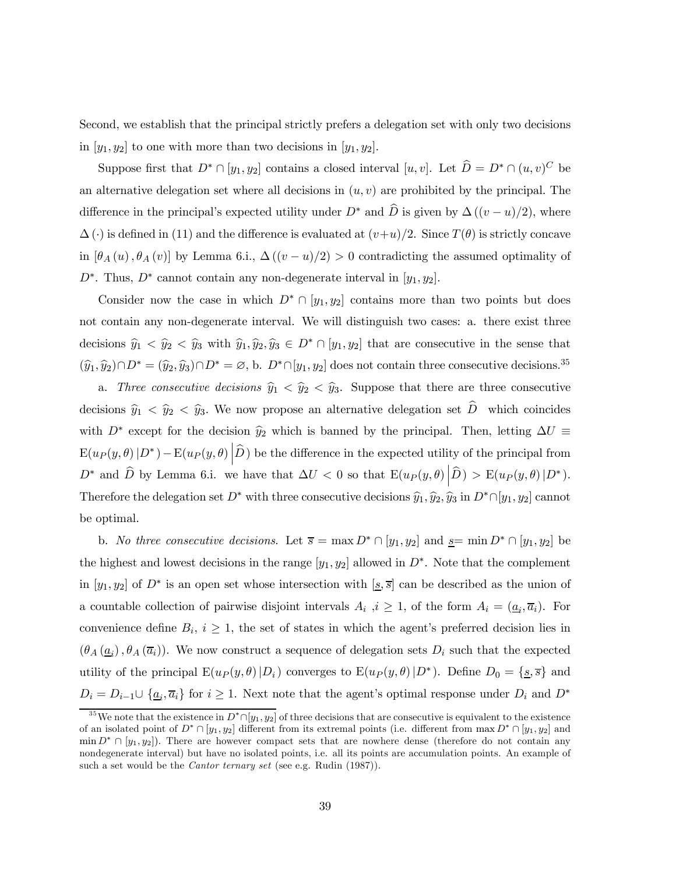Second, we establish that the principal strictly prefers a delegation set with only two decisions in  $[y_1, y_2]$  to one with more than two decisions in  $[y_1, y_2]$ .

Suppose first that  $D^* \cap [y_1, y_2]$  contains a closed interval  $[u, v]$ . Let  $\widehat{D} = D^* \cap (u, v)^C$  be an alternative delegation set where all decisions in  $(u, v)$  are prohibited by the principal. The difference in the principal's expected utility under  $D^*$  and  $\hat{D}$  is given by  $\Delta((v-u)/2)$ , where  $\Delta(\cdot)$  is defined in (11) and the difference is evaluated at  $(v+u)/2$ . Since  $T(\theta)$  is strictly concave in  $[\theta_A(u), \theta_A(v)]$  by Lemma 6.i.,  $\Delta((v-u)/2) > 0$  contradicting the assumed optimality of  $D^*$ . Thus,  $D^*$  cannot contain any non-degenerate interval in  $[y_1, y_2]$ .

Consider now the case in which  $D^* \cap [y_1, y_2]$  contains more than two points but does not contain any non-degenerate interval. We will distinguish two cases: a. there exist three decisions  $\hat{y}_1 < \hat{y}_2 < \hat{y}_3$  with  $\hat{y}_1, \hat{y}_2, \hat{y}_3 \in D^* \cap [y_1, y_2]$  that are consecutive in the sense that  $(\widehat{y}_1, \widehat{y}_2) \cap D^* = (\widehat{y}_2, \widehat{y}_3) \cap D^* = \emptyset$ , b.  $D^* \cap [y_1, y_2]$  does not contain three consecutive decisions.<sup>35</sup>

a. Three consecutive decisions  $\hat{y}_1 < \hat{y}_2 < \hat{y}_3$ . Suppose that there are three consecutive decisions  $\hat{y}_1 < \hat{y}_2 < \hat{y}_3$ . We now propose an alternative delegation set  $\hat{D}$  which coincides with  $D^*$  except for the decision  $\hat{y}_2$  which is banned by the principal. Then, letting  $\Delta U \equiv$  $\mathbb{E}(u_P(y,\theta)|D^*) - \mathbb{E}(u_P(y,\theta)\left|\widehat{D}\right)$  be the difference in the expected utility of the principal from  $D^*$  and  $\widehat{D}$  by Lemma 6.i. we have that  $\Delta U < 0$  so that  $\mathbb{E}(u_P(y,\theta) \Big| \widehat{D}) > \mathbb{E}(u_P(y,\theta) \Big| D^*).$ Therefore the delegation set  $D^*$  with three consecutive decisions  $\hat{y}_1, \hat{y}_2, \hat{y}_3$  in  $D^* \cap [y_1, y_2]$  cannot be optimal.

b. No three consecutive decisions. Let  $\overline{s} = \max D^* \cap [y_1, y_2]$  and  $\underline{s} = \min D^* \cap [y_1, y_2]$  be the highest and lowest decisions in the range  $[y_1, y_2]$  allowed in  $D^*$ . Note that the complement in [y<sub>1</sub>, y<sub>2</sub>] of  $D^*$  is an open set whose intersection with [s,  $\overline{s}$ ] can be described as the union of a countable collection of pairwise disjoint intervals  $A_i$ ,  $i \geq 1$ , of the form  $A_i = (\underline{a}_i, \overline{a}_i)$ . For convenience define  $B_i$ ,  $i \geq 1$ , the set of states in which the agent's preferred decision lies in  $(\theta_A(\underline{a}_i), \theta_A(\overline{a}_i))$ . We now construct a sequence of delegation sets  $D_i$  such that the expected utility of the principal  $E(u_P(y, \theta)|D_i)$  converges to  $E(u_P(y, \theta)|D^*)$ . Define  $D_0 = \{\underline{s}, \overline{s}\}\$  and  $D_i = D_{i-1} \cup \{ \underline{a}_i, \overline{a}_i \}$  for  $i \geq 1$ . Next note that the agent's optimal response under  $D_i$  and  $D^*$ 

<sup>&</sup>lt;sup>35</sup>We note that the existence in  $D^* \cap [y_1, y_2]$  of three decisions that are consecutive is equivalent to the existence of an isolated point of  $D^* \cap [y_1, y_2]$  different from its extremal points (i.e. different from  $\max D^* \cap [y_1, y_2]$  and  $\min D^* \cap [y_1, y_2]$ . There are however compact sets that are nowhere dense (therefore do not contain any nondegenerate interval) but have no isolated points, i.e. all its points are accumulation points. An example of such a set would be the *Cantor ternary set* (see e.g. Rudin  $(1987)$ ).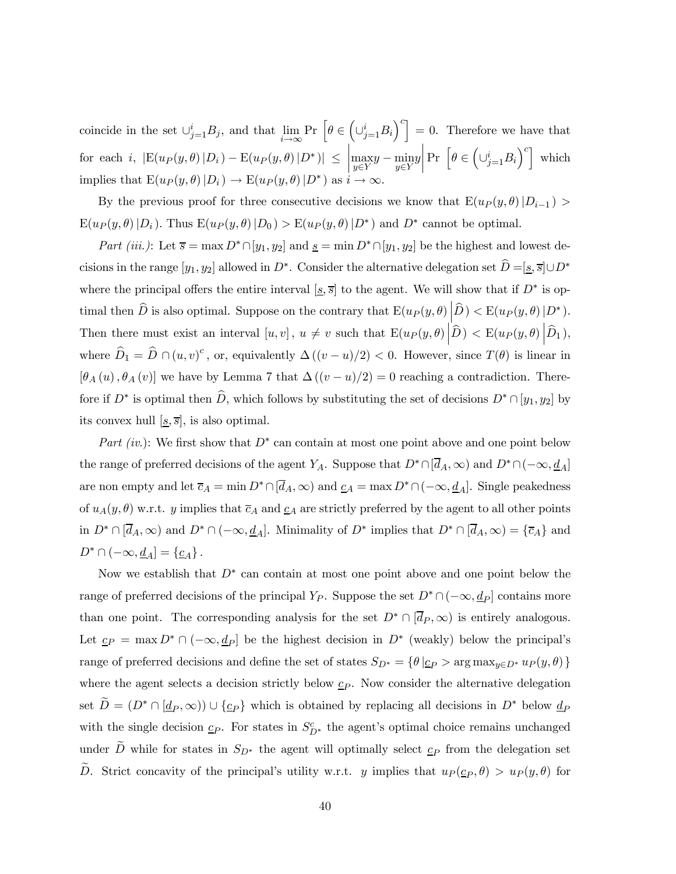coincide in the set  $\cup_{j=1}^{i} B_j$ , and that  $\lim_{i \to \infty} \Pr\left[\theta \in \left(\cup_{j=1}^{i} B_i\right)^c\right] = 0$ . Therefore we have that for each i,  $|E(u_P(y, \theta) | D_i) - E(u_P(y, \theta) | D^*)| \le$  $\begin{array}{|c|c|} \hline \multicolumn{1}{|c|}{3} & \multicolumn{1}{|c|}{4} \multicolumn{1}{|c|}{5} \multicolumn{1}{|c|}{6} \multicolumn{1}{|c|}{6} \multicolumn{1}{|c|}{5} \multicolumn{1}{|c|}{6} \multicolumn{1}{|c|}{6} \multicolumn{1}{|c|}{6} \multicolumn{1}{|c|}{6} \multicolumn{1}{|c|}{6} \multicolumn{1}{|c|}{6} \multicolumn{1}{|c|}{6} \multicolumn{1}{|c|}{6} \multicolumn{1}{|c|}{6} \multicolumn{1}{|c|$  $\max_{y \in Y} y - \min_{y \in Y} y$  $\begin{array}{|c|c|} \hline \hline \multicolumn{1}{|c|}{3} & \multicolumn{1}{|c|}{5} \\\hline \multicolumn{1}{|c|}{5} & \multicolumn{1}{|c|}{5} \\\hline \multicolumn{1}{|c|}{5} & \multicolumn{1}{|c|}{5} \\\hline \multicolumn{1}{|c|}{5} & \multicolumn{1}{|c|}{5} \\\hline \multicolumn{1}{|c|}{5} & \multicolumn{1}{|c|}{5} \\\hline \multicolumn{1}{|c|}{5} & \multicolumn{1}{|c|}{5} \\\hline \multicolumn{1}{|c|}{5} & \multic$ Pr  $\left[\theta \in \left(\cup_{j=1}^i B_i\right)^c\right]$  which implies that  $E(u_P(y, \theta) | D_i) \to E(u_P(y, \theta) | D^*)$  as  $i \to \infty$ .

By the previous proof for three consecutive decisions we know that  $E(u_P(y, \theta)|D_{i-1}) >$  $E(u_P(y, \theta) | D_i)$ . Thus  $E(u_P(y, \theta) | D_0) > E(u_P(y, \theta) | D^*)$  and  $D^*$  cannot be optimal.

Part (iii.): Let  $\overline{s} = \max D^* \cap [y_1, y_2]$  and  $\underline{s} = \min D^* \cap [y_1, y_2]$  be the highest and lowest decisions in the range  $[y_1, y_2]$  allowed in D<sup>∗</sup>. Consider the alternative delegation set  $\hat{D} = [\underline{s}, \overline{s}]\cup D^*$ where the principal offers the entire interval [s,  $\overline{s}$ ] to the agent. We will show that if D<sup>\*</sup> is optimal then  $\widehat{D}$  is also optimal. Suppose on the contrary that  $\mathbb{E}(u_P(y,\theta)\big|\widehat{D}) < \mathbb{E}(u_P(y,\theta)|D^*)$ . Then there must exist an interval  $[u, v]$ ,  $u \neq v$  such that  $\mathbb{E}(u_P(y, \theta) \middle| \hat{D}) < \mathbb{E}(u_P(y, \theta) \middle| \hat{D}_1$ ), where  $\widehat{D}_1 = \widehat{D} \cap (u, v)^c$ , or, equivalently  $\Delta((v - u)/2) < 0$ . However, since  $T(\theta)$  is linear in  $[\theta_A(u), \theta_A(v)]$  we have by Lemma 7 that  $\Delta((v-u)/2) = 0$  reaching a contradiction. Therefore if  $D^*$  is optimal then  $\widehat{D}$ , which follows by substituting the set of decisions  $D^* \cap [y_1, y_2]$  by its convex hull  $[s, \overline{s}]$ , is also optimal.

Part (iv.): We first show that  $D^*$  can contain at most one point above and one point below the range of preferred decisions of the agent Y<sub>A</sub>. Suppose that  $D^* \cap [\overline{d}_A,\infty)$  and  $D^* \cap (-\infty, \underline{d}_A]$ are non empty and let  $\overline{c}_A = \min D^* \cap [\overline{d}_A, \infty)$  and  $\underline{c}_A = \max D^* \cap (-\infty, \underline{d}_A]$ . Single peakedness of  $u_A(y, \theta)$  w.r.t. y implies that  $\overline{c}_A$  and  $\underline{c}_A$  are strictly preferred by the agent to all other points in  $D^* \cap [\overline{d}_A,\infty)$  and  $D^* \cap (-\infty,\underline{d}_A]$ . Minimality of  $D^*$  implies that  $D^* \cap [\overline{d}_A,\infty) = {\overline{c}_A}$  and  $D^* \cap (-\infty, \underline{d}_A] = {\underline{c}_A}.$ 

Now we establish that  $D^*$  can contain at most one point above and one point below the range of preferred decisions of the principal Y<sub>P</sub>. Suppose the set  $D^* \cap (-\infty, \underline{d}_P]$  contains more than one point. The corresponding analysis for the set  $D^* \cap [\overline{d}_P, \infty)$  is entirely analogous. Let  $\underline{c}_P = \max D^* \cap (-\infty, \underline{d}_P]$  be the highest decision in  $D^*$  (weakly) below the principal's range of preferred decisions and define the set of states  $S_{D^*} = \{ \theta | \underline{c}_P > \arg \max_{y \in D^*} u_P(y, \theta) \}$ where the agent selects a decision strictly below  $c_P$ . Now consider the alternative delegation set  $\widetilde{D} = (D^* \cap \underline{d}_P, \infty)) \cup \{\underline{c}_P\}$  which is obtained by replacing all decisions in  $D^*$  below  $\underline{d}_P$ with the single decision  $c_P$ . For states in  $S_{D^*}^c$  the agent's optimal choice remains unchanged under  $\tilde{D}$  while for states in  $S_{D^*}$  the agent will optimally select  $c_P$  from the delegation set D. Strict concavity of the principal's utility w.r.t. y implies that  $u_P(\underline{c}_P, \theta) > u_P(y, \theta)$  for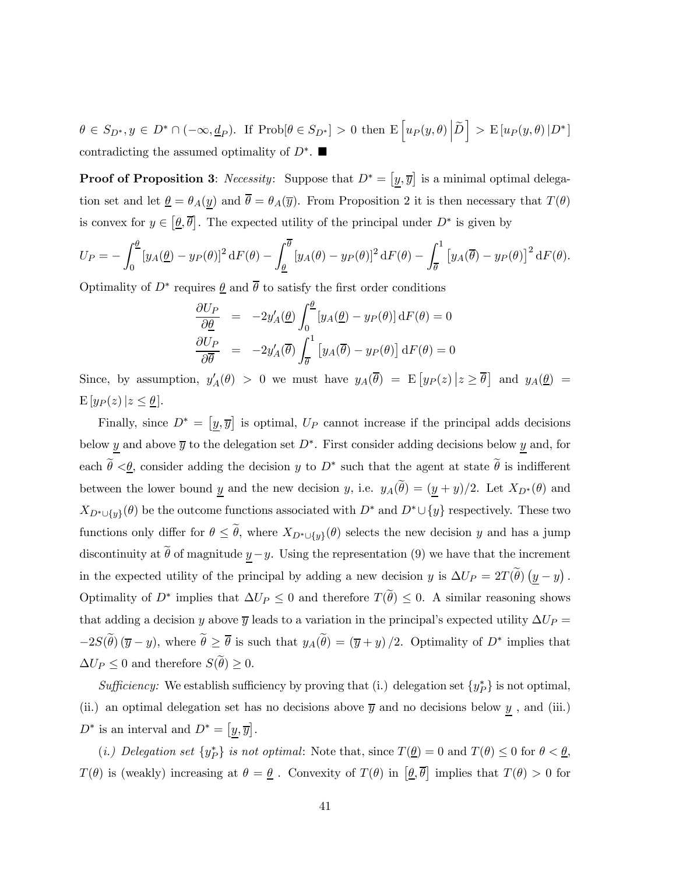$\theta \in S_{D^*}, y \in D^* \cap (-\infty, \underline{d}_P)$ . If  $\text{Prob}[\theta \in S_{D^*}] > 0$  then  $\mathbb{E}\left[u_P(y, \theta) \middle| \widetilde{D}\right] > \mathbb{E}\left[u_P(y, \theta) \middle| D^*\right]$ contradicting the assumed optimality of  $D^*$ .

**Proof of Proposition 3:** Necessity: Suppose that  $D^* = [y, \overline{y}]$  is a minimal optimal delegation set and let  $\underline{\theta} = \theta_A(\underline{y})$  and  $\overline{\theta} = \theta_A(\overline{y})$ . From Proposition 2 it is then necessary that  $T(\theta)$ is convex for  $y \in [\underline{\theta}, \overline{\theta}]$ . The expected utility of the principal under  $D^*$  is given by

$$
U_P = -\int_0^{\underline{\theta}} \left[ y_A(\underline{\theta}) - y_P(\theta) \right]^2 \mathrm{d}F(\theta) - \int_{\underline{\theta}}^{\overline{\theta}} \left[ y_A(\theta) - y_P(\theta) \right]^2 \mathrm{d}F(\theta) - \int_{\overline{\theta}}^1 \left[ y_A(\overline{\theta}) - y_P(\theta) \right]^2 \mathrm{d}F(\theta).
$$

Optimality of  $D^*$  requires  $\underline{\theta}$  and  $\theta$  to satisfy the first order conditions

$$
\frac{\partial U_P}{\partial \theta} = -2y'_A(\theta) \int_0^{\theta} [y_A(\theta) - y_P(\theta)] \,dF(\theta) = 0
$$

$$
\frac{\partial U_P}{\partial \overline{\theta}} = -2y'_A(\overline{\theta}) \int_{\overline{\theta}}^1 [y_A(\overline{\theta}) - y_P(\theta)] \,dF(\theta) = 0
$$

Since, by assumption,  $y'_A(\theta) > 0$  we must have  $y_A(\overline{\theta}) = E[y_P(z) | z \ge \overline{\theta}]$  and  $y_A(\underline{\theta}) =$  $E[y_P(z)|z \leq \underline{\theta}].$ 

Finally, since  $D^* = [y, \overline{y}]$  is optimal,  $U_P$  cannot increase if the principal adds decisions below y and above  $\overline{y}$  to the delegation set  $D^*$ . First consider adding decisions below y and, for each  $\widetilde{\theta} \leq \theta$ , consider adding the decision y to D<sup>\*</sup> such that the agent at state  $\widetilde{\theta}$  is indifferent between the lower bound y and the new decision y, i.e.  $y_A(\tilde{\theta})=(y + y)/2$ . Let  $X_{D^*}(\theta)$  and  $X_{D^* \cup \{y\}}(\theta)$  be the outcome functions associated with  $D^*$  and  $D^* \cup \{y\}$  respectively. These two functions only differ for  $\theta \leq \tilde{\theta}$ , where  $X_{D^*\cup \{y\}}(\theta)$  selects the new decision y and has a jump discontinuity at  $\tilde{\theta}$  of magnitude  $\underline{y}-y$ . Using the representation (9) we have that the increment in the expected utility of the principal by adding a new decision y is  $\Delta U_P = 2T(\tilde{\theta}) \left(\underline{y} - y\right)$ . Optimality of  $D^*$  implies that  $\Delta U_P \leq 0$  and therefore  $T(\tilde{\theta}) \leq 0$ . A similar reasoning shows that adding a decision y above  $\overline{y}$  leads to a variation in the principal's expected utility  $\Delta U_P =$  $-2S(\tilde{\theta}) (\overline{y} - y)$ , where  $\tilde{\theta} \geq \overline{\theta}$  is such that  $y_A(\tilde{\theta}) = (\overline{y} + y)/2$ . Optimality of  $D^*$  implies that  $\Delta U_P \leq 0$  and therefore  $S(\tilde{\theta}) \geq 0$ .

Sufficiency: We establish sufficiency by proving that (i.) delegation set  $\{y_P^*\}$  is not optimal, (ii.) an optimal delegation set has no decisions above  $\overline{y}$  and no decisions below  $\underline{y}$ , and (iii.)  $D^*$  is an interval and  $D^* = [y, \overline{y}]$ .

(*i.*) Delegation set  $\{y_P^*\}$  is not optimal: Note that, since  $T(\underline{\theta})=0$  and  $T(\theta) \leq 0$  for  $\theta < \underline{\theta}$ ,  $T(\theta)$  is (weakly) increasing at  $\theta = \theta$ . Convexity of  $T(\theta)$  in  $[\theta, \overline{\theta}]$  implies that  $T(\theta) > 0$  for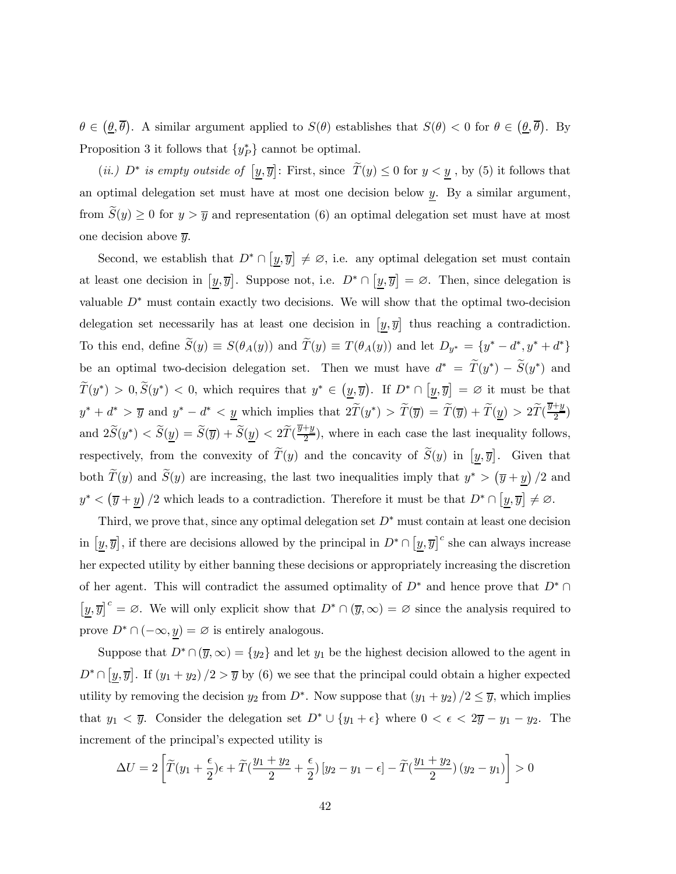$\theta \in (\underline{\theta}, \overline{\theta})$ . A similar argument applied to  $S(\theta)$  establishes that  $S(\theta) < 0$  for  $\theta \in (\underline{\theta}, \overline{\theta})$ . By Proposition 3 it follows that  $\{y_P^*\}$  cannot be optimal.

(*ii.*)  $D^*$  is empty outside of  $[\underline{y}, \overline{y}]$ : First, since  $\widetilde{T}(y) \le 0$  for  $y < \underline{y}$ , by (5) it follows that an optimal delegation set must have at most one decision below  $\underline{y}$ . By a similar argument, from  $S(y) \geq 0$  for  $y > \overline{y}$  and representation (6) an optimal delegation set must have at most one decision above  $\overline{y}$ .

Second, we establish that  $D^* \cap [y, \overline{y}] \neq \emptyset$ , i.e. any optimal delegation set must contain at least one decision in  $[\underline{y}, \overline{y}]$ . Suppose not, i.e.  $D^* \cap [\underline{y}, \overline{y}] = \emptyset$ . Then, since delegation is valuable  $D^*$  must contain exactly two decisions. We will show that the optimal two-decision delegation set necessarily has at least one decision in  $[y, \overline{y}]$  thus reaching a contradiction. To this end, define  $\widetilde{S}(y) \equiv S(\theta_A(y))$  and  $\widetilde{T}(y) \equiv T(\theta_A(y))$  and let  $D_{y^*} = \{y^* - d^*, y^* + d^*\}$ be an optimal two-decision delegation set. Then we must have  $d^* = \tilde{T}(y^*) - \tilde{S}(y^*)$  and  $\widetilde{T}(y^*) > 0, \widetilde{S}(y^*) < 0$ , which requires that  $y^* \in (y, \overline{y})$ . If  $D^* \cap [y, \overline{y}] = \varnothing$  it must be that  $y^* + d^* > \overline{y}$  and  $y^* - d^* < \underline{y}$  which implies that  $2\widetilde{T}(y^*) > \widetilde{T}(\overline{y}) = \widetilde{T}(\overline{y}) + \widetilde{T}(\underline{y}) > 2\widetilde{T}(\frac{\overline{y} + \underline{y}}{2})$ and  $2\tilde{S}(y^*) < \tilde{S}(\underline{y}) = \tilde{S}(\overline{y}) + \tilde{S}(\underline{y}) < 2\tilde{T}(\frac{\overline{y}+y}{2})$ , where in each case the last inequality follows, respectively, from the convexity of  $\widetilde{T}(y)$  and the concavity of  $\widetilde{S}(y)$  in  $[y,\overline{y}]$ . Given that both  $\widetilde{T}(y)$  and  $\widetilde{S}(y)$  are increasing, the last two inequalities imply that  $y^* > (\overline{y} + \underline{y})/2$  and  $y^* < (\overline{y} + \underline{y})/2$  which leads to a contradiction. Therefore it must be that  $D^* \cap [\underline{y}, \overline{y}] \neq \emptyset$ .

Third, we prove that, since any optimal delegation set  $D^*$  must contain at least one decision in  $[\underline{y}, \overline{y}]$ , if there are decisions allowed by the principal in  $D^* \cap [\underline{y}, \overline{y}]^c$  she can always increase her expected utility by either banning these decisions or appropriately increasing the discretion of her agent. This will contradict the assumed optimality of  $D^*$  and hence prove that  $D^* \cap$  $[\underline{y}, \overline{y}]^c = \emptyset$ . We will only explicit show that  $D^* \cap (\overline{y}, \infty) = \emptyset$  since the analysis required to prove  $D^* \cap (-\infty, y) = \varnothing$  is entirely analogous.

Suppose that  $D^* \cap (\overline{y}, \infty) = \{y_2\}$  and let  $y_1$  be the highest decision allowed to the agent in  $D^* \cap [\underline{y}, \overline{y}]$ . If  $(y_1 + y_2)/2 > \overline{y}$  by (6) we see that the principal could obtain a higher expected utility by removing the decision  $y_2$  from  $D^*$ . Now suppose that  $(y_1 + y_2)/2 \leq \overline{y}$ , which implies that  $y_1 < \overline{y}$ . Consider the delegation set  $D^* \cup \{y_1 + \epsilon\}$  where  $0 < \epsilon < 2\overline{y} - y_1 - y_2$ . The increment of the principal's expected utility is

$$
\Delta U = 2\left[\widetilde{T}(y_1 + \frac{\epsilon}{2})\epsilon + \widetilde{T}(\frac{y_1 + y_2}{2} + \frac{\epsilon}{2})[y_2 - y_1 - \epsilon] - \widetilde{T}(\frac{y_1 + y_2}{2})(y_2 - y_1)\right] > 0
$$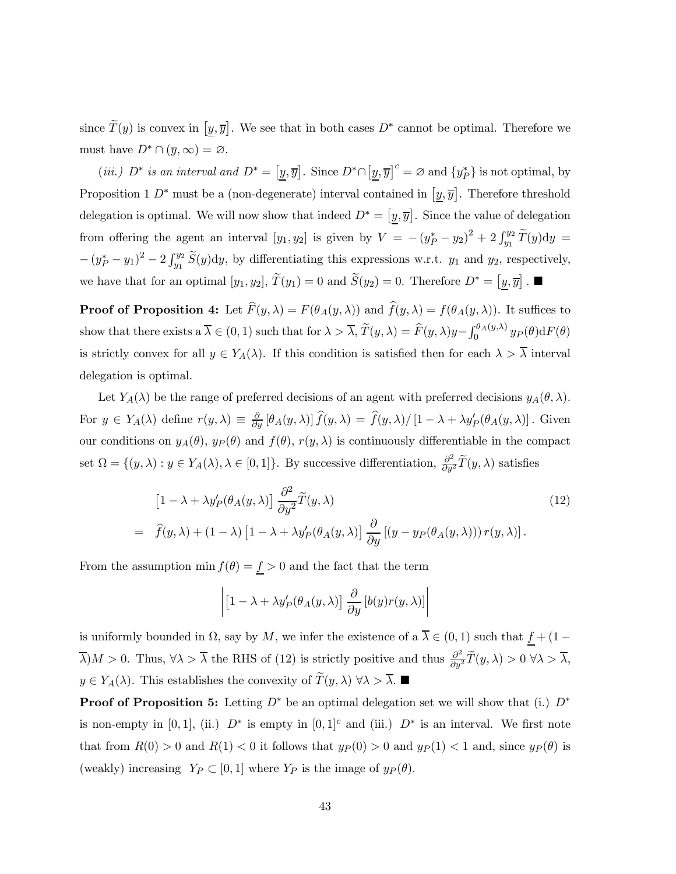since  $\tilde{T}(y)$  is convex in  $[y, \overline{y}]$ . We see that in both cases  $D^*$  cannot be optimal. Therefore we must have  $D^* \cap (\overline{y}, \infty) = \emptyset$ .

(*iii.*)  $D^*$  *is an interval and*  $D^* = [\underline{y}, \overline{y}]$ . Since  $D^* \cap [\underline{y}, \overline{y}]^c = \emptyset$  and  $\{y_P^*\}$  is not optimal, by Proposition 1  $D^*$  must be a (non-degenerate) interval contained in  $[y, \overline{y}]$ . Therefore threshold delegation is optimal. We will now show that indeed  $D^* = [y, \overline{y}]$ . Since the value of delegation from offering the agent an interval  $[y_1, y_2]$  is given by  $V = -(y_P^* - y_2)^2 + 2 \int_{y_1}^{y_2} \widetilde{T}(y) dy =$  $-(y_P^* - y_1)^2 - 2 \int_{y_1}^{y_2} \widetilde{S}(y) dy$ , by differentiating this expressions w.r.t.  $y_1$  and  $y_2$ , respectively, we have that for an optimal  $[y_1, y_2], \widetilde{T}(y_1) = 0$  and  $\widetilde{S}(y_2) = 0$ . Therefore  $D^* = [\underline{y}, \overline{y}]$ .

**Proof of Proposition 4:** Let  $F(y, \lambda) = F(\theta_A(y, \lambda))$  and  $f(y, \lambda) = f(\theta_A(y, \lambda))$ . It suffices to show that there exists a  $\overline{\lambda} \in (0,1)$  such that for  $\lambda > \overline{\lambda}$ ,  $\widetilde{T}(y,\lambda) = \widehat{F}(y,\lambda)y - \int_0^{\theta_A(y,\lambda)} y_P(\theta) dF(\theta)$ is strictly convex for all  $y \in Y_A(\lambda)$ . If this condition is satisfied then for each  $\lambda > \overline{\lambda}$  interval delegation is optimal.

Let  $Y_A(\lambda)$  be the range of preferred decisions of an agent with preferred decisions  $y_A(\theta, \lambda)$ . For  $y \in Y_A(\lambda)$  define  $r(y,\lambda) \equiv \frac{\partial}{\partial y} [\theta_A(y,\lambda)] \widehat{f}(y,\lambda) = \widehat{f}(y,\lambda) / [1 - \lambda + \lambda y'_P(\theta_A(y,\lambda))]$ . Given our conditions on  $y_A(\theta)$ ,  $y_P(\theta)$  and  $f(\theta)$ ,  $r(y, \lambda)$  is continuously differentiable in the compact set  $\Omega = \{(y, \lambda) : y \in Y_A(\lambda), \lambda \in [0, 1]\}$ . By successive differentiation,  $\frac{\partial^2}{\partial y^2} \tilde{T}(y, \lambda)$  satisfies

$$
\begin{split} \left[1 - \lambda + \lambda y'_{P}(\theta_{A}(y,\lambda))\right] \frac{\partial^{2}}{\partial y^{2}} \widetilde{T}(y,\lambda) \\ = \widehat{f}(y,\lambda) + (1 - \lambda) \left[1 - \lambda + \lambda y'_{P}(\theta_{A}(y,\lambda))\right] \frac{\partial}{\partial y} \left[(y - y_{P}(\theta_{A}(y,\lambda)))\right] r(y,\lambda)]. \end{split} \tag{12}
$$

From the assumption min  $f(\theta) = \underline{f} > 0$  and the fact that the term

$$
\left| \left[1 - \lambda + \lambda y'_P(\theta_A(y, \lambda))\right] \frac{\partial}{\partial y} \left[b(y)r(y, \lambda)\right] \right|
$$

is uniformly bounded in  $\Omega$ , say by M, we infer the existence of a  $\overline{\lambda} \in (0,1)$  such that  $f + (1 \overline{\lambda}$ ) $M > 0$ . Thus,  $\forall \lambda > \overline{\lambda}$  the RHS of (12) is strictly positive and thus  $\frac{\partial^2}{\partial y^2} \widetilde{T}(y, \lambda) > 0 \ \forall \lambda > \overline{\lambda}$ ,  $y \in Y_A(\lambda)$ . This establishes the convexity of  $\widetilde{T}(y, \lambda)$   $\forall \lambda > \overline{\lambda}$ .

**Proof of Proposition 5:** Letting  $D^*$  be an optimal delegation set we will show that (i.)  $D^*$ is non-empty in [0, 1], (ii.)  $D^*$  is empty in [0, 1]<sup>c</sup> and (iii.)  $D^*$  is an interval. We first note that from  $R(0) > 0$  and  $R(1) < 0$  it follows that  $y_P(0) > 0$  and  $y_P(1) < 1$  and, since  $y_P(\theta)$  is (weakly) increasing  $Y_P \subset [0,1]$  where  $Y_P$  is the image of  $y_P(\theta)$ .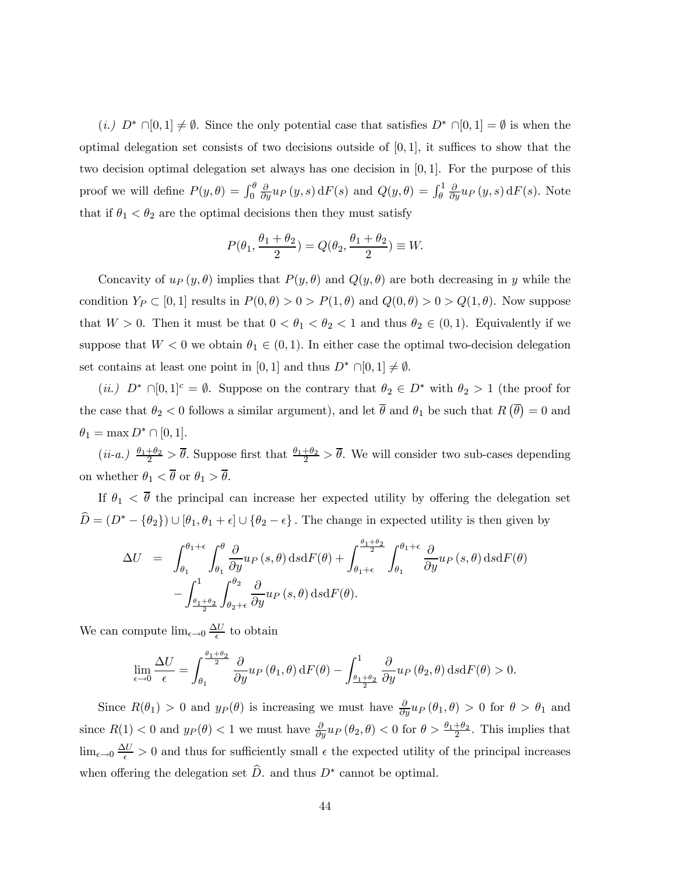(i.)  $D^* \cap [0,1] \neq \emptyset$ . Since the only potential case that satisfies  $D^* \cap [0,1] = \emptyset$  is when the optimal delegation set consists of two decisions outside of  $[0, 1]$ , it suffices to show that the two decision optimal delegation set always has one decision in  $[0, 1]$ . For the purpose of this proof we will define  $P(y, \theta) = \int_0^{\theta}$  $\frac{\partial}{\partial y}u_P(y,s)\,\mathrm{d}F(s)$  and  $Q(y,\theta) = \int_{\theta}^1$  $\frac{\partial}{\partial y}u_P(y,s)\,\mathrm{d}F(s)$ . Note that if  $\theta_1 < \theta_2$  are the optimal decisions then they must satisfy

$$
P(\theta_1, \frac{\theta_1 + \theta_2}{2}) = Q(\theta_2, \frac{\theta_1 + \theta_2}{2}) \equiv W.
$$

Concavity of  $u_P(y, \theta)$  implies that  $P(y, \theta)$  and  $Q(y, \theta)$  are both decreasing in y while the condition  $Y_P \subset [0, 1]$  results in  $P(0, \theta) > 0 > P(1, \theta)$  and  $Q(0, \theta) > 0 > Q(1, \theta)$ . Now suppose that  $W > 0$ . Then it must be that  $0 < \theta_1 < \theta_2 < 1$  and thus  $\theta_2 \in (0, 1)$ . Equivalently if we suppose that  $W < 0$  we obtain  $\theta_1 \in (0,1)$ . In either case the optimal two-decision delegation set contains at least one point in [0, 1] and thus  $D^* \cap [0,1] \neq \emptyset$ .

(ii.)  $D^* \cap [0,1]^c = \emptyset$ . Suppose on the contrary that  $\theta_2 \in D^*$  with  $\theta_2 > 1$  (the proof for the case that  $\theta_2 < 0$  follows a similar argument), and let  $\overline{\theta}$  and  $\theta_1$  be such that  $R(\overline{\theta}) = 0$  and  $\theta_1 = \max D^* \cap [0,1].$ 

 $(ii-a.) \frac{\theta_1+\theta_2}{2} > \overline{\theta}$ . Suppose first that  $\frac{\theta_1+\theta_2}{2} > \overline{\theta}$ . We will consider two sub-cases depending on whether  $\theta_1 < \overline{\theta}$  or  $\theta_1 > \overline{\theta}$ .

If  $\theta_1 < \overline{\theta}$  the principal can increase her expected utility by offering the delegation set  $\widehat{D} = (D^* - {\theta_2}) \cup [\theta_1, \theta_1 + \epsilon] \cup {\theta_2 - \epsilon}$ . The change in expected utility is then given by

$$
\Delta U = \int_{\theta_1}^{\theta_1+\epsilon} \int_{\theta_1}^{\theta} \frac{\partial}{\partial y} u_P(s,\theta) \, ds \, dF(\theta) + \int_{\theta_1+\epsilon}^{\theta_1+\theta_2} \int_{\theta_1}^{\theta_1+\epsilon} \frac{\partial}{\partial y} u_P(s,\theta) \, ds \, dF(\theta) - \int_{\theta_1+\theta_2}^{1} \int_{\theta_2+\epsilon}^{\theta_2} \frac{\partial}{\partial y} u_P(s,\theta) \, ds \, dF(\theta).
$$

We can compute  $\lim_{\epsilon \to 0} \frac{\Delta U}{\epsilon}$  to obtain

$$
\lim_{\epsilon \to 0} \frac{\Delta U}{\epsilon} = \int_{\theta_1}^{\frac{\theta_1 + \theta_2}{2}} \frac{\partial}{\partial y} u_P(\theta_1, \theta) dF(\theta) - \int_{\frac{\theta_1 + \theta_2}{2}}^1 \frac{\partial}{\partial y} u_P(\theta_2, \theta) dS dF(\theta) > 0.
$$

Since  $R(\theta_1) > 0$  and  $y_P(\theta)$  is increasing we must have  $\frac{\partial}{\partial y}u_P(\theta_1, \theta) > 0$  for  $\theta > \theta_1$  and since  $R(1) < 0$  and  $y_P(\theta) < 1$  we must have  $\frac{\partial}{\partial y} u_P(\theta_2, \theta) < 0$  for  $\theta > \frac{\theta_1 + \theta_2}{2}$ . This implies that  $\lim_{\epsilon \to 0} \frac{\Delta U}{\epsilon} > 0$  and thus for sufficiently small  $\epsilon$  the expected utility of the principal increases when offering the delegation set  $\widehat{D}$ , and thus  $D^*$  cannot be optimal.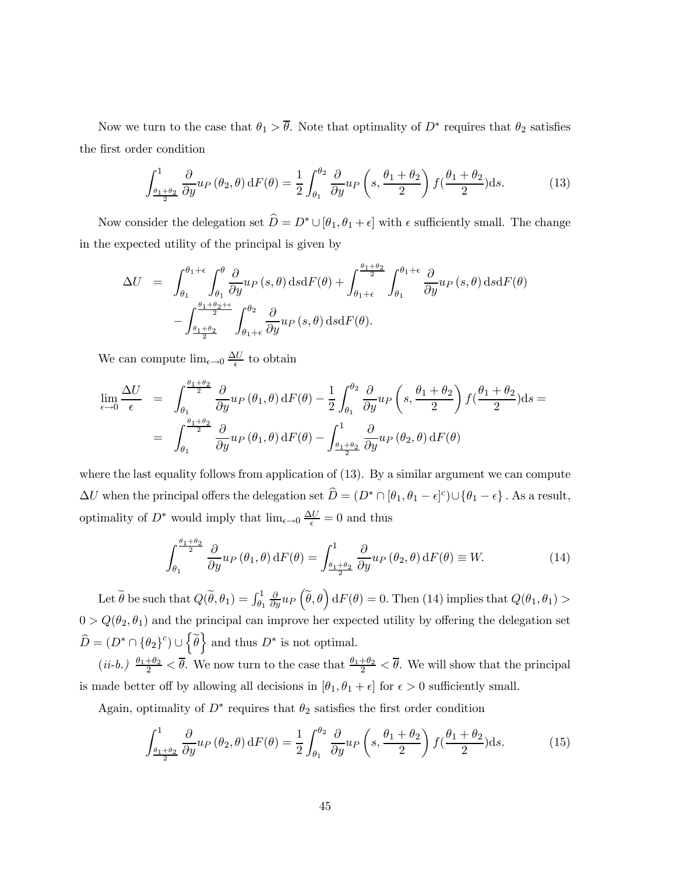Now we turn to the case that  $\theta_1 > \overline{\theta}$ . Note that optimality of  $D^*$  requires that  $\theta_2$  satisfies the first order condition

$$
\int_{\frac{\theta_1+\theta_2}{2}}^1 \frac{\partial}{\partial y} u_P(\theta_2, \theta) dF(\theta) = \frac{1}{2} \int_{\theta_1}^{\theta_2} \frac{\partial}{\partial y} u_P(s, \frac{\theta_1+\theta_2}{2}) f(\frac{\theta_1+\theta_2}{2}) ds.
$$
 (13)

Now consider the delegation set  $\widehat{D} = D^* \cup [\theta_1, \theta_1 + \epsilon]$  with  $\epsilon$  sufficiently small. The change in the expected utility of the principal is given by

$$
\Delta U = \int_{\theta_1}^{\theta_1+\epsilon} \int_{\theta_1}^{\theta} \frac{\partial}{\partial y} u_P(s,\theta) \, ds \, dF(\theta) + \int_{\theta_1+\epsilon}^{\theta_1+\theta_2} \int_{\theta_1}^{\theta_1+\epsilon} \frac{\partial}{\partial y} u_P(s,\theta) \, ds \, dF(\theta) - \int_{\theta_1+\theta_2}^{\theta_1+\theta_2+\epsilon} \int_{\theta_1+\epsilon}^{\theta_2} \frac{\partial}{\partial y} u_P(s,\theta) \, ds \, dF(\theta).
$$

We can compute  $\lim_{\epsilon \to 0} \frac{\Delta U}{\epsilon}$  to obtain

$$
\lim_{\epsilon \to 0} \frac{\Delta U}{\epsilon} = \int_{\theta_1}^{\frac{\theta_1 + \theta_2}{2}} \frac{\partial}{\partial y} u_P(\theta_1, \theta) dF(\theta) - \frac{1}{2} \int_{\theta_1}^{\theta_2} \frac{\partial}{\partial y} u_P\left(s, \frac{\theta_1 + \theta_2}{2}\right) f(\frac{\theta_1 + \theta_2}{2}) ds =
$$
\n
$$
= \int_{\theta_1}^{\frac{\theta_1 + \theta_2}{2}} \frac{\partial}{\partial y} u_P(\theta_1, \theta) dF(\theta) - \int_{\frac{\theta_1 + \theta_2}{2}}^1 \frac{\partial}{\partial y} u_P(\theta_2, \theta) dF(\theta)
$$

where the last equality follows from application of (13). By a similar argument we can compute  $\Delta U$  when the principal offers the delegation set  $\hat{D} = (D^* \cap [\theta_1, \theta_1 - \epsilon]^c) \cup \{\theta_1 - \epsilon\}$ . As a result, optimality of  $D^*$  would imply that  $\lim_{\epsilon \to 0} \frac{\Delta U}{\epsilon} = 0$  and thus

$$
\int_{\theta_1}^{\frac{\theta_1+\theta_2}{2}} \frac{\partial}{\partial y} u_P(\theta_1, \theta) dF(\theta) = \int_{\frac{\theta_1+\theta_2}{2}}^1 \frac{\partial}{\partial y} u_P(\theta_2, \theta) dF(\theta) \equiv W.
$$
 (14)

Let  $\widetilde{\theta}$  be such that  $Q(\widetilde{\theta}, \theta_1) = \int_{\theta_1}^1$  $\frac{\partial}{\partial y}u_P\left(\widetilde{\theta},\theta\right)\mathrm{d}F(\theta)=0.$  Then (14) implies that  $Q(\theta_1,\theta_1)$  >  $0 > Q(\theta_2, \theta_1)$  and the principal can improve her expected utility by offering the delegation set  $\widehat{D} = (D^* \cap {\theta_2}^c) \cup {\widetilde{\theta}}$  and thus  $D^*$  is not optimal.

 $(ii-b.)$   $\frac{\theta_1+\theta_2}{2} < \overline{\theta}$ . We now turn to the case that  $\frac{\theta_1+\theta_2}{2} < \overline{\theta}$ . We will show that the principal is made better off by allowing all decisions in  $[\theta_1, \theta_1 + \epsilon]$  for  $\epsilon > 0$  sufficiently small.

Again, optimality of  $D^*$  requires that  $\theta_2$  satisfies the first order condition

$$
\int_{\frac{\theta_1+\theta_2}{2}}^1 \frac{\partial}{\partial y} u_P(\theta_2, \theta) dF(\theta) = \frac{1}{2} \int_{\theta_1}^{\theta_2} \frac{\partial}{\partial y} u_P\left(s, \frac{\theta_1+\theta_2}{2}\right) f(\frac{\theta_1+\theta_2}{2}) ds.
$$
 (15)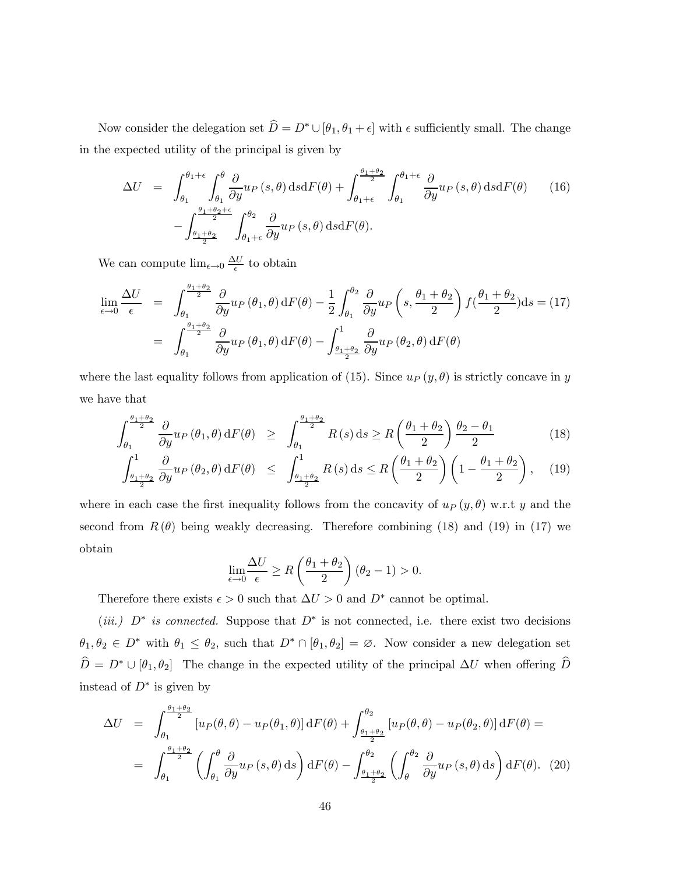Now consider the delegation set  $\hat{D} = D^* \cup [\theta_1, \theta_1 + \epsilon]$  with  $\epsilon$  sufficiently small. The change in the expected utility of the principal is given by

$$
\Delta U = \int_{\theta_1}^{\theta_1 + \epsilon} \int_{\theta_1}^{\theta} \frac{\partial}{\partial y} u_P(s, \theta) \, ds \, dF(\theta) + \int_{\theta_1 + \epsilon}^{\theta_1 + \theta_2} \int_{\theta_1}^{\theta_1 + \epsilon} \frac{\partial}{\partial y} u_P(s, \theta) \, ds \, dF(\theta) \tag{16}
$$
\n
$$
- \int_{\frac{\theta_1 + \theta_2}{2}}^{\frac{\theta_1 + \theta_2 + \epsilon}{2}} \int_{\theta_1 + \epsilon}^{\theta_2} \frac{\partial}{\partial y} u_P(s, \theta) \, ds \, dF(\theta).
$$

We can compute  $\lim_{\epsilon \to 0} \frac{\Delta U}{\epsilon}$  to obtain

$$
\lim_{\epsilon \to 0} \frac{\Delta U}{\epsilon} = \int_{\theta_1}^{\frac{\theta_1 + \theta_2}{2}} \frac{\partial}{\partial y} u_P(\theta_1, \theta) dF(\theta) - \frac{1}{2} \int_{\theta_1}^{\theta_2} \frac{\partial}{\partial y} u_P(s, \frac{\theta_1 + \theta_2}{2}) f(\frac{\theta_1 + \theta_2}{2}) ds = (17)
$$
\n
$$
= \int_{\theta_1}^{\frac{\theta_1 + \theta_2}{2}} \frac{\partial}{\partial y} u_P(\theta_1, \theta) dF(\theta) - \int_{\frac{\theta_1 + \theta_2}{2}}^1 \frac{\partial}{\partial y} u_P(\theta_2, \theta) dF(\theta)
$$

where the last equality follows from application of (15). Since  $u_P(y, \theta)$  is strictly concave in y we have that

$$
\int_{\theta_1}^{\frac{\theta_1+\theta_2}{2}} \frac{\partial}{\partial y} u_P(\theta_1, \theta) dF(\theta) \ge \int_{\theta_1}^{\frac{\theta_1+\theta_2}{2}} R(s) ds \ge R\left(\frac{\theta_1+\theta_2}{2}\right) \frac{\theta_2-\theta_1}{2}
$$
(18)

$$
\int_{\frac{\theta_1+\theta_2}{2}}^1 \frac{\partial}{\partial y} u_P(\theta_2, \theta) dF(\theta) \le \int_{\frac{\theta_1+\theta_2}{2}}^1 R(s) ds \le R\left(\frac{\theta_1+\theta_2}{2}\right) \left(1 - \frac{\theta_1+\theta_2}{2}\right), \quad (19)
$$

where in each case the first inequality follows from the concavity of  $u_P(y, \theta)$  w.r.t y and the second from  $R(\theta)$  being weakly decreasing. Therefore combining (18) and (19) in (17) we obtain

$$
\lim_{\epsilon \to 0} \frac{\Delta U}{\epsilon} \ge R\left(\frac{\theta_1 + \theta_2}{2}\right) (\theta_2 - 1) > 0.
$$

Therefore there exists  $\epsilon > 0$  such that  $\Delta U > 0$  and  $D^*$  cannot be optimal.

(iii.)  $D^*$  is connected. Suppose that  $D^*$  is not connected, i.e. there exist two decisions  $\theta_1, \theta_2 \in D^*$  with  $\theta_1 \leq \theta_2$ , such that  $D^* \cap [\theta_1, \theta_2] = \emptyset$ . Now consider a new delegation set  $\widehat{D} = D^* \cup [\theta_1, \theta_2]$  The change in the expected utility of the principal  $\Delta U$  when offering  $\widehat{D}$ instead of  $D^*$  is given by

$$
\Delta U = \int_{\theta_1}^{\theta_1 + \theta_2} \left[ u_P(\theta, \theta) - u_P(\theta_1, \theta) \right] dF(\theta) + \int_{\theta_1 + \theta_2}^{\theta_2} \left[ u_P(\theta, \theta) - u_P(\theta_2, \theta) \right] dF(\theta) =
$$
  
= 
$$
\int_{\theta_1}^{\theta_1 + \theta_2} \left( \int_{\theta_1}^{\theta} \frac{\partial}{\partial y} u_P(s, \theta) ds \right) dF(\theta) - \int_{\theta_1 + \theta_2}^{\theta_2} \left( \int_{\theta}^{\theta_2} \frac{\partial}{\partial y} u_P(s, \theta) ds \right) dF(\theta).
$$
 (20)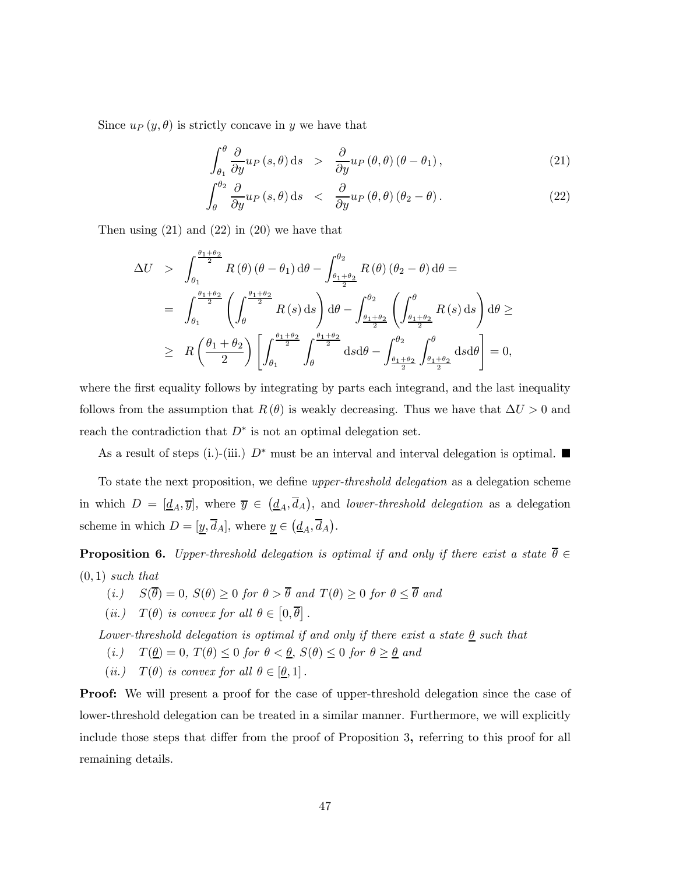Since  $u_P(y, \theta)$  is strictly concave in y we have that

$$
\int_{\theta_1}^{\theta} \frac{\partial}{\partial y} u_P(s,\theta) \,ds \quad > \quad \frac{\partial}{\partial y} u_P(\theta,\theta) \left(\theta - \theta_1\right),\tag{21}
$$

$$
\int_{\theta}^{\theta_2} \frac{\partial}{\partial y} u_P(s,\theta) \,ds \quad < \quad \frac{\partial}{\partial y} u_P(\theta,\theta) \left(\theta_2 - \theta\right). \tag{22}
$$

Then using  $(21)$  and  $(22)$  in  $(20)$  we have that

$$
\Delta U > \int_{\theta_1}^{\frac{\theta_1+\theta_2}{2}} R(\theta) (\theta-\theta_1) d\theta - \int_{\frac{\theta_1+\theta_2}{2}}^{\theta_2} R(\theta) (\theta_2-\theta) d\theta =
$$
  
\n
$$
= \int_{\theta_1}^{\frac{\theta_1+\theta_2}{2}} \left( \int_{\theta}^{\frac{\theta_1+\theta_2}{2}} R(s) ds \right) d\theta - \int_{\frac{\theta_1+\theta_2}{2}}^{\theta_2} \left( \int_{\frac{\theta_1+\theta_2}{2}}^{\theta} R(s) ds \right) d\theta \ge
$$
  
\n
$$
\geq R \left( \frac{\theta_1+\theta_2}{2} \right) \left[ \int_{\theta_1}^{\frac{\theta_1+\theta_2}{2}} \int_{\theta}^{\frac{\theta_1+\theta_2}{2}} ds d\theta - \int_{\frac{\theta_1+\theta_2}{2}}^{\theta_2} \int_{\frac{\theta_1+\theta_2}{2}}^{\theta} ds d\theta \right] = 0,
$$

where the first equality follows by integrating by parts each integrand, and the last inequality follows from the assumption that  $R(\theta)$  is weakly decreasing. Thus we have that  $\Delta U > 0$  and reach the contradiction that  $D^*$  is not an optimal delegation set.

As a result of steps (i.)-(iii.)  $D^*$  must be an interval and interval delegation is optimal.

To state the next proposition, we define upper-threshold delegation as a delegation scheme in which  $D = [\underline{d}_A, \overline{y}]$ , where  $\overline{y} \in (\underline{d}_A, \overline{d}_A)$ , and *lower-threshold delegation* as a delegation scheme in which  $D = [\underline{y}, \overline{d}_A]$ , where  $\underline{y} \in (\underline{d}_A, \overline{d}_A)$ .

**Proposition 6.** Upper-threshold delegation is optimal if and only if there exist a state  $\overline{\theta} \in$  $(0, 1)$  such that

(i.)  $S(\overline{\theta})=0$ ,  $S(\theta) \geq 0$  for  $\theta > \overline{\theta}$  and  $T(\theta) \geq 0$  for  $\theta \leq \overline{\theta}$  and

$$
(ii.) \quad T(\theta) \text{ is convex for all } \theta \in \left[0,\overline{\theta}\right].
$$

Lower-threshold delegation is optimal if and only if there exist a state  $\underline{\theta}$  such that

- (i.)  $T(\underline{\theta})=0, T(\theta) \leq 0$  for  $\theta < \underline{\theta}, S(\theta) \leq 0$  for  $\theta \geq \underline{\theta}$  and
- (*ii.*)  $T(\theta)$  is convex for all  $\theta \in [\underline{\theta}, 1]$ .

Proof: We will present a proof for the case of upper-threshold delegation since the case of lower-threshold delegation can be treated in a similar manner. Furthermore, we will explicitly include those steps that differ from the proof of Proposition 3, referring to this proof for all remaining details.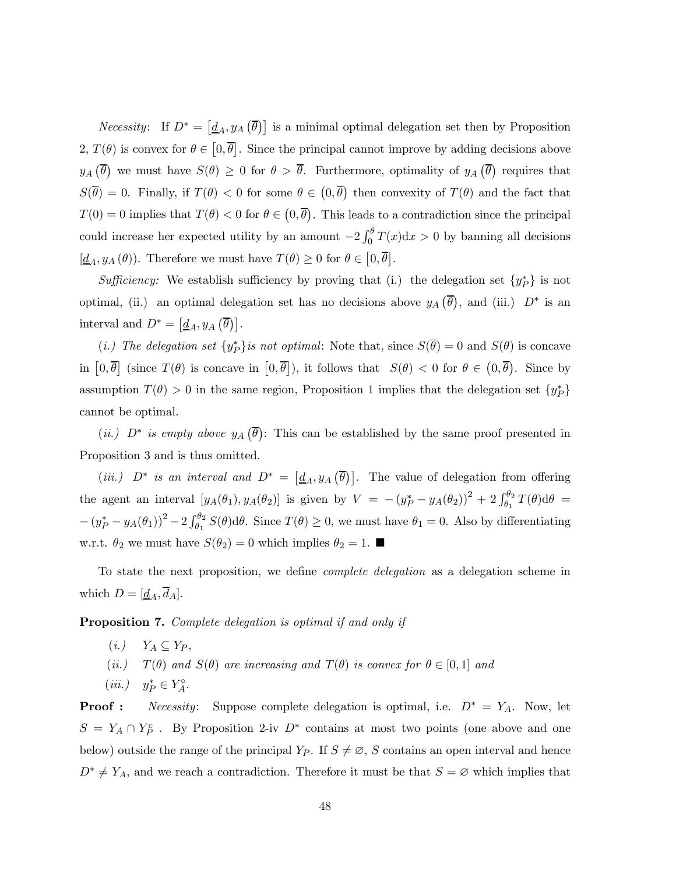*Necessity*: If  $D^* = [d_A, y_A(\overline{\theta})]$  is a minimal optimal delegation set then by Proposition 2,  $T(\theta)$  is convex for  $\theta \in [0, \overline{\theta}]$ . Since the principal cannot improve by adding decisions above  $y_A(\overline{\theta})$  we must have  $S(\theta) \geq 0$  for  $\theta > \overline{\theta}$ . Furthermore, optimality of  $y_A(\overline{\theta})$  requires that  $S(\overline{\theta})=0$ . Finally, if  $T(\theta) < 0$  for some  $\theta \in (0,\overline{\theta})$  then convexity of  $T(\theta)$  and the fact that  $T(0) = 0$  implies that  $T(\theta) < 0$  for  $\theta \in (0, \overline{\theta})$ . This leads to a contradiction since the principal could increase her expected utility by an amount  $-2 \int_0^{\theta} T(x) dx > 0$  by banning all decisions  $[\underline{d}_A, y_A(\theta)]$ . Therefore we must have  $T(\theta) \geq 0$  for  $\theta \in [0, \overline{\theta}]$ .

Sufficiency: We establish sufficiency by proving that (i.) the delegation set  $\{y_P^*\}$  is not optimal, (ii.) an optimal delegation set has no decisions above  $y_A(\overline{\theta})$ , and (iii.)  $D^*$  is an interval and  $D^* = [\underline{d}_A, y_A (\overline{\theta})].$ 

(*i.*) The delegation set  $\{y_P^*\}$  is not optimal: Note that, since  $S(\theta)=0$  and  $S(\theta)$  is concave in  $[0,\overline{\theta}]$  (since  $T(\theta)$  is concave in  $[0,\overline{\theta}]$ ), it follows that  $S(\theta) < 0$  for  $\theta \in (0,\overline{\theta})$ . Since by assumption  $T(\theta) > 0$  in the same region, Proposition 1 implies that the delegation set  $\{y_P^*\}$ cannot be optimal.

(*ii.*)  $D^*$  is empty above  $y_A(\overline{\theta})$ : This can be established by the same proof presented in Proposition 3 and is thus omitted.

(iii.)  $D^*$  is an interval and  $D^* = [\underline{d}_A, y_A(\overline{\theta})]$ . The value of delegation from offering the agent an interval  $[y_A(\theta_1), y_A(\theta_2)]$  is given by  $V = -(y_P^* - y_A(\theta_2))^2 + 2 \int_{\theta_1}^{\theta_2} T(\theta) d\theta =$  $-(y_P^* - y_A(\theta_1))^2 - 2\int_{\theta_1}^{\theta_2} S(\theta) d\theta$ . Since  $T(\theta) \ge 0$ , we must have  $\theta_1 = 0$ . Also by differentiating w.r.t.  $\theta_2$  we must have  $S(\theta_2)=0$  which implies  $\theta_2=1$ .

To state the next proposition, we define complete delegation as a delegation scheme in which  $D = [\underline{d}_A, \overline{d}_A].$ 

Proposition 7. Complete delegation is optimal if and only if

- $(i.)$   $Y_A \subseteq Y_P$ ,
- (ii.)  $T(\theta)$  and  $S(\theta)$  are increasing and  $T(\theta)$  is convex for  $\theta \in [0,1]$  and
- $(iii.) \quad y_P^* \in Y_A^{\circ}$ .

**Proof :** Necessity: Suppose complete delegation is optimal, i.e.  $D^* = Y_A$ . Now, let  $S = Y_A \cap Y_P^c$ . By Proposition 2-iv  $D^*$  contains at most two points (one above and one below) outside the range of the principal  $Y_P$ . If  $S \neq \emptyset$ , S contains an open interval and hence  $D^* \neq Y_A$ , and we reach a contradiction. Therefore it must be that  $S = \emptyset$  which implies that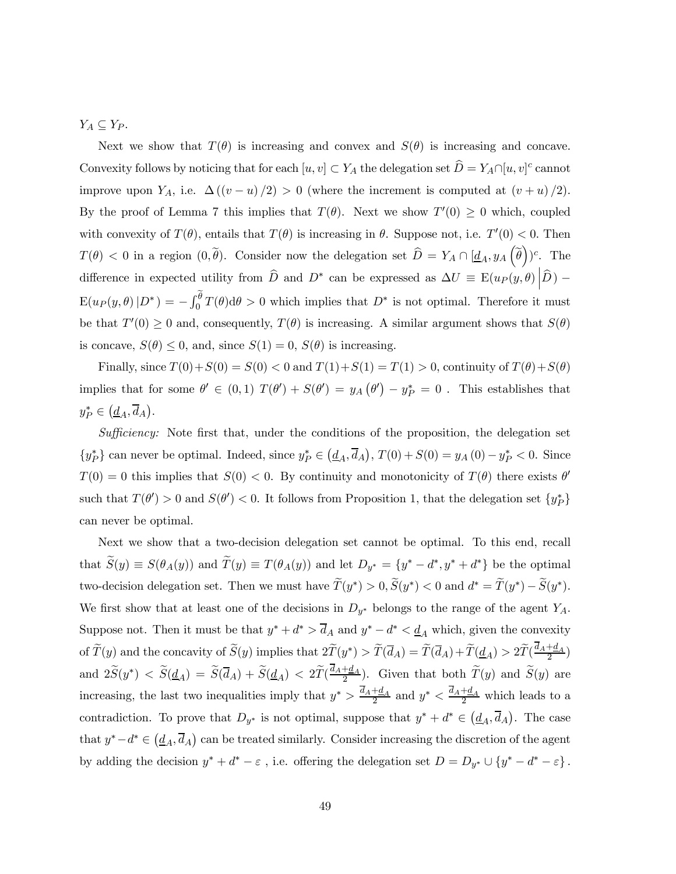$Y_A \subseteq Y_P$ .

Next we show that  $T(\theta)$  is increasing and convex and  $S(\theta)$  is increasing and concave. Convexity follows by noticing that for each  $[u, v] \subset Y_A$  the delegation set  $\widehat{D} = Y_A \cap [u, v]^c$  cannot improve upon Y<sub>A</sub>, i.e.  $\Delta((v-u)/2) > 0$  (where the increment is computed at  $(v+u)/2$ ). By the proof of Lemma 7 this implies that  $T(\theta)$ . Next we show  $T'(0) \geq 0$  which, coupled with convexity of  $T(\theta)$ , entails that  $T(\theta)$  is increasing in  $\theta$ . Suppose not, i.e.  $T'(0) < 0$ . Then  $T(\theta) < 0$  in a region  $(0, \tilde{\theta})$ . Consider now the delegation set  $\hat{D} = Y_A \cap [\underline{d}_A, y_A(\tilde{\theta}))^c$ . The difference in expected utility from  $\hat{D}$  and  $D^*$  can be expressed as  $\Delta U \equiv \mathbb{E}(u_P(y, \theta) | \hat{D}) - \sum_{\alpha=1}^{\infty} \mathbb{E}(u_P(y, \theta) | \hat{D})$  $E(u_P(y, \theta) | D^*) = -\int_0^{\theta} T(\theta) d\theta > 0$  which implies that  $D^*$  is not optimal. Therefore it must be that  $T'(0) \geq 0$  and, consequently,  $T(\theta)$  is increasing. A similar argument shows that  $S(\theta)$ is concave,  $S(\theta) \leq 0$ , and, since  $S(1) = 0$ ,  $S(\theta)$  is increasing.

Finally, since  $T(0) + S(0) = S(0) < 0$  and  $T(1) + S(1) = T(1) > 0$ , continuity of  $T(\theta) + S(\theta)$ implies that for some  $\theta' \in (0,1)$   $T(\theta') + S(\theta') = y_A(\theta') - y_P^* = 0$ . This establishes that  $y_P^* \in (\underline{d}_A, \overline{d}_A).$ 

Sufficiency: Note first that, under the conditions of the proposition, the delegation set  $\{y_P^*\}\$ can never be optimal. Indeed, since  $y_P^*\in(\underline{d}_A,\overline{d}_A)$ ,  $T(0)+S(0)=y_A(0)-y_P^*<0$ . Since  $T(0) = 0$  this implies that  $S(0) < 0$ . By continuity and monotonicity of  $T(\theta)$  there exists  $\theta'$ such that  $T(\theta') > 0$  and  $S(\theta') < 0$ . It follows from Proposition 1, that the delegation set  $\{y_P^*\}$ can never be optimal.

Next we show that a two-decision delegation set cannot be optimal. To this end, recall that  $\widetilde{S}(y) \equiv S(\theta_A(y))$  and  $\widetilde{T}(y) \equiv T(\theta_A(y))$  and let  $D_{y^*} = \{y^* - d^*, y^* + d^*\}$  be the optimal two-decision delegation set. Then we must have  $\widetilde{T}(y^*) > 0$ ,  $\widetilde{S}(y^*) < 0$  and  $d^* = \widetilde{T}(y^*) - \widetilde{S}(y^*)$ . We first show that at least one of the decisions in  $D_{y^*}$  belongs to the range of the agent  $Y_A$ . Suppose not. Then it must be that  $y^* + d^* > \overline{d}_A$  and  $y^* - d^* < \underline{d}_A$  which, given the convexity of  $\widetilde{T}(y)$  and the concavity of  $\widetilde{S}(y)$  implies that  $2\widetilde{T}(y^*) > \widetilde{T}(\overline{d}_A) = \widetilde{T}(\overline{d}_A) + \widetilde{T}(\underline{d}_A) > 2\widetilde{T}(\frac{d_A + d_A}{2})$ and  $2\widetilde{S}(y^*) < \widetilde{S}(\underline{d}_A) = \widetilde{S}(\overline{d}_A) + \widetilde{S}(\underline{d}_A) < 2\widetilde{T}(\frac{d_A + d_A}{2})$ . Given that both  $\widetilde{T}(y)$  and  $\widetilde{S}(y)$  are increasing, the last two inequalities imply that  $y^* > \frac{d_A + d_A}{2}$  and  $y^* < \frac{d_A + d_A}{2}$  which leads to a contradiction. To prove that  $D_{y^*}$  is not optimal, suppose that  $y^* + d^* \in (d_A, \overline{d}_A)$ . The case that  $y^* - d^* \in (d_A, \overline{d}_A)$  can be treated similarly. Consider increasing the discretion of the agent by adding the decision  $y^* + d^* - \varepsilon$ , i.e. offering the delegation set  $D = D_{y^*} \cup \{y^* - d^* - \varepsilon\}$ .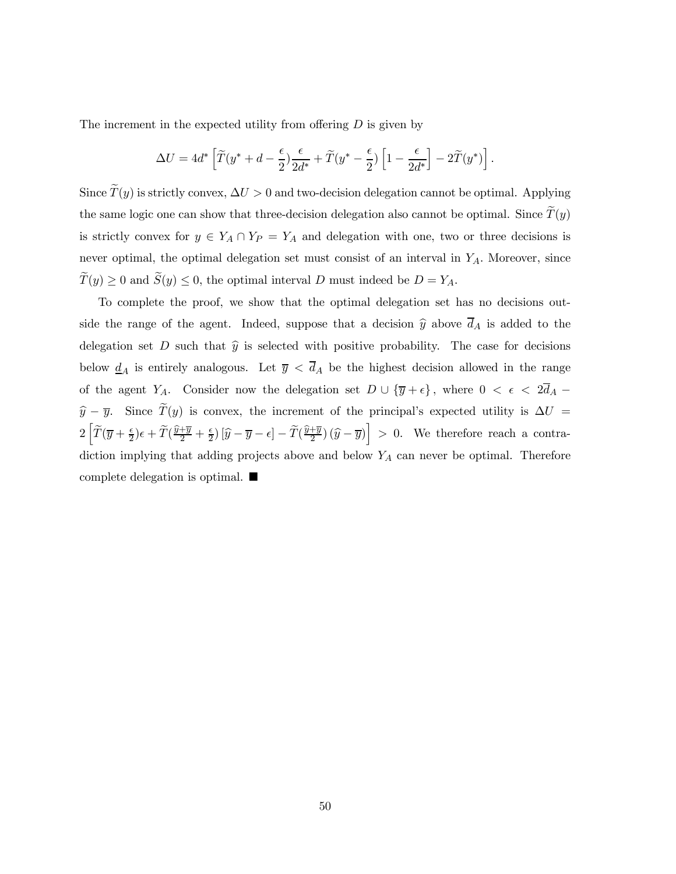The increment in the expected utility from offering  $D$  is given by

$$
\Delta U = 4d^* \left[ \widetilde{T}(y^* + d - \frac{\epsilon}{2}) \frac{\epsilon}{2d^*} + \widetilde{T}(y^* - \frac{\epsilon}{2}) \left[ 1 - \frac{\epsilon}{2d^*} \right] - 2\widetilde{T}(y^*) \right].
$$

Since  $\tilde{T}(y)$  is strictly convex,  $\Delta U > 0$  and two-decision delegation cannot be optimal. Applying the same logic one can show that three-decision delegation also cannot be optimal. Since  $\widetilde{T}(y)$ is strictly convex for  $y \in Y_A \cap Y_P = Y_A$  and delegation with one, two or three decisions is never optimal, the optimal delegation set must consist of an interval in  $Y_A$ . Moreover, since  $\widetilde{T}(y) \ge 0$  and  $\widetilde{S}(y) \le 0$ , the optimal interval D must indeed be  $D = Y_A$ .

To complete the proof, we show that the optimal delegation set has no decisions outside the range of the agent. Indeed, suppose that a decision  $\hat{y}$  above  $\overline{d}_A$  is added to the delegation set D such that  $\hat{y}$  is selected with positive probability. The case for decisions below  $\underline{d}_A$  is entirely analogous. Let  $\overline{y} < \overline{d}_A$  be the highest decision allowed in the range of the agent Y<sub>A</sub>. Consider now the delegation set  $D \cup {\overline{y}} + \epsilon$ , where  $0 < \epsilon < 2\overline{d}_A$  –  $\hat{y} - \overline{y}$ . Since  $\tilde{T}(y)$  is convex, the increment of the principal's expected utility is  $\Delta U =$  $2\left[\widetilde{T}(\overline{y}+\frac{\epsilon}{2})\epsilon+\widetilde{T}(\frac{\widehat{y}+\overline{y}}{2}+\frac{\epsilon}{2})\left[\widehat{y}-\overline{y}-\epsilon\right]-\widetilde{T}(\frac{\widehat{y}+\overline{y}}{2})(\widehat{y}-\overline{y})\right] > 0$ . We therefore reach a contradiction implying that adding projects above and below  $Y_A$  can never be optimal. Therefore complete delegation is optimal.  $\blacksquare$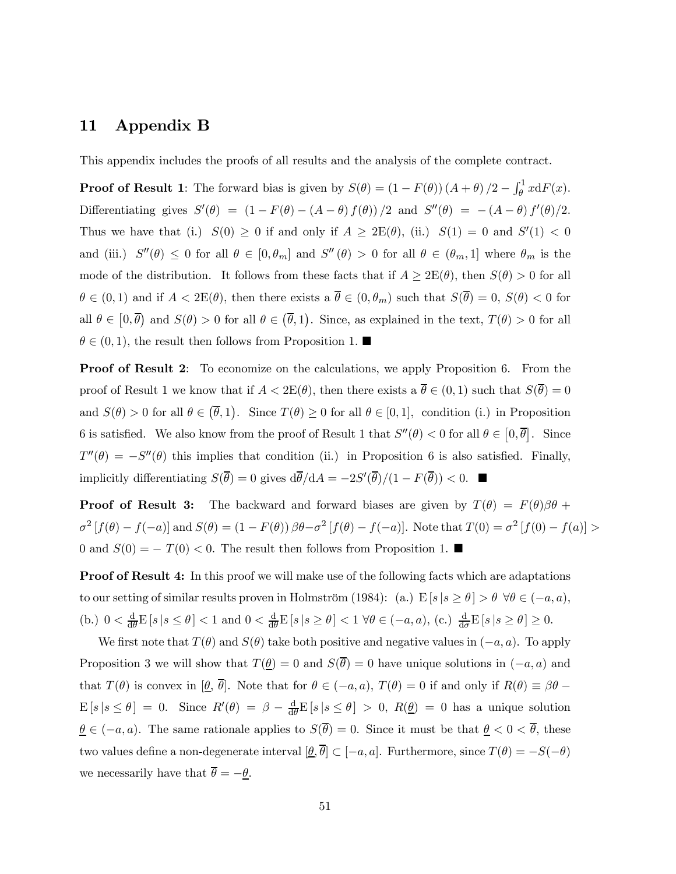# 11 Appendix B

This appendix includes the proofs of all results and the analysis of the complete contract.

**Proof of Result 1**: The forward bias is given by  $S(\theta) = (1 - F(\theta))(A + \theta)/2 - \int_{\theta}^{1} x dF(x)$ . Differentiating gives  $S'(\theta) = (1 - F(\theta) - (A - \theta) f(\theta) / 2$  and  $S''(\theta) = -(A - \theta) f'(\theta) / 2$ . Thus we have that (i.)  $S(0) \ge 0$  if and only if  $A \ge 2E(\theta)$ , (ii.)  $S(1) = 0$  and  $S'(1) < 0$ and (iii.)  $S''(\theta) \leq 0$  for all  $\theta \in [0, \theta_m]$  and  $S''(\theta) > 0$  for all  $\theta \in (\theta_m, 1]$  where  $\theta_m$  is the mode of the distribution. It follows from these facts that if  $A \geq 2E(\theta)$ , then  $S(\theta) > 0$  for all  $\theta \in (0,1)$  and if  $A < 2E(\theta)$ , then there exists a  $\overline{\theta} \in (0,\theta_m)$  such that  $S(\overline{\theta})=0$ ,  $S(\theta) < 0$  for all  $\theta \in [0, \overline{\theta})$  and  $S(\theta) > 0$  for all  $\theta \in (\overline{\theta}, 1)$ . Since, as explained in the text,  $T(\theta) > 0$  for all  $\theta \in (0, 1)$ , the result then follows from Proposition 1.

Proof of Result 2: To economize on the calculations, we apply Proposition 6. From the proof of Result 1 we know that if  $A < 2E(\theta)$ , then there exists a  $\overline{\theta} \in (0,1)$  such that  $S(\overline{\theta})=0$ and  $S(\theta) > 0$  for all  $\theta \in (\overline{\theta}, 1)$ . Since  $T(\theta) \ge 0$  for all  $\theta \in [0, 1]$ , condition (i.) in Proposition 6 is satisfied. We also know from the proof of Result 1 that  $S''(\theta) < 0$  for all  $\theta \in [0, \overline{\theta}]$ . Since  $T''(\theta) = -S''(\theta)$  this implies that condition (ii.) in Proposition 6 is also satisfied. Finally, implicitly differentiating  $S(\theta) = 0$  gives  $d\theta/dA = -2S'(\theta)/(1 - F(\theta)) < 0$ .

**Proof of Result 3:** The backward and forward biases are given by  $T(\theta) = F(\theta)\beta\theta +$  $\sigma^2 [f(\theta) - f(-a)]$  and  $S(\theta) = (1 - F(\theta)) \beta \theta - \sigma^2 [f(\theta) - f(-a)]$ . Note that  $T(0) = \sigma^2 [f(0) - f(a)] >$ 0 and  $S(0) = -T(0) < 0$ . The result then follows from Proposition 1. ■

**Proof of Result 4:** In this proof we will make use of the following facts which are adaptations to our setting of similar results proven in Holmström (1984): (a.)  $E[s | s \ge \theta] > \theta \ \forall \theta \in (-a, a)$ , (b.)  $0 < \frac{d}{d\theta} E[s | s \le \theta] < 1$  and  $0 < \frac{d}{d\theta} E[s | s \ge \theta] < 1$   $\forall \theta \in (-a, a)$ , (c.)  $\frac{d}{d\sigma} E[s | s \ge \theta] \ge 0$ .

We first note that  $T(\theta)$  and  $S(\theta)$  take both positive and negative values in  $(-a, a)$ . To apply Proposition 3 we will show that  $T(\underline{\theta})=0$  and  $S(\overline{\theta})=0$  have unique solutions in  $(-a, a)$  and that  $T(\theta)$  is convex in  $[\underline{\theta}, \overline{\theta}]$ . Note that for  $\theta \in (-a, a)$ ,  $T(\theta) = 0$  if and only if  $R(\theta) \equiv \beta\theta$  –  $E[s | s \leq \theta] = 0$ . Since  $R'(\theta) = \beta - \frac{d}{d\theta} E[s | s \leq \theta] > 0$ ,  $R(\underline{\theta}) = 0$  has a unique solution  $\underline{\theta} \in (-a, a)$ . The same rationale applies to  $S(\overline{\theta})=0$ . Since it must be that  $\underline{\theta} < 0 < \overline{\theta}$ , these two values define a non-degenerate interval  $[\underline{\theta}, \overline{\theta}] \subset [-a, a]$ . Furthermore, since  $T(\theta) = -S(-\theta)$ we necessarily have that  $\overline{\theta} = -\underline{\theta}$ .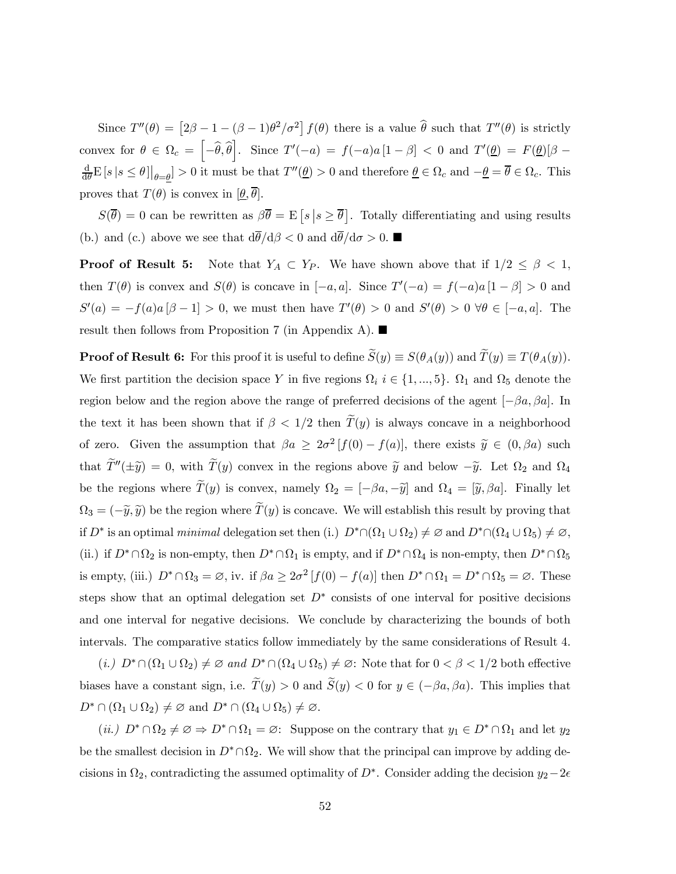Since  $T''(\theta) = [2\beta - 1 - (\beta - 1)\theta^2/\sigma^2] f(\theta)$  there is a value  $\hat{\theta}$  such that  $T''(\theta)$  is strictly convex for  $\theta \in \Omega_c = \left[-\widehat{\theta}, \widehat{\theta}\right]$ . Since  $T'(-a) = f(-a)a[1-\beta] < 0$  and  $T'(\underline{\theta}) = F(\underline{\theta})[\beta-\alpha]$  $\frac{d}{d\theta} E [s | s \leq \theta] |_{\theta = \underline{\theta}} > 0$  it must be that  $T''(\underline{\theta}) > 0$  and therefore  $\underline{\theta} \in \Omega_c$  and  $-\underline{\theta} = \overline{\theta} \in \Omega_c$ . This proves that  $T(\theta)$  is convex in  $[\underline{\theta}, \overline{\theta}]$ .

 $S(\overline{\theta}) = 0$  can be rewritten as  $\beta \overline{\theta} = \mathbb{E} [s | s \ge \overline{\theta}]$ . Totally differentiating and using results (b.) and (c.) above we see that  $d\bar{\theta}/d\beta < 0$  and  $d\bar{\theta}/d\sigma > 0$ .

**Proof of Result 5:** Note that  $Y_A \subset Y_P$ . We have shown above that if  $1/2 \leq \beta < 1$ , then  $T(\theta)$  is convex and  $S(\theta)$  is concave in  $[-a, a]$ . Since  $T'(-a) = f(-a)a[1 - \beta] > 0$  and  $S'(a) = -f(a)a[\beta - 1] > 0$ , we must then have  $T'(\theta) > 0$  and  $S'(\theta) > 0 \ \forall \theta \in [-a, a]$ . The result then follows from Proposition 7 (in Appendix A).  $\blacksquare$ 

**Proof of Result 6:** For this proof it is useful to define  $\widetilde{S}(y) \equiv S(\theta_A(y))$  and  $\widetilde{T}(y) \equiv T(\theta_A(y))$ . We first partition the decision space Y in five regions  $\Omega_i$  i ∈ {1, ..., 5}.  $\Omega_1$  and  $\Omega_5$  denote the region below and the region above the range of preferred decisions of the agent  $[-\beta a, \beta a]$ . In the text it has been shown that if  $\beta < 1/2$  then  $\tilde{T}(y)$  is always concave in a neighborhood of zero. Given the assumption that  $\beta a \geq 2\sigma^2 [f(0) - f(a)]$ , there exists  $\tilde{y} \in (0, \beta a)$  such that  $\widetilde{T}''(\pm\widetilde{y})=0$ , with  $\widetilde{T}(y)$  convex in the regions above  $\widetilde{y}$  and below  $-\widetilde{y}$ . Let  $\Omega_2$  and  $\Omega_4$ be the regions where  $\tilde{T}(y)$  is convex, namely  $\Omega_2 = [-\beta a, -\tilde{y}]$  and  $\Omega_4 = [\tilde{y}, \beta a]$ . Finally let  $\Omega_3 = (-\tilde{y}, \tilde{y})$  be the region where  $\tilde{T}(y)$  is concave. We will establish this result by proving that if  $D^*$  is an optimal minimal delegation set then (i.)  $D^* \cap (\Omega_1 \cup \Omega_2) \neq \emptyset$  and  $D^* \cap (\Omega_4 \cup \Omega_5) \neq \emptyset$ , (ii.) if  $D^* \cap \Omega_2$  is non-empty, then  $D^* \cap \Omega_1$  is empty, and if  $D^* \cap \Omega_4$  is non-empty, then  $D^* \cap \Omega_5$ is empty, (iii.)  $D^* \cap \Omega_3 = \emptyset$ , iv. if  $\beta a \geq 2\sigma^2 [f(0) - f(a)]$  then  $D^* \cap \Omega_1 = D^* \cap \Omega_5 = \emptyset$ . These steps show that an optimal delegation set  $D^*$  consists of one interval for positive decisions and one interval for negative decisions. We conclude by characterizing the bounds of both intervals. The comparative statics follow immediately by the same considerations of Result 4.

 $(i.)$   $D^* \cap (\Omega_1 \cup \Omega_2) \neq \emptyset$  and  $D^* \cap (\Omega_4 \cup \Omega_5) \neq \emptyset$ : Note that for  $0 < \beta < 1/2$  both effective biases have a constant sign, i.e.  $\widetilde{T}(y) > 0$  and  $\widetilde{S}(y) < 0$  for  $y \in (-\beta a, \beta a)$ . This implies that  $D^* \cap (\Omega_1 \cup \Omega_2) \neq \emptyset$  and  $D^* \cap (\Omega_4 \cup \Omega_5) \neq \emptyset$ .

 $(ii.)$   $D^* \cap \Omega_2 \neq \emptyset \Rightarrow D^* \cap \Omega_1 = \emptyset$ : Suppose on the contrary that  $y_1 \in D^* \cap \Omega_1$  and let  $y_2$ be the smallest decision in  $D^* \cap \Omega_2$ . We will show that the principal can improve by adding decisions in  $\Omega_2$ , contradicting the assumed optimality of D<sup>∗</sup>. Consider adding the decision  $y_2-2\epsilon$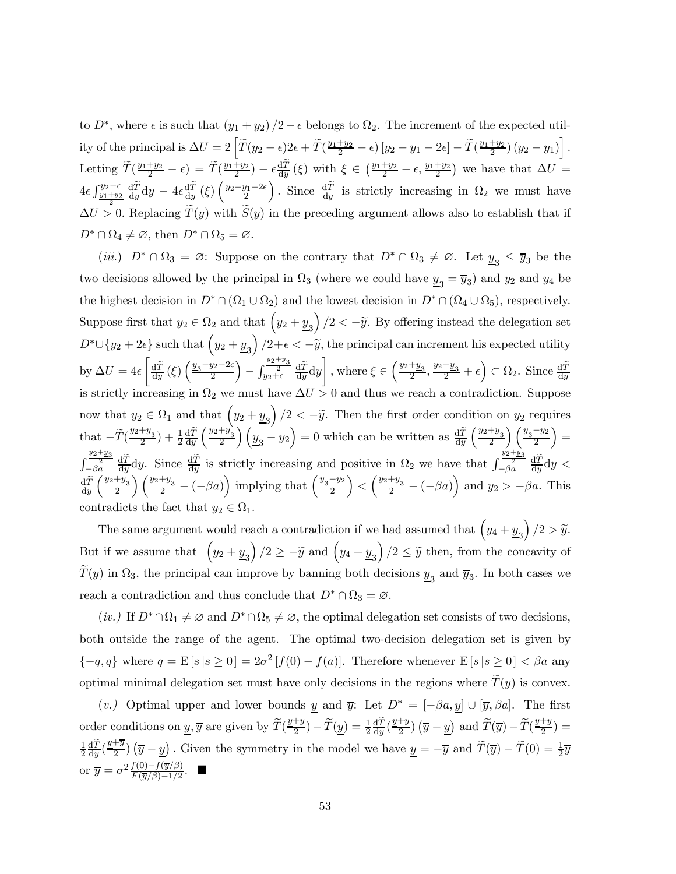to  $D^*$ , where  $\epsilon$  is such that  $(y_1 + y_2)/2 - \epsilon$  belongs to  $\Omega_2$ . The increment of the expected utility of the principal is  $\Delta U = 2 \left[ \widetilde{T}(y_2 - \epsilon) 2\epsilon + \widetilde{T}(\frac{y_1+y_2}{2} - \epsilon) \left[ y_2 - y_1 - 2\epsilon \right] - \widetilde{T}(\frac{y_1+y_2}{2}) \left( y_2 - y_1 \right) \right].$ Letting  $\widetilde{T}(\frac{y_1+y_2}{2}-\epsilon) = \widetilde{T}(\frac{y_1+y_2}{2}) - \epsilon \frac{dT}{dy}(\xi)$  with  $\xi \in (\frac{y_1+y_2}{2}-\epsilon, \frac{y_1+y_2}{2})$  we have that  $\Delta U =$  $4\epsilon \int_{\frac{y_1+y_2}{2}}^{y_2-\epsilon} \frac{\mathrm{d}\tilde{T}}{\mathrm{d}y} \mathrm{d}y - 4\epsilon \frac{\mathrm{d}\tilde{T}}{\mathrm{d}y}(\xi) \left(\frac{y_2-y_1-2\epsilon}{2}\right)$ ). Since  $\frac{d\tilde{T}}{dy}$  is strictly increasing in  $\Omega_2$  we must have  $\Delta U > 0$ . Replacing  $T(y)$  with  $S(y)$  in the preceding argument allows also to establish that if  $D^* \cap \Omega_4 \neq \emptyset$ , then  $D^* \cap \Omega_5 = \emptyset$ .

(iii.)  $D^* \cap \Omega_3 = \emptyset$ : Suppose on the contrary that  $D^* \cap \Omega_3 \neq \emptyset$ . Let  $\underline{y}_3 \leq \overline{y}_3$  be the two decisions allowed by the principal in  $\Omega_3$  (where we could have  $\underline{y}_3 = \overline{y}_3$ ) and  $y_2$  and  $y_4$  be the highest decision in  $D^* \cap (\Omega_1 \cup \Omega_2)$  and the lowest decision in  $D^* \cap (\Omega_4 \cup \Omega_5)$ , respectively. Suppose first that  $y_2 \in \Omega_2$  and that  $\left(y_2 + y_3\right)/2 < -\tilde{y}$ . By offering instead the delegation set  $D^* \cup \{y_2 + 2\epsilon\}$  such that  $(y_2 + y_3)/2 + \epsilon < -\tilde{y}$ , the principal can increment his expected utility by  $\Delta U = 4\epsilon$  $\int \frac{\mathrm{d}\widetilde{T}}{\mathrm{d}y}(\xi) \left(\frac{y_3-y_2-2\epsilon}{2}\right)$  $-\int_{y_2+\epsilon}^{\frac{y_2+y_3}{2}} \frac{\mathrm{d}\widetilde{T}}{\mathrm{d}y} \mathrm{d}y$ ¸ , where  $\xi \in \left(\frac{y_2+y_3}{2}, \frac{y_2+y_3}{2} + \epsilon\right) \subset \Omega_2$ . Since  $\frac{d\widetilde{T}}{dy}$ is strictly increasing in  $\Omega_2$  we must have  $\Delta U > 0$  and thus we reach a contradiction. Suppose now that  $y_2 \in \Omega_1$  and that  $\left(y_2 + y_3\right)/2 < -\tilde{y}$ . Then the first order condition on  $y_2$  requires that  $-\widetilde{T}(\frac{y_2+y_3}{2}) + \frac{1}{2} \frac{d\widetilde{T}}{dy} \left(\frac{y_2+y_3}{2}\right) \left(\frac{y_3-y_2}{2}\right) = 0$  which can be written as  $\frac{d\widetilde{T}}{dy} \left(\frac{y_2+y_3}{2}\right) \left(\frac{y_3-y_2}{2}\right)$  $) =$  $\int_{0}^{\frac{y_2+y_3}{2}}$  $-\frac{y_2+y_3}{2} \frac{d\widetilde{T}}{dy} dy$ . Since  $\frac{d\widetilde{T}}{dy}$  is strictly increasing and positive in  $\Omega_2$  we have that  $\int_{-\beta a}^{\frac{y_2+y_3}{2}} \frac{d\widetilde{T}}{dy} dy$  $\frac{d\widetilde{T}}{dy}\left(\frac{y_2+y_3}{2}\right)\left(\frac{y_2+y_3}{2}-(-\beta a)\right)$  implying that  $\left(\frac{y_3-y_2}{2}\right)$  $\left( \frac{y_2+y_3}{2} - (-\beta a) \right)$  and  $y_2 > -\beta a$ . This contradicts the fact that  $y_2 \in \Omega_1$ .

The same argument would reach a contradiction if we had assumed that  $\left(y_4 + y_3\right)/2 > \tilde{y}$ . But if we assume that  $\left(y_2 + y_3\right)/2 \geq -\tilde{y}$  and  $\left(y_4 + y_3\right)/2 \leq \tilde{y}$  then, from the concavity of  $T(y)$  in  $\Omega_3$ , the principal can improve by banning both decisions  $y_3$  and  $\overline{y}_3$ . In both cases we reach a contradiction and thus conclude that  $D^* \cap \Omega_3 = \emptyset$ .

(iv.) If  $D^* \cap \Omega_1 \neq \emptyset$  and  $D^* \cap \Omega_5 \neq \emptyset$ , the optimal delegation set consists of two decisions, both outside the range of the agent. The optimal two-decision delegation set is given by  ${-q, q}$  where  $q = \mathbb{E}[s | s \ge 0] = 2\sigma^2 [f(0) - f(a)]$ . Therefore whenever  $\mathbb{E}[s | s \ge 0] < \beta a$  any optimal minimal delegation set must have only decisions in the regions where  $\tilde{T}(y)$  is convex.

(v.) Optimal upper and lower bounds y and  $\overline{y}$ : Let  $D^* = [-\beta a, y] \cup [\overline{y}, \beta a]$ . The first order conditions on  $\underline{y}, \overline{y}$  are given by  $\widetilde{T}(\frac{y+\overline{y}}{2}) - \widetilde{T}(\underline{y}) = \frac{1}{2} \frac{d\widetilde{T}}{dy}(\frac{y+\overline{y}}{2}) (\overline{y}-\underline{y})$  and  $\widetilde{T}(\overline{y}) - \widetilde{T}(\frac{y+\overline{y}}{2}) =$ 1  $\frac{1}{2} \frac{d\tilde{T}}{dy} (\frac{y+\overline{y}}{2}) (\overline{y}-\underline{y})$ . Given the symmetry in the model we have  $\underline{y} = -\overline{y}$  and  $\widetilde{T}(\overline{y}) - \widetilde{T}(0) = \frac{1}{2} \overline{y}$ or  $\overline{y} = \sigma^2 \frac{f(0) - f(\overline{y}/\beta)}{F(\overline{y}/\beta) - 1/2}$ .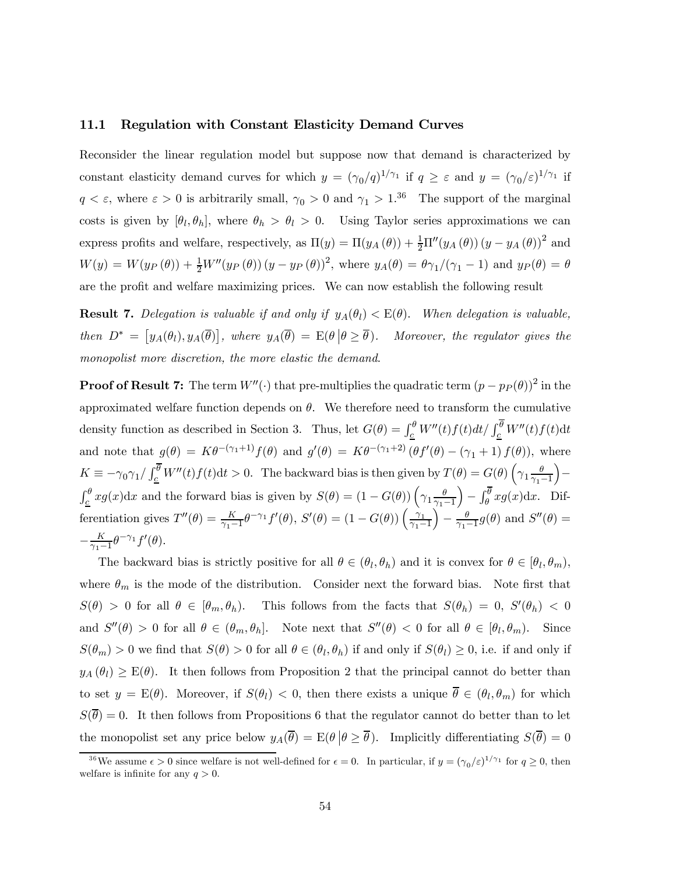#### 11.1 Regulation with Constant Elasticity Demand Curves

Reconsider the linear regulation model but suppose now that demand is characterized by constant elasticity demand curves for which  $y = (\gamma_0/q)^{1/\gamma_1}$  if  $q \geq \varepsilon$  and  $y = (\gamma_0/\varepsilon)^{1/\gamma_1}$  if  $q < \varepsilon$ , where  $\varepsilon > 0$  is arbitrarily small,  $\gamma_0 > 0$  and  $\gamma_1 > 1^{36}$  The support of the marginal costs is given by  $[\theta_l, \theta_h]$ , where  $\theta_h > \theta_l > 0$ . Using Taylor series approximations we can express profits and welfare, respectively, as  $\Pi(y) = \Pi(y_A(\theta)) + \frac{1}{2}\Pi''(y_A(\theta))(y - y_A(\theta))^2$  and  $W(y) = W(y_P(\theta)) + \frac{1}{2}W''(y_P(\theta))(y - y_P(\theta))^2$ , where  $y_A(\theta) = \theta \gamma_1/(\gamma_1 - 1)$  and  $y_P(\theta) = \theta$ are the profit and welfare maximizing prices. We can now establish the following result

**Result 7.** Delegation is valuable if and only if  $y_A(\theta_l) < E(\theta)$ . When delegation is valuable, then  $D^* = [y_A(\theta_l), y_A(\overline{\theta})],$  where  $y_A(\overline{\theta}) = E(\theta | \theta \ge \overline{\theta}).$  Moreover, the regulator gives the monopolist more discretion, the more elastic the demand.

**Proof of Result 7:** The term  $W''(\cdot)$  that pre-multiplies the quadratic term  $(p - p_P(\theta))^2$  in the approximated welfare function depends on  $\theta$ . We therefore need to transform the cumulative density function as described in Section 3. Thus, let  $G(\theta) = \int_{\underline{c}}^{\theta} W''(t) f(t) dt / \int_{\underline{c}}^{\theta} W''(t) f(t) dt$ and note that  $g(\theta) = K\theta^{-(\gamma_1+1)}f(\theta)$  and  $g'(\theta) = K\theta^{-(\gamma_1+2)}(\theta f'(\theta) - (\gamma_1+1) f(\theta))$ , where  $K \equiv -\gamma_0 \gamma_1 / \int_{\mathcal{L}}^{\overline{\theta}} W''(t) f(t) dt > 0$ . The backward bias is then given by  $T(\theta) = G(\theta) \left( \gamma_1 \frac{\theta}{\gamma_1 + \theta} \right)$  $\gamma_1-1$ ´ −  $\int_{\underline{c}}^{\theta} x g(x) dx$  and the forward bias is given by  $S(\theta) = (1 - G(\theta)) \left( \gamma_1 \frac{\theta}{\gamma_1} \right)$  $\gamma_1-1$  $\int - \int_{\theta}^{\overline{\theta}} x g(x) dx$ . Differentiation gives  $T''(\theta) = \frac{K}{\gamma_1 - 1} \theta^{-\gamma_1} f'(\theta), S'(\theta) = (1 - G(\theta)) \left( \frac{\gamma_1}{\gamma_1 - 1} \right)$  $\int -\frac{\theta}{\gamma_1-1}g(\theta)$  and  $S''(\theta)=$  $-\frac{K}{\gamma_1-1}\theta^{-\gamma_1}f'(\theta).$ 

The backward bias is strictly positive for all  $\theta \in (\theta_l, \theta_h)$  and it is convex for  $\theta \in [\theta_l, \theta_m)$ , where  $\theta_m$  is the mode of the distribution. Consider next the forward bias. Note first that  $S(\theta) > 0$  for all  $\theta \in [\theta_m, \theta_h)$ . This follows from the facts that  $S(\theta_h) = 0$ ,  $S'(\theta_h) < 0$ and  $S''(\theta) > 0$  for all  $\theta \in (\theta_m, \theta_h]$ . Note next that  $S''(\theta) < 0$  for all  $\theta \in [\theta_l, \theta_m)$ . Since  $S(\theta_m) > 0$  we find that  $S(\theta) > 0$  for all  $\theta \in (\theta_l, \theta_h)$  if and only if  $S(\theta_l) \geq 0$ , i.e. if and only if  $y_A(\theta_l) \geq E(\theta)$ . It then follows from Proposition 2 that the principal cannot do better than to set  $y = E(\theta)$ . Moreover, if  $S(\theta_l) < 0$ , then there exists a unique  $\overline{\theta} \in (\theta_l, \theta_m)$  for which  $S(\overline{\theta})=0$ . It then follows from Propositions 6 that the regulator cannot do better than to let the monopolist set any price below  $y_A(\overline{\theta}) = E(\theta | \theta \ge \overline{\theta})$ . Implicitly differentiating  $S(\overline{\theta})=0$ 

<sup>&</sup>lt;sup>36</sup>We assume  $\epsilon > 0$  since welfare is not well-defined for  $\epsilon = 0$ . In particular, if  $y = (\gamma_0/\epsilon)^{1/\gamma_1}$  for  $q \ge 0$ , then welfare is infinite for any  $q > 0$ .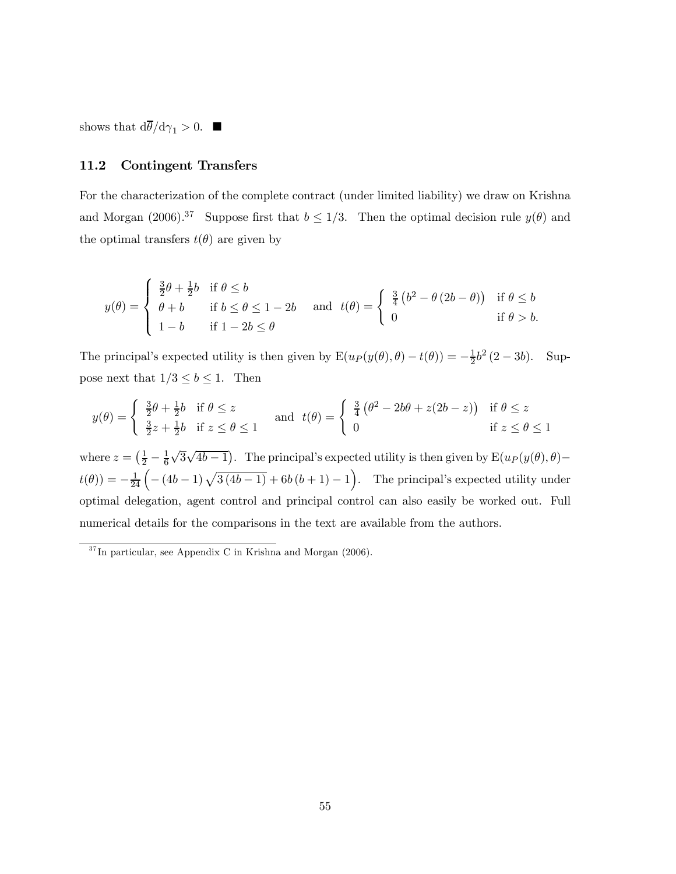shows that  $d\overline{\theta}/d\gamma_1 > 0$ .

## 11.2 Contingent Transfers

For the characterization of the complete contract (under limited liability) we draw on Krishna and Morgan (2006).<sup>37</sup> Suppose first that  $b \le 1/3$ . Then the optimal decision rule  $y(\theta)$  and the optimal transfers  $t(\theta)$  are given by

$$
y(\theta) = \begin{cases} \frac{3}{2}\theta + \frac{1}{2}b & \text{if } \theta \le b \\ \theta + b & \text{if } b \le \theta \le 1 - 2b \\ 1 - b & \text{if } 1 - 2b \le \theta \end{cases} \quad \text{and} \quad t(\theta) = \begin{cases} \frac{3}{4}\left(b^2 - \theta(2b - \theta)\right) & \text{if } \theta \le b \\ 0 & \text{if } \theta > b. \end{cases}
$$

The principal's expected utility is then given by  $E(u_P(y(\theta), \theta) - t(\theta)) = -\frac{1}{2}b^2(2 - 3b)$ . Suppose next that  $1/3 \le b \le 1$ . Then

$$
y(\theta) = \begin{cases} \frac{3}{2}\theta + \frac{1}{2}b & \text{if } \theta \le z \\ \frac{3}{2}z + \frac{1}{2}b & \text{if } z \le \theta \le 1 \end{cases} \quad \text{and} \quad t(\theta) = \begin{cases} \frac{3}{4}(\theta^2 - 2b\theta + z(2b - z)) & \text{if } \theta \le z \\ 0 & \text{if } z \le \theta \le 1 \end{cases}
$$

where  $z = \left(\frac{1}{2} - \frac{1}{6}\right)$  $\sqrt{3}\sqrt{4b-1}$ . The principal's expected utility is then given by  $E(u_P(y(\theta), \theta)$  $t(\theta) = -\frac{1}{24} \left( -(4b-1)\sqrt{3(4b-1)} + 6b(b+1) - 1 \right)$ . The principal's expected utility under optimal delegation, agent control and principal control can also easily be worked out. Full numerical details for the comparisons in the text are available from the authors.

 $37$ In particular, see Appendix C in Krishna and Morgan (2006).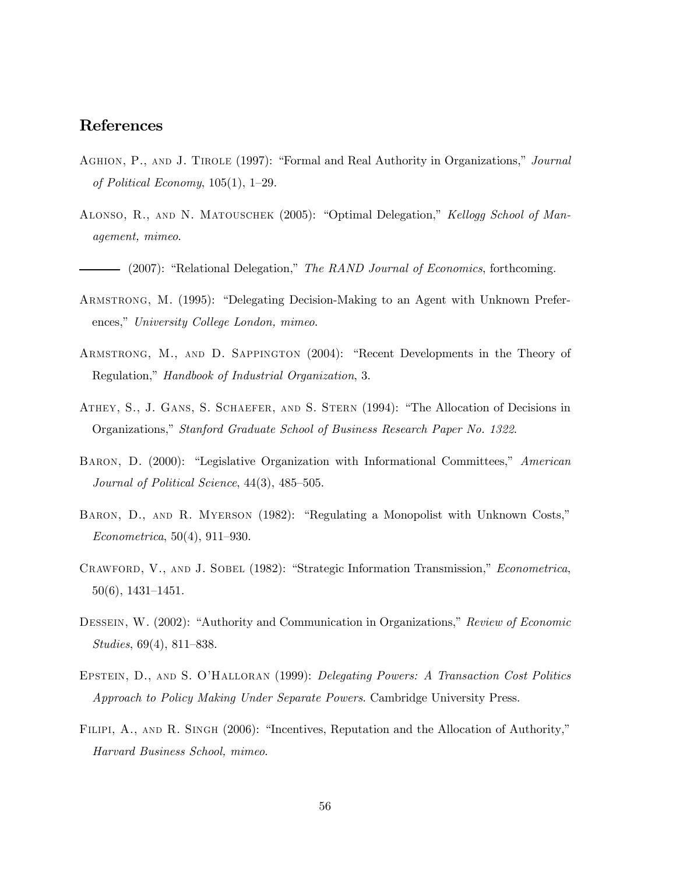# References

- Aghion, P., and J. Tirole (1997): "Formal and Real Authority in Organizations," Journal of Political Economy, 105(1), 1—29.
- Alonso, R., and N. Matouschek (2005): "Optimal Delegation," Kellogg School of Management, mimeo.
- (2007): "Relational Delegation," The RAND Journal of Economics, forthcoming.
- Armstrong, M. (1995): "Delegating Decision-Making to an Agent with Unknown Preferences," University College London, mimeo.
- Armstrong, M., and D. Sappington (2004): "Recent Developments in the Theory of Regulation," Handbook of Industrial Organization, 3.
- Athey, S., J. Gans, S. Schaefer, and S. Stern (1994): "The Allocation of Decisions in Organizations," Stanford Graduate School of Business Research Paper No. 1322.
- Baron, D. (2000): "Legislative Organization with Informational Committees," American Journal of Political Science, 44(3), 485—505.
- Baron, D., and R. Myerson (1982): "Regulating a Monopolist with Unknown Costs," Econometrica, 50(4), 911—930.
- CRAWFORD, V., AND J. SOBEL (1982): "Strategic Information Transmission," *Econometrica*, 50(6), 1431—1451.
- DESSEIN, W. (2002): "Authority and Communication in Organizations," Review of Economic Studies, 69(4), 811—838.
- Epstein, D., and S. O'Halloran (1999): Delegating Powers: A Transaction Cost Politics Approach to Policy Making Under Separate Powers. Cambridge University Press.
- FILIPI, A., AND R. SINGH (2006): "Incentives, Reputation and the Allocation of Authority," Harvard Business School, mimeo.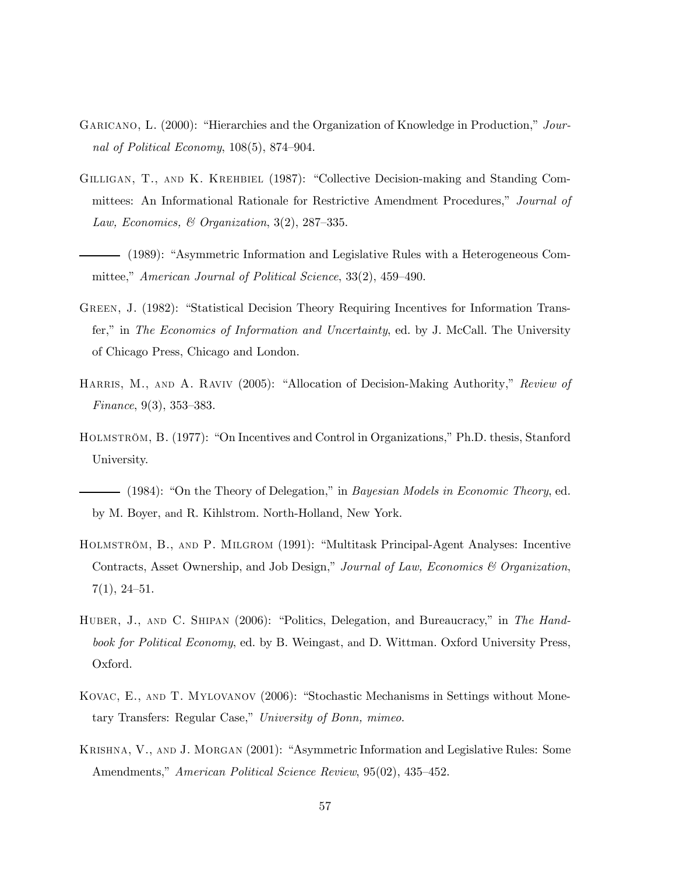- GARICANO, L. (2000): "Hierarchies and the Organization of Knowledge in Production," Journal of Political Economy, 108(5), 874—904.
- Gilligan, T., and K. Krehbiel (1987): "Collective Decision-making and Standing Committees: An Informational Rationale for Restrictive Amendment Procedures," Journal of Law, Economics, & Organization,  $3(2)$ ,  $287-335$ .
- (1989): "Asymmetric Information and Legislative Rules with a Heterogeneous Committee," American Journal of Political Science, 33(2), 459—490.
- Green, J. (1982): "Statistical Decision Theory Requiring Incentives for Information Transfer," in The Economics of Information and Uncertainty, ed. by J. McCall. The University of Chicago Press, Chicago and London.
- HARRIS, M., AND A. RAVIV (2005): "Allocation of Decision-Making Authority," Review of Finance, 9(3), 353—383.
- Holmström, B. (1977): "On Incentives and Control in Organizations," Ph.D. thesis, Stanford University.
- $-$  (1984): "On the Theory of Delegation," in *Bayesian Models in Economic Theory*, ed. by M. Boyer, and R. Kihlstrom. North-Holland, New York.
- Holmström, B., and P. Milgrom (1991): "Multitask Principal-Agent Analyses: Incentive Contracts, Asset Ownership, and Job Design," Journal of Law, Economics & Organization, 7(1), 24—51.
- HUBER, J., AND C. SHIPAN (2006): "Politics, Delegation, and Bureaucracy," in The Handbook for Political Economy, ed. by B. Weingast, and D. Wittman. Oxford University Press, Oxford.
- Kovac, E., and T. Mylovanov (2006): "Stochastic Mechanisms in Settings without Monetary Transfers: Regular Case," University of Bonn, mimeo.
- Krishna, V., and J. Morgan (2001): "Asymmetric Information and Legislative Rules: Some Amendments," American Political Science Review, 95(02), 435–452.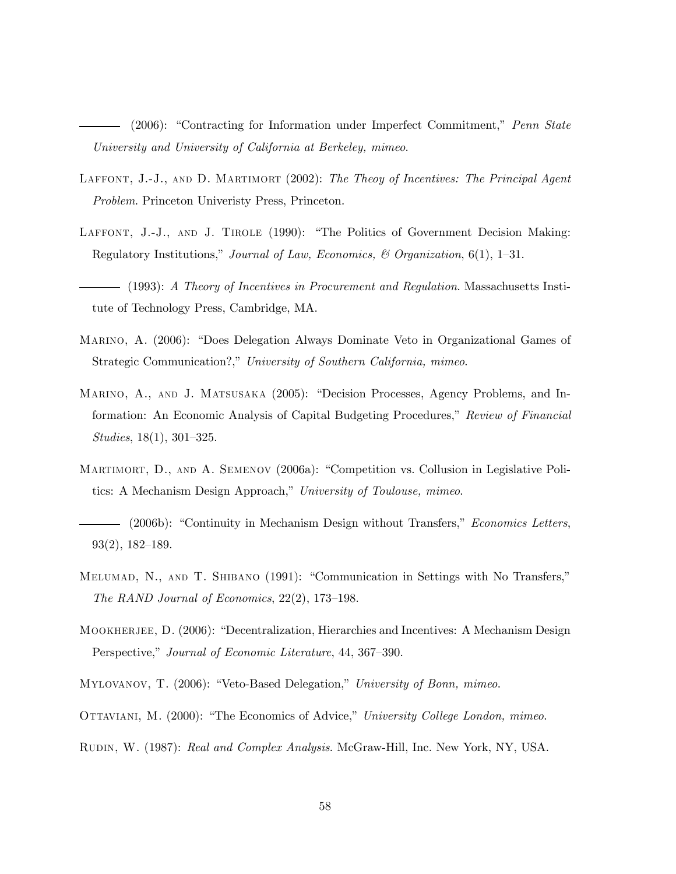(2006): "Contracting for Information under Imperfect Commitment," Penn State University and University of California at Berkeley, mimeo.

- LAFFONT, J.-J., AND D. MARTIMORT (2002): The Theoy of Incentives: The Principal Agent Problem. Princeton Univeristy Press, Princeton.
- LAFFONT, J.-J., AND J. TIROLE (1990): "The Politics of Government Decision Making: Regulatory Institutions," Journal of Law, Economics, & Organization,  $6(1)$ , 1–31.
- (1993): A Theory of Incentives in Procurement and Regulation. Massachusetts Institute of Technology Press, Cambridge, MA.
- Marino, A. (2006): "Does Delegation Always Dominate Veto in Organizational Games of Strategic Communication?," University of Southern California, mimeo.
- Marino, A., and J. Matsusaka (2005): "Decision Processes, Agency Problems, and Information: An Economic Analysis of Capital Budgeting Procedures," Review of Financial Studies, 18(1), 301—325.
- Martimort, D., and A. Semenov (2006a): "Competition vs. Collusion in Legislative Politics: A Mechanism Design Approach," University of Toulouse, mimeo.
- (2006b): "Continuity in Mechanism Design without Transfers," Economics Letters, 93(2), 182—189.
- Melumad, N., and T. Shibano (1991): "Communication in Settings with No Transfers," The RAND Journal of Economics, 22(2), 173—198.
- MOOKHERJEE, D. (2006): "Decentralization, Hierarchies and Incentives: A Mechanism Design Perspective," Journal of Economic Literature, 44, 367—390.
- MYLOVANOV, T. (2006): "Veto-Based Delegation," University of Bonn, mimeo.
- OTTAVIANI, M. (2000): "The Economics of Advice," University College London, mimeo.
- Rudin, W. (1987): Real and Complex Analysis. McGraw-Hill, Inc. New York, NY, USA.